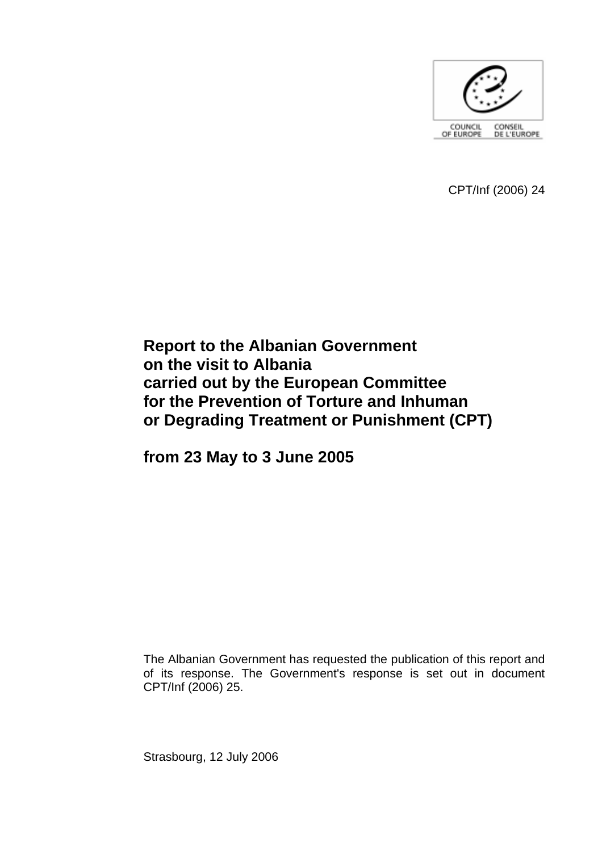

CPT/Inf (2006) 24

# **Report to the Albanian Government on the visit to Albania carried out by the European Committee for the Prevention of Torture and Inhuman or Degrading Treatment or Punishment (CPT)**

**from 23 May to 3 June 2005** 

The Albanian Government has requested the publication of this report and of its response. The Government's response is set out in document CPT/Inf (2006) 25.

Strasbourg, 12 July 2006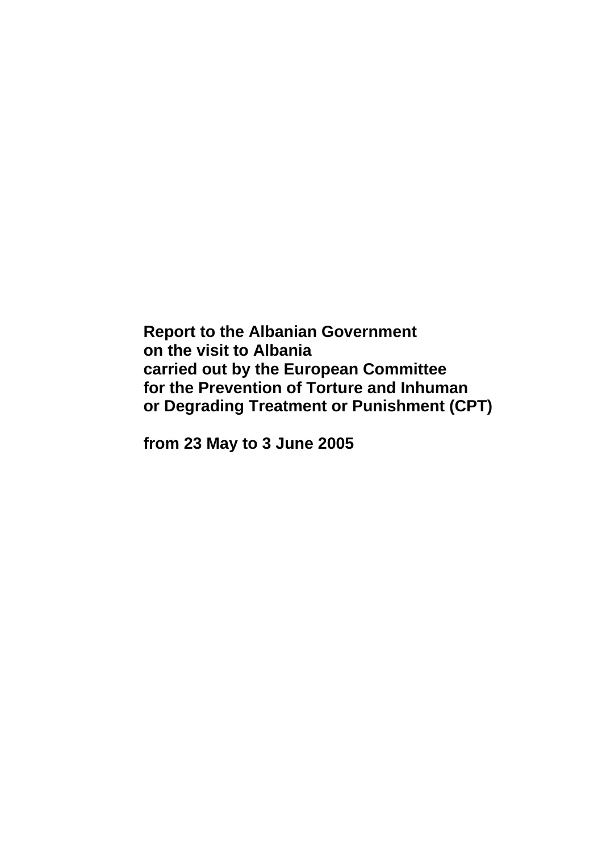**Report to the Albanian Government on the visit to Albania carried out by the European Committee for the Prevention of Torture and Inhuman or Degrading Treatment or Punishment (CPT)** 

**from 23 May to 3 June 2005**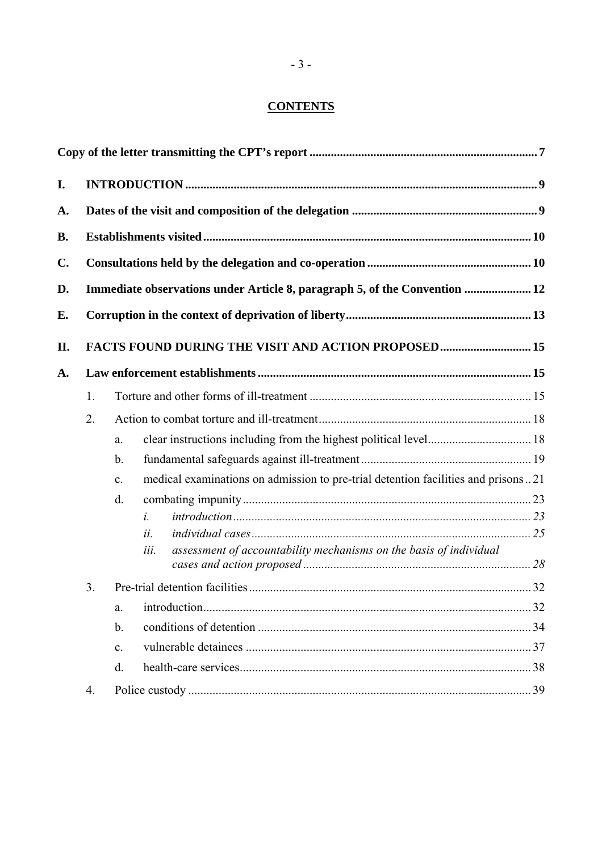## **CONTENTS**

| I. |    |                                                                            |                                                                                   |  |  |  |
|----|----|----------------------------------------------------------------------------|-----------------------------------------------------------------------------------|--|--|--|
| А. |    |                                                                            |                                                                                   |  |  |  |
| B. |    |                                                                            |                                                                                   |  |  |  |
| C. |    |                                                                            |                                                                                   |  |  |  |
| D. |    | Immediate observations under Article 8, paragraph 5, of the Convention  12 |                                                                                   |  |  |  |
| E. |    |                                                                            |                                                                                   |  |  |  |
| П. |    |                                                                            | FACTS FOUND DURING THE VISIT AND ACTION PROPOSED 15                               |  |  |  |
| A. |    |                                                                            |                                                                                   |  |  |  |
|    | 1. |                                                                            |                                                                                   |  |  |  |
|    | 2. |                                                                            |                                                                                   |  |  |  |
|    |    | a.                                                                         |                                                                                   |  |  |  |
|    |    | $\mathbf b$ .                                                              |                                                                                   |  |  |  |
|    |    | $\mathbf{c}$ .                                                             | medical examinations on admission to pre-trial detention facilities and prisons21 |  |  |  |
|    |    | $\mathbf{d}$ .                                                             |                                                                                   |  |  |  |
|    |    |                                                                            | $\dot{i}$ .                                                                       |  |  |  |
|    |    |                                                                            | ii.                                                                               |  |  |  |
|    |    |                                                                            | assessment of accountability mechanisms on the basis of individual<br>iii.        |  |  |  |
|    | 3. |                                                                            |                                                                                   |  |  |  |
|    |    | a.                                                                         |                                                                                   |  |  |  |
|    |    | $\mathbf b$ .                                                              |                                                                                   |  |  |  |
|    |    | $\mathbf{c}$ .                                                             |                                                                                   |  |  |  |
|    |    | $\mathbf{d}$ .                                                             |                                                                                   |  |  |  |
|    | 4. |                                                                            |                                                                                   |  |  |  |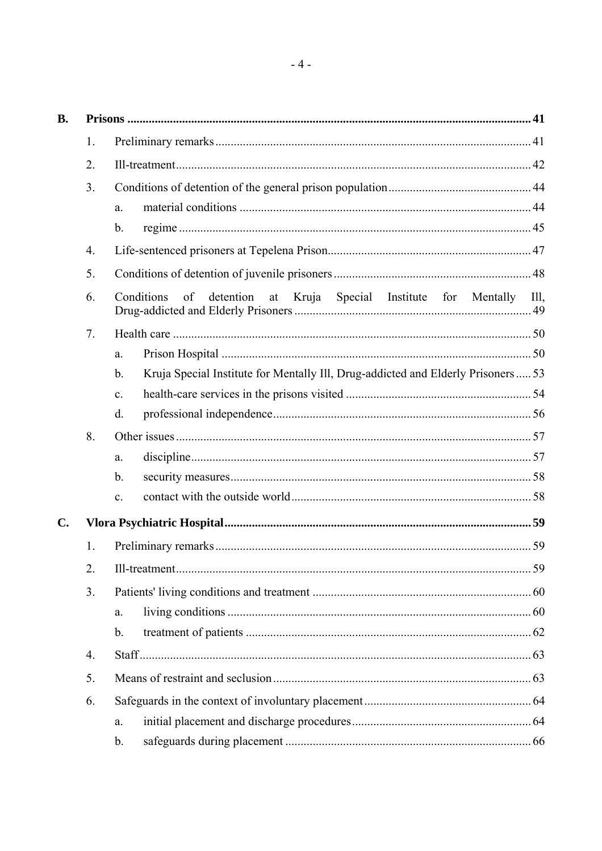| В. |    |                                                                                                   |         |  |  |  |
|----|----|---------------------------------------------------------------------------------------------------|---------|--|--|--|
|    | 1. |                                                                                                   |         |  |  |  |
|    | 2. |                                                                                                   |         |  |  |  |
|    | 3. |                                                                                                   |         |  |  |  |
|    |    | a.                                                                                                |         |  |  |  |
|    |    | $\mathbf b$ .                                                                                     |         |  |  |  |
|    | 4. |                                                                                                   |         |  |  |  |
|    | 5. |                                                                                                   |         |  |  |  |
|    | 6. | Conditions<br>of<br>detention<br>at Kruja<br>Special<br>Institute<br>for Mentally                 | $III$ , |  |  |  |
|    | 7. |                                                                                                   |         |  |  |  |
|    |    | a.                                                                                                |         |  |  |  |
|    |    | Kruja Special Institute for Mentally Ill, Drug-addicted and Elderly Prisoners 53<br>$\mathbf b$ . |         |  |  |  |
|    |    | $\mathbf{c}$ .                                                                                    |         |  |  |  |
|    |    | $d_{\cdot}$                                                                                       |         |  |  |  |
|    | 8. |                                                                                                   |         |  |  |  |
|    |    | a.                                                                                                |         |  |  |  |
|    |    | $\mathbf{b}$ .                                                                                    |         |  |  |  |
|    |    | $\mathbf{c}$ .                                                                                    |         |  |  |  |
| C. |    |                                                                                                   |         |  |  |  |
|    | 1. |                                                                                                   |         |  |  |  |
|    | 2. |                                                                                                   |         |  |  |  |
|    | 3. |                                                                                                   |         |  |  |  |
|    |    | a.                                                                                                |         |  |  |  |
|    |    | $\mathbf b$ .                                                                                     |         |  |  |  |
|    | 4. |                                                                                                   |         |  |  |  |
|    | 5. |                                                                                                   |         |  |  |  |
|    | 6. |                                                                                                   |         |  |  |  |
|    |    | a.                                                                                                |         |  |  |  |
|    |    | $\mathbf b$ .                                                                                     |         |  |  |  |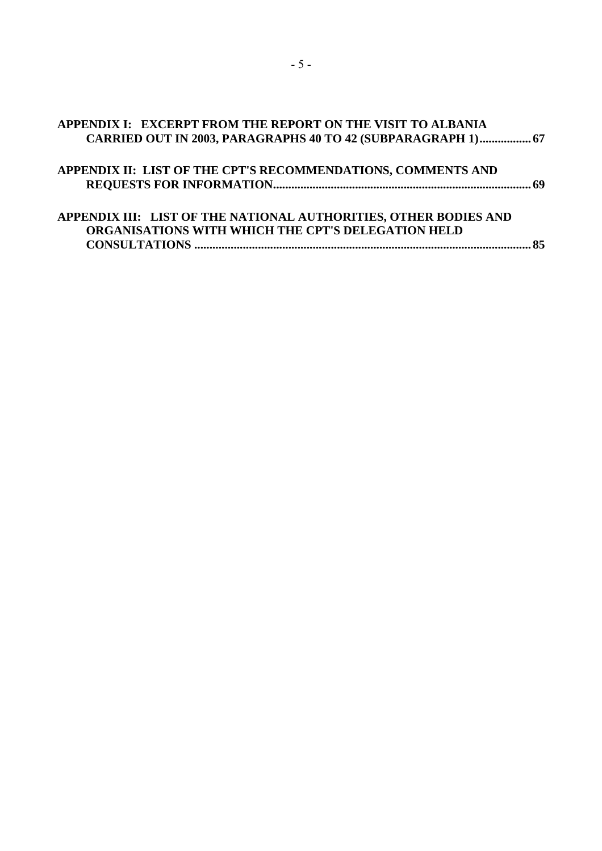| APPENDIX I: EXCERPT FROM THE REPORT ON THE VISIT TO ALBANIA<br>CARRIED OUT IN 2003, PARAGRAPHS 40 TO 42 (SUBPARAGRAPH 1) 67 |  |
|-----------------------------------------------------------------------------------------------------------------------------|--|
|                                                                                                                             |  |
| APPENDIX II: LIST OF THE CPT'S RECOMMENDATIONS, COMMENTS AND                                                                |  |
|                                                                                                                             |  |
|                                                                                                                             |  |
| APPENDIX III: LIST OF THE NATIONAL AUTHORITIES, OTHER BODIES AND                                                            |  |
| ORGANISATIONS WITH WHICH THE CPT'S DELEGATION HELD                                                                          |  |
|                                                                                                                             |  |
|                                                                                                                             |  |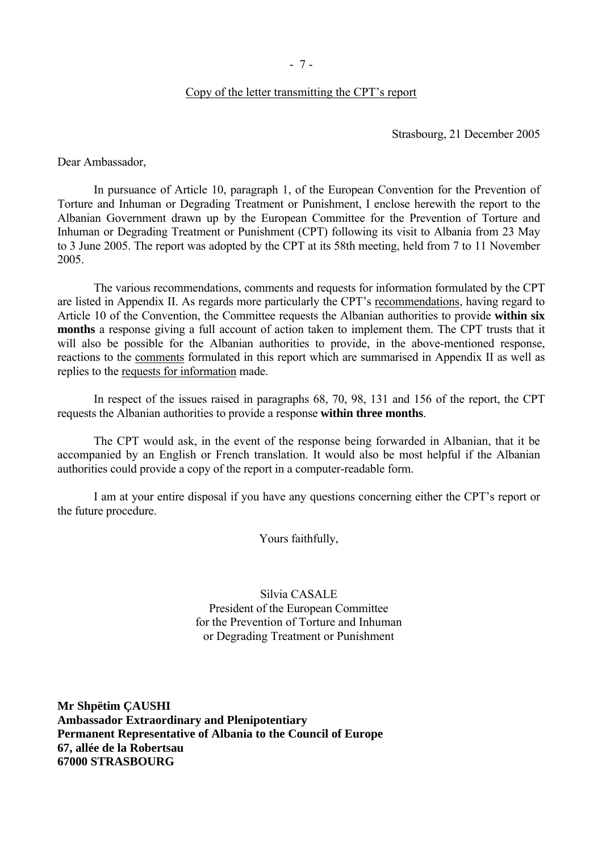#### Copy of the letter transmitting the CPT's report

Strasbourg, 21 December 2005

<span id="page-8-0"></span>Dear Ambassador,

 In pursuance of Article 10, paragraph 1, of the European Convention for the Prevention of Torture and Inhuman or Degrading Treatment or Punishment, I enclose herewith the report to the Albanian Government drawn up by the European Committee for the Prevention of Torture and Inhuman or Degrading Treatment or Punishment (CPT) following its visit to Albania from 23 May to 3 June 2005. The report was adopted by the CPT at its 58th meeting, held from 7 to 11 November 2005.

 The various recommendations, comments and requests for information formulated by the CPT are listed in Appendix II. As regards more particularly the CPT's recommendations, having regard to Article 10 of the Convention, the Committee requests the Albanian authorities to provide **within six months** a response giving a full account of action taken to implement them. The CPT trusts that it will also be possible for the Albanian authorities to provide, in the above-mentioned response, reactions to the comments formulated in this report which are summarised in Appendix II as well as replies to the requests for information made.

 In respect of the issues raised in paragraphs 68, 70, 98, 131 and 156 of the report, the CPT requests the Albanian authorities to provide a response **within three months**.

 The CPT would ask, in the event of the response being forwarded in Albanian, that it be accompanied by an English or French translation. It would also be most helpful if the Albanian authorities could provide a copy of the report in a computer-readable form.

I am at your entire disposal if you have any questions concerning either the CPT's report or the future procedure.

Yours faithfully,

Silvia CASALE President of the European Committee for the Prevention of Torture and Inhuman or Degrading Treatment or Punishment

**Mr Shpëtim ÇAUSHI Ambassador Extraordinary and Plenipotentiary Permanent Representative of Albania to the Council of Europe 67, allée de la Robertsau 67000 STRASBOURG**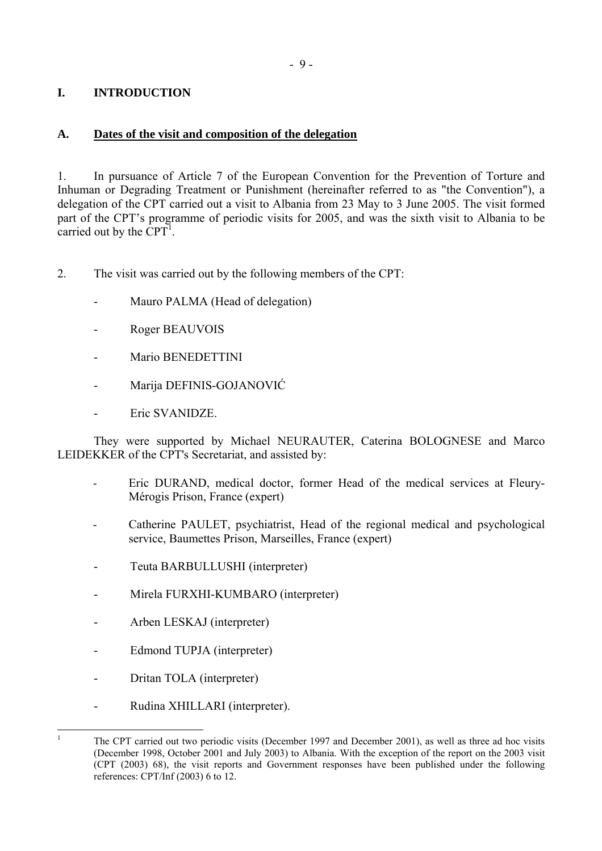## <span id="page-10-0"></span>**I. INTRODUCTION**

## **A. Dates of the visit and composition of the delegation**

1. In pursuance of Article 7 of the European Convention for the Prevention of Torture and Inhuman or Degrading Treatment or Punishment (hereinafter referred to as "the Convention"), a delegation of the CPT carried out a visit to Albania from 23 May to 3 June 2005. The visit formed part of the CPT's programme of periodic visits for 2005, and was the sixth visit to Albania to be carried out by the  $\overrightarrow{CPT}$ .

- 2. The visit was carried out by the following members of the CPT:
	- Mauro PALMA (Head of delegation)
	- Roger BEAUVOIS
	- Mario BENEDETTINI
	- Marija DEFINIS-GOJANOVIĆ
	- Eric SVANIDZE.

They were supported by Michael NEURAUTER, Caterina BOLOGNESE and Marco LEIDEKKER of the CPT's Secretariat, and assisted by:

- Eric DURAND, medical doctor, former Head of the medical services at Fleury-MÈrogis Prison, France (expert)
- Catherine PAULET, psychiatrist, Head of the regional medical and psychological service, Baumettes Prison, Marseilles, France (expert)
- Teuta BARBULLUSHI (interpreter)
- Mirela FURXHI-KUMBARO (interpreter)
- Arben LESKAJ (interpreter)
- Edmond TUPJA (interpreter)
- Dritan TOLA (interpreter)

 $\frac{1}{1}$ 

- Rudina XHILLARI (interpreter).

<span id="page-10-1"></span>The CPT carried out two periodic visits (December 1997 and December 2001), as well as three ad hoc visits (December 1998, October 2001 and July 2003) to Albania. With the exception of the report on the 2003 visit (CPT (2003) 68), the visit reports and Government responses have been published under the following references: CPT/Inf (2003) 6 to 12.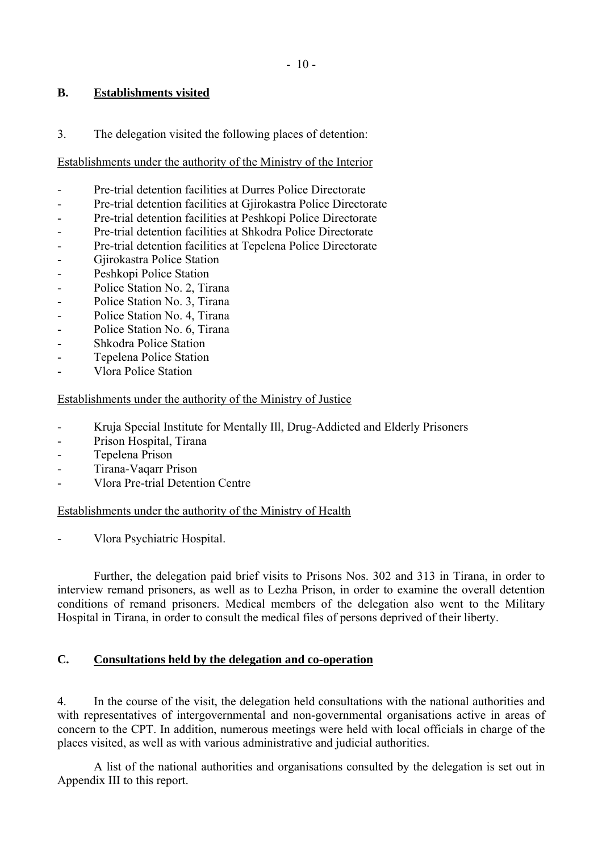## <span id="page-11-0"></span>**B. Establishments visited**

3. The delegation visited the following places of detention:

## Establishments under the authority of the Ministry of the Interior

- Pre-trial detention facilities at Durres Police Directorate
- Pre-trial detention facilities at Gjirokastra Police Directorate
- Pre-trial detention facilities at Peshkopi Police Directorate
- Pre-trial detention facilities at Shkodra Police Directorate
- Pre-trial detention facilities at Tepelena Police Directorate
- Gjirokastra Police Station
- Peshkopi Police Station
- Police Station No. 2, Tirana
- Police Station No. 3, Tirana
- Police Station No. 4, Tirana
- Police Station No. 6, Tirana
- Shkodra Police Station
- Tepelena Police Station
- Vlora Police Station

### Establishments under the authority of the Ministry of Justice

- Kruja Special Institute for Mentally Ill, Drug-Addicted and Elderly Prisoners
- Prison Hospital, Tirana
- Tepelena Prison
- Tirana-Vaqarr Prison
- Vlora Pre-trial Detention Centre

Establishments under the authority of the Ministry of Health

- Vlora Psychiatric Hospital.

 Further, the delegation paid brief visits to Prisons Nos. 302 and 313 in Tirana, in order to interview remand prisoners, as well as to Lezha Prison, in order to examine the overall detention conditions of remand prisoners. Medical members of the delegation also went to the Military Hospital in Tirana, in order to consult the medical files of persons deprived of their liberty.

## **C. Consultations held by the delegation and co-operation**

4. In the course of the visit, the delegation held consultations with the national authorities and with representatives of intergovernmental and non-governmental organisations active in areas of concern to the CPT. In addition, numerous meetings were held with local officials in charge of the places visited, as well as with various administrative and judicial authorities.

 A list of the national authorities and organisations consulted by the delegation is set out in Appendix III to this report.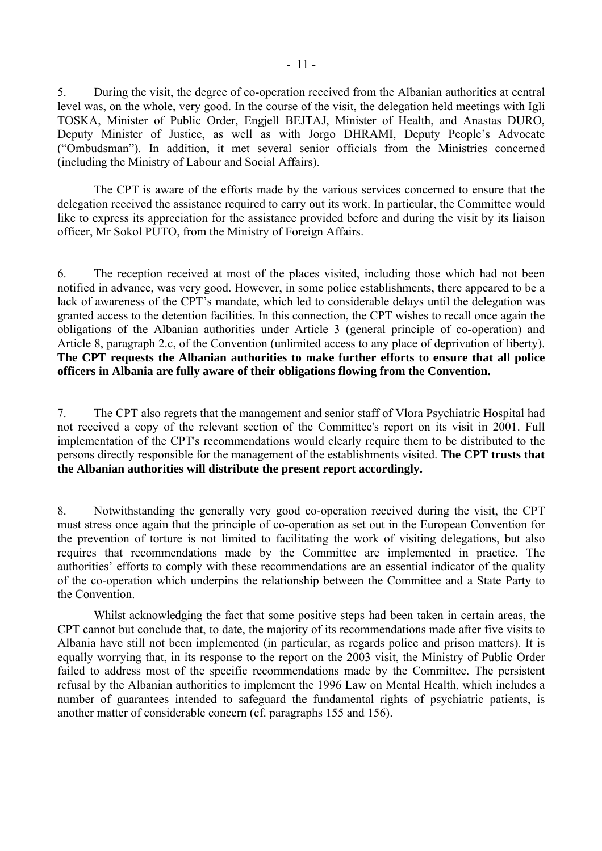5. During the visit, the degree of co-operation received from the Albanian authorities at central level was, on the whole, very good. In the course of the visit, the delegation held meetings with Igli TOSKA, Minister of Public Order, Engjell BEJTAJ, Minister of Health, and Anastas DURO, Deputy Minister of Justice, as well as with Jorgo DHRAMI, Deputy People's Advocate ("Ombudsman"). In addition, it met several senior officials from the Ministries concerned (including the Ministry of Labour and Social Affairs).

 The CPT is aware of the efforts made by the various services concerned to ensure that the delegation received the assistance required to carry out its work. In particular, the Committee would like to express its appreciation for the assistance provided before and during the visit by its liaison officer, Mr Sokol PUTO, from the Ministry of Foreign Affairs.

6. The reception received at most of the places visited, including those which had not been notified in advance, was very good. However, in some police establishments, there appeared to be a lack of awareness of the CPT's mandate, which led to considerable delays until the delegation was granted access to the detention facilities. In this connection, the CPT wishes to recall once again the obligations of the Albanian authorities under Article 3 (general principle of co-operation) and Article 8, paragraph 2.c, of the Convention (unlimited access to any place of deprivation of liberty). **The CPT requests the Albanian authorities to make further efforts to ensure that all police officers in Albania are fully aware of their obligations flowing from the Convention.** 

7. The CPT also regrets that the management and senior staff of Vlora Psychiatric Hospital had not received a copy of the relevant section of the Committee's report on its visit in 2001. Full implementation of the CPT's recommendations would clearly require them to be distributed to the persons directly responsible for the management of the establishments visited. **The CPT trusts that the Albanian authorities will distribute the present report accordingly.** 

8. Notwithstanding the generally very good co-operation received during the visit, the CPT must stress once again that the principle of co-operation as set out in the European Convention for the prevention of torture is not limited to facilitating the work of visiting delegations, but also requires that recommendations made by the Committee are implemented in practice. The authorities' efforts to comply with these recommendations are an essential indicator of the quality of the co-operation which underpins the relationship between the Committee and a State Party to the Convention.

 Whilst acknowledging the fact that some positive steps had been taken in certain areas, the CPT cannot but conclude that, to date, the majority of its recommendations made after five visits to Albania have still not been implemented (in particular, as regards police and prison matters). It is equally worrying that, in its response to the report on the 2003 visit, the Ministry of Public Order failed to address most of the specific recommendations made by the Committee. The persistent refusal by the Albanian authorities to implement the 1996 Law on Mental Health, which includes a number of guarantees intended to safeguard the fundamental rights of psychiatric patients, is another matter of considerable concern (cf. paragraphs 155 and 156).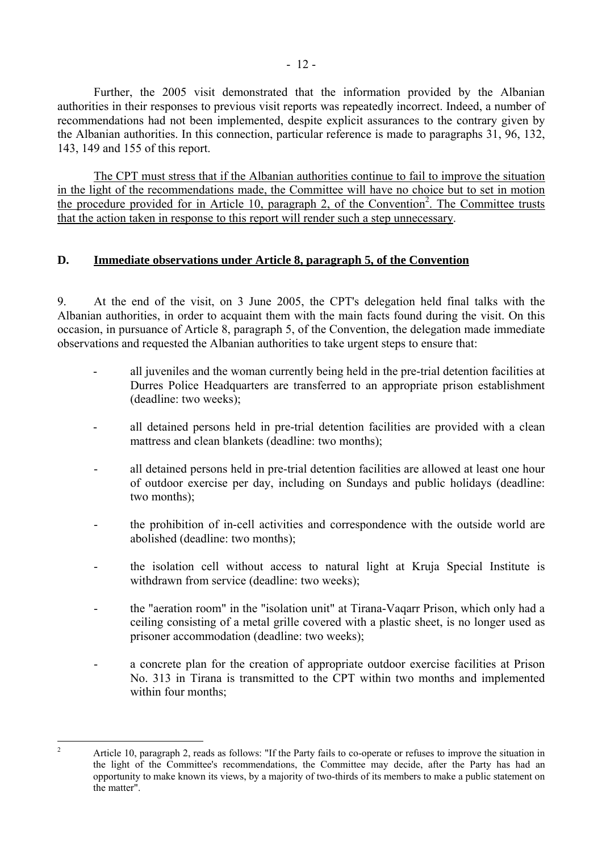<span id="page-13-0"></span> Further, the 2005 visit demonstrated that the information provided by the Albanian authorities in their responses to previous visit reports was repeatedly incorrect. Indeed, a number of recommendations had not been implemented, despite explicit assurances to the contrary given by the Albanian authorities. In this connection, particular reference is made to paragraphs 31, 96, 132, 143, 149 and 155 of this report.

The CPT must stress that if the Albanian authorities continue to fail to improve the situation in the light of the recommendations made, the Committee will have no choice but to set in motion the procedure provided for in Article 10, paragraph [2](#page-13-1), of the Convention<sup>2</sup>. The Committee trusts that the action taken in response to this report will render such a step unnecessary.

## **D. Immediate observations under Article 8, paragraph 5, of the Convention**

9. At the end of the visit, on 3 June 2005, the CPT's delegation held final talks with the Albanian authorities, in order to acquaint them with the main facts found during the visit. On this occasion, in pursuance of Article 8, paragraph 5, of the Convention, the delegation made immediate observations and requested the Albanian authorities to take urgent steps to ensure that:

- all juveniles and the woman currently being held in the pre-trial detention facilities at Durres Police Headquarters are transferred to an appropriate prison establishment (deadline: two weeks);
- all detained persons held in pre-trial detention facilities are provided with a clean mattress and clean blankets (deadline: two months);
- all detained persons held in pre-trial detention facilities are allowed at least one hour of outdoor exercise per day, including on Sundays and public holidays (deadline: two months);
- the prohibition of in-cell activities and correspondence with the outside world are abolished (deadline: two months);
- the isolation cell without access to natural light at Kruja Special Institute is withdrawn from service (deadline: two weeks);
- the "aeration room" in the "isolation unit" at Tirana-Vaqarr Prison, which only had a ceiling consisting of a metal grille covered with a plastic sheet, is no longer used as prisoner accommodation (deadline: two weeks);
- a concrete plan for the creation of appropriate outdoor exercise facilities at Prison No. 313 in Tirana is transmitted to the CPT within two months and implemented within four months;

<span id="page-13-1"></span> $\frac{1}{2}$  Article 10, paragraph 2, reads as follows: "If the Party fails to co-operate or refuses to improve the situation in the light of the Committee's recommendations, the Committee may decide, after the Party has had an opportunity to make known its views, by a majority of two-thirds of its members to make a public statement on the matter".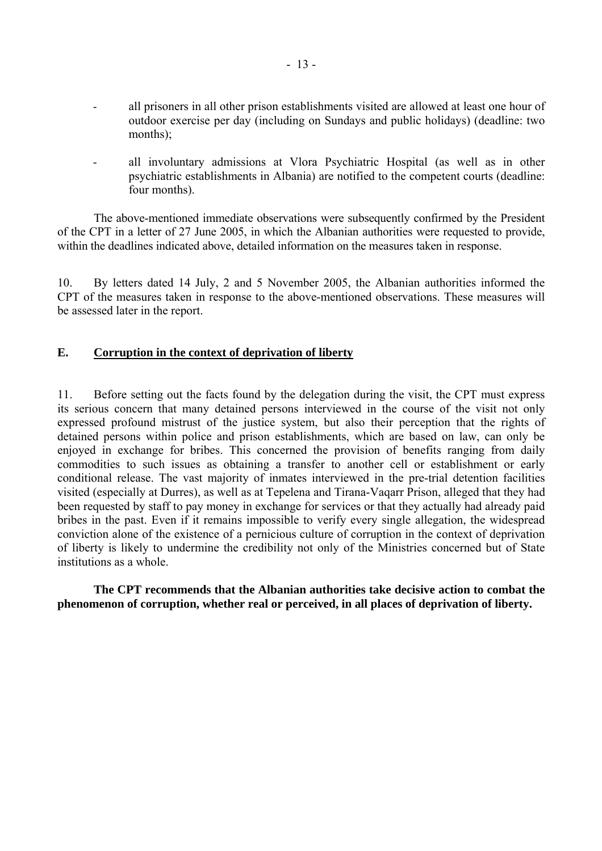- <span id="page-14-0"></span> all prisoners in all other prison establishments visited are allowed at least one hour of outdoor exercise per day (including on Sundays and public holidays) (deadline: two months);
- all involuntary admissions at Vlora Psychiatric Hospital (as well as in other psychiatric establishments in Albania) are notified to the competent courts (deadline: four months).

 The above-mentioned immediate observations were subsequently confirmed by the President of the CPT in a letter of 27 June 2005, in which the Albanian authorities were requested to provide, within the deadlines indicated above, detailed information on the measures taken in response.

10. By letters dated 14 July, 2 and 5 November 2005, the Albanian authorities informed the CPT of the measures taken in response to the above-mentioned observations. These measures will be assessed later in the report.

### **E. Corruption in the context of deprivation of liberty**

11. Before setting out the facts found by the delegation during the visit, the CPT must express its serious concern that many detained persons interviewed in the course of the visit not only expressed profound mistrust of the justice system, but also their perception that the rights of detained persons within police and prison establishments, which are based on law, can only be enjoyed in exchange for bribes. This concerned the provision of benefits ranging from daily commodities to such issues as obtaining a transfer to another cell or establishment or early conditional release. The vast majority of inmates interviewed in the pre-trial detention facilities visited (especially at Durres), as well as at Tepelena and Tirana-Vaqarr Prison, alleged that they had been requested by staff to pay money in exchange for services or that they actually had already paid bribes in the past. Even if it remains impossible to verify every single allegation, the widespread conviction alone of the existence of a pernicious culture of corruption in the context of deprivation of liberty is likely to undermine the credibility not only of the Ministries concerned but of State institutions as a whole.

 **The CPT recommends that the Albanian authorities take decisive action to combat the phenomenon of corruption, whether real or perceived, in all places of deprivation of liberty.**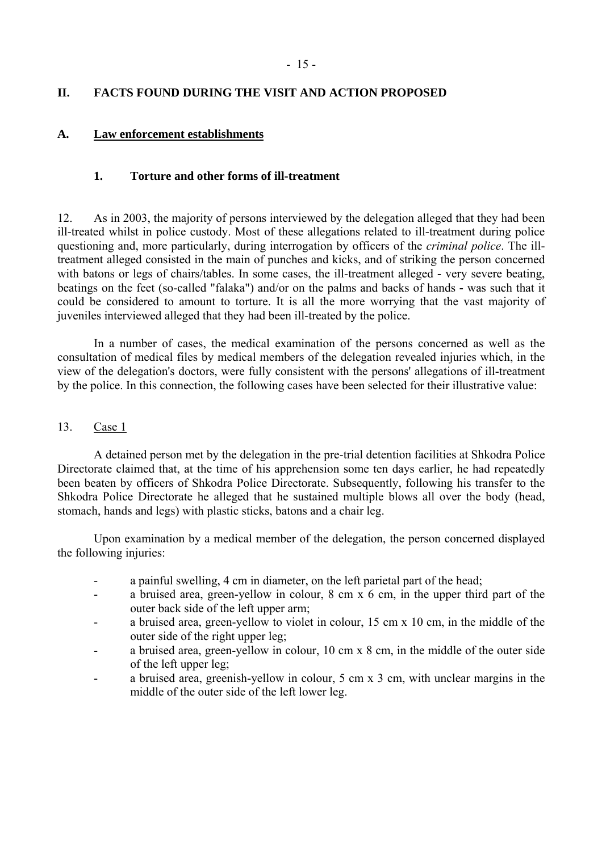## <span id="page-16-0"></span>**II. FACTS FOUND DURING THE VISIT AND ACTION PROPOSED**

### **A. Law enforcement establishments**

## **1. Torture and other forms of ill-treatment**

12. As in 2003, the majority of persons interviewed by the delegation alleged that they had been ill-treated whilst in police custody. Most of these allegations related to ill-treatment during police questioning and, more particularly, during interrogation by officers of the *criminal police*. The illtreatment alleged consisted in the main of punches and kicks, and of striking the person concerned with batons or legs of chairs/tables. In some cases, the ill-treatment alleged **-** very severe beating, beatings on the feet (so-called "falaka") and/or on the palms and backs of hands **-** was such that it could be considered to amount to torture. It is all the more worrying that the vast majority of juveniles interviewed alleged that they had been ill-treated by the police.

 In a number of cases, the medical examination of the persons concerned as well as the consultation of medical files by medical members of the delegation revealed injuries which, in the view of the delegation's doctors, were fully consistent with the persons' allegations of ill-treatment by the police. In this connection, the following cases have been selected for their illustrative value:

#### 13. Case 1

 A detained person met by the delegation in the pre-trial detention facilities at Shkodra Police Directorate claimed that, at the time of his apprehension some ten days earlier, he had repeatedly been beaten by officers of Shkodra Police Directorate. Subsequently, following his transfer to the Shkodra Police Directorate he alleged that he sustained multiple blows all over the body (head, stomach, hands and legs) with plastic sticks, batons and a chair leg.

 Upon examination by a medical member of the delegation, the person concerned displayed the following injuries:

- a painful swelling, 4 cm in diameter, on the left parietal part of the head;
- a bruised area, green-yellow in colour, 8 cm x 6 cm, in the upper third part of the outer back side of the left upper arm;
- a bruised area, green-yellow to violet in colour, 15 cm x 10 cm, in the middle of the outer side of the right upper leg;
- a bruised area, green-yellow in colour, 10 cm x 8 cm, in the middle of the outer side of the left upper leg;
- a bruised area, greenish-yellow in colour, 5 cm x 3 cm, with unclear margins in the middle of the outer side of the left lower leg.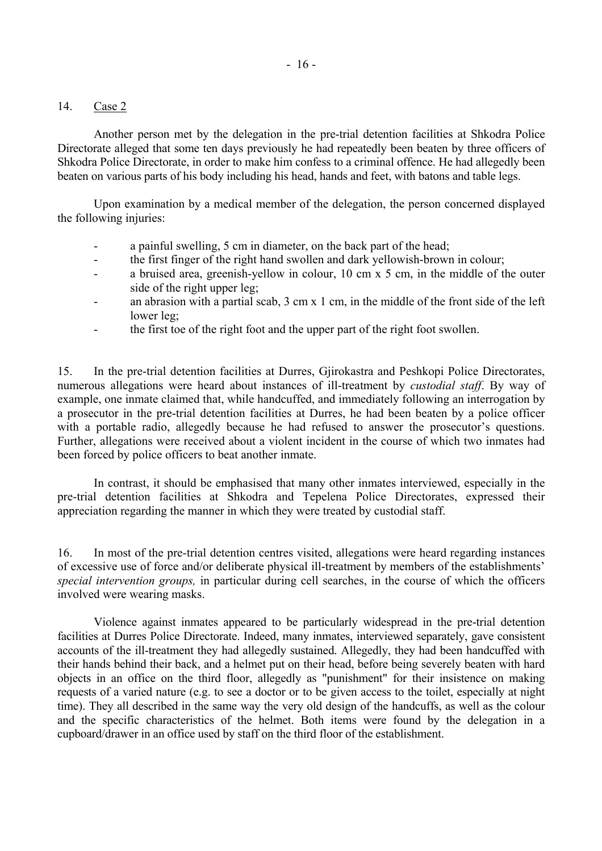#### 14. Case 2

 Another person met by the delegation in the pre-trial detention facilities at Shkodra Police Directorate alleged that some ten days previously he had repeatedly been beaten by three officers of Shkodra Police Directorate, in order to make him confess to a criminal offence. He had allegedly been beaten on various parts of his body including his head, hands and feet, with batons and table legs.

 Upon examination by a medical member of the delegation, the person concerned displayed the following injuries:

- a painful swelling, 5 cm in diameter, on the back part of the head;
- the first finger of the right hand swollen and dark yellowish-brown in colour;
- a bruised area, greenish-yellow in colour, 10 cm x 5 cm, in the middle of the outer side of the right upper leg;
- an abrasion with a partial scab,  $3 \text{ cm} \times 1 \text{ cm}$ , in the middle of the front side of the left lower leg;
- the first toe of the right foot and the upper part of the right foot swollen.

15. In the pre-trial detention facilities at Durres, Gjirokastra and Peshkopi Police Directorates, numerous allegations were heard about instances of ill-treatment by *custodial staff*. By way of example, one inmate claimed that, while handcuffed, and immediately following an interrogation by a prosecutor in the pre-trial detention facilities at Durres, he had been beaten by a police officer with a portable radio, allegedly because he had refused to answer the prosecutor's questions. Further, allegations were received about a violent incident in the course of which two inmates had been forced by police officers to beat another inmate.

 In contrast, it should be emphasised that many other inmates interviewed, especially in the pre-trial detention facilities at Shkodra and Tepelena Police Directorates, expressed their appreciation regarding the manner in which they were treated by custodial staff.

16. In most of the pre-trial detention centres visited, allegations were heard regarding instances of excessive use of force and/or deliberate physical ill-treatment by members of the establishments<sup>'</sup> *special intervention groups,* in particular during cell searches, in the course of which the officers involved were wearing masks.

 Violence against inmates appeared to be particularly widespread in the pre-trial detention facilities at Durres Police Directorate. Indeed, many inmates, interviewed separately, gave consistent accounts of the ill-treatment they had allegedly sustained. Allegedly, they had been handcuffed with their hands behind their back, and a helmet put on their head, before being severely beaten with hard objects in an office on the third floor, allegedly as "punishment" for their insistence on making requests of a varied nature (e.g. to see a doctor or to be given access to the toilet, especially at night time). They all described in the same way the very old design of the handcuffs, as well as the colour and the specific characteristics of the helmet. Both items were found by the delegation in a cupboard/drawer in an office used by staff on the third floor of the establishment.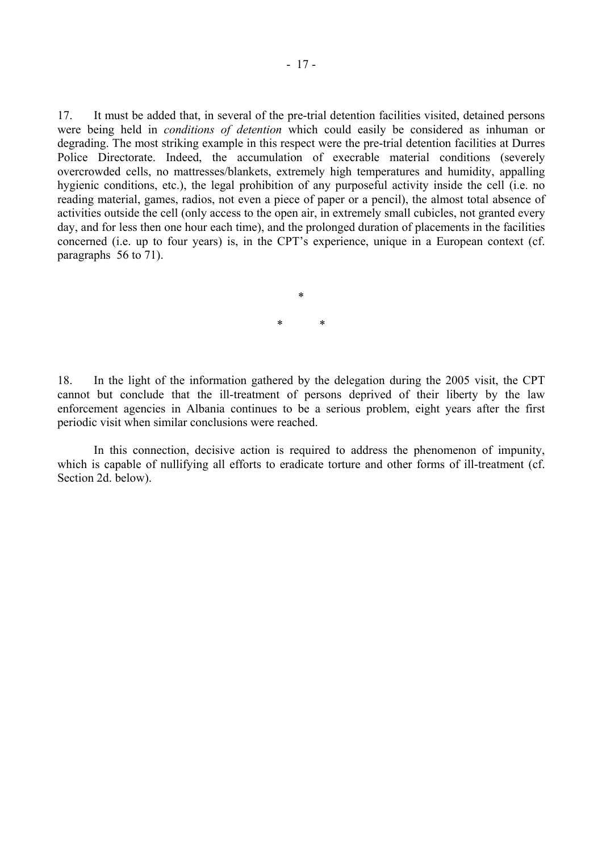17. It must be added that, in several of the pre-trial detention facilities visited, detained persons were being held in *conditions of detention* which could easily be considered as inhuman or degrading. The most striking example in this respect were the pre-trial detention facilities at Durres Police Directorate. Indeed, the accumulation of execrable material conditions (severely overcrowded cells, no mattresses/blankets, extremely high temperatures and humidity, appalling hygienic conditions, etc.), the legal prohibition of any purposeful activity inside the cell (i.e. no reading material, games, radios, not even a piece of paper or a pencil), the almost total absence of activities outside the cell (only access to the open air, in extremely small cubicles, not granted every day, and for less then one hour each time), and the prolonged duration of placements in the facilities concerned (i.e. up to four years) is, in the CPT's experience, unique in a European context (cf. paragraphs 56 to 71).

> \* \* \*

18. In the light of the information gathered by the delegation during the 2005 visit, the CPT cannot but conclude that the ill-treatment of persons deprived of their liberty by the law enforcement agencies in Albania continues to be a serious problem, eight years after the first periodic visit when similar conclusions were reached.

 In this connection, decisive action is required to address the phenomenon of impunity, which is capable of nullifying all efforts to eradicate torture and other forms of ill-treatment (cf. Section 2d. below).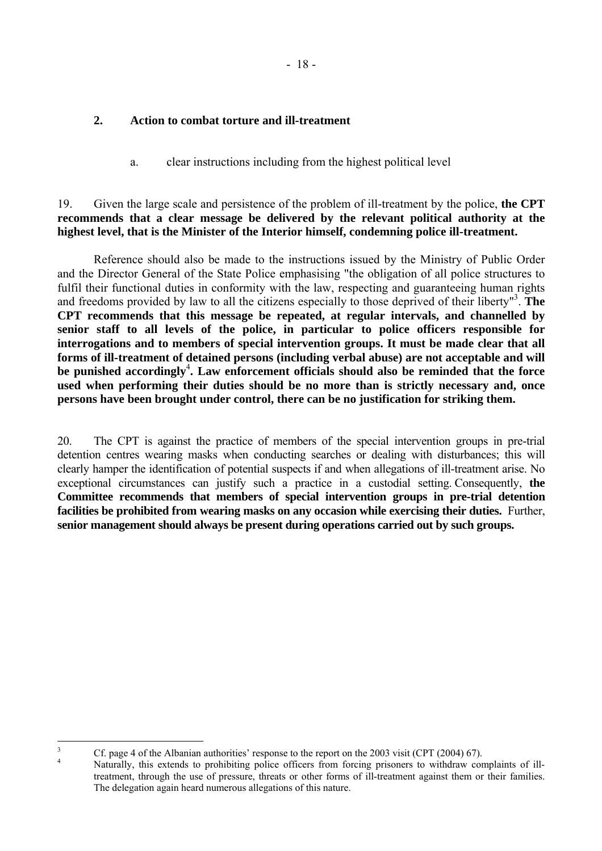#### <span id="page-19-0"></span>**2. Action to combat torture and ill-treatment**

a. clear instructions including from the highest political level

## 19. Given the large scale and persistence of the problem of ill-treatment by the police, **the CPT recommends that a clear message be delivered by the relevant political authority at the highest level, that is the Minister of the Interior himself, condemning police ill-treatment.**

 Reference should also be made to the instructions issued by the Ministry of Public Order and the Director General of the State Police emphasising "the obligation of all police structures to fulfil their functional duties in conformity with the law, respecting and guaranteeing human rights and freedoms provided by law to all the citizens especially to those deprived of their liberty"[3](#page-19-1) . **The CPT recommends that this message be repeated, at regular intervals, and channelled by senior staff to all levels of the police, in particular to police officers responsible for interrogations and to members of special intervention groups. It must be made clear that all forms of ill-treatment of detained persons (including verbal abuse) are not acceptable and will**  be punished accordingly<sup>4</sup>[.](#page-19-2) Law enforcement officials should also be reminded that the force **used when performing their duties should be no more than is strictly necessary and, once persons have been brought under control, there can be no justification for striking them.** 

20. The CPT is against the practice of members of the special intervention groups in pre-trial detention centres wearing masks when conducting searches or dealing with disturbances; this will clearly hamper the identification of potential suspects if and when allegations of ill-treatment arise. No exceptional circumstances can justify such a practice in a custodial setting. Consequently, **the Committee recommends that members of special intervention groups in pre-trial detention facilities be prohibited from wearing masks on any occasion while exercising their duties.** Further, **senior management should always be present during operations carried out by such groups.**

3

<span id="page-19-1"></span><sup>&</sup>lt;sup>3</sup> Cf. page 4 of the Albanian authorities' response to the report on the 2003 visit (CPT (2004) 67).

<span id="page-19-2"></span>Naturally, this extends to prohibiting police officers from forcing prisoners to withdraw complaints of illtreatment, through the use of pressure, threats or other forms of ill-treatment against them or their families. The delegation again heard numerous allegations of this nature.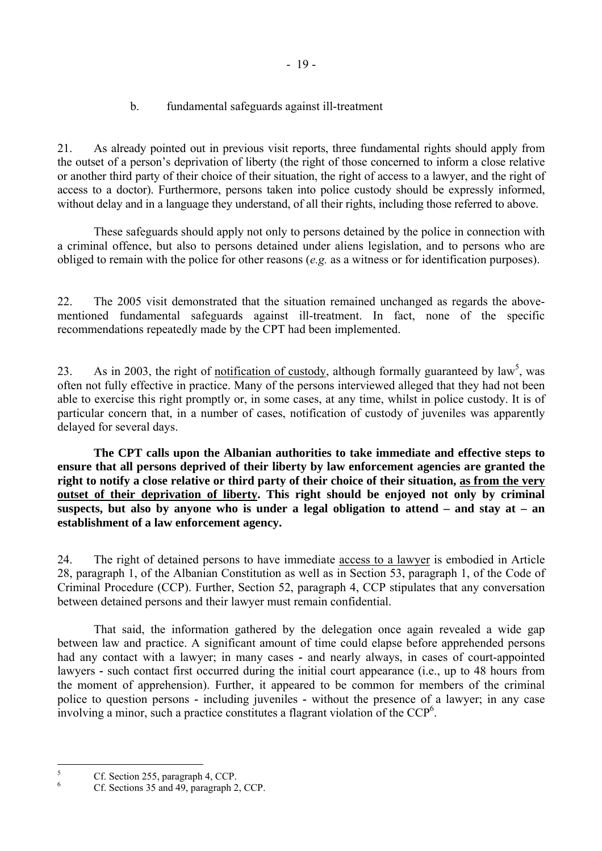- 19 -

b. fundamental safeguards against ill-treatment

<span id="page-20-0"></span>21. As already pointed out in previous visit reports, three fundamental rights should apply from the outset of a person's deprivation of liberty (the right of those concerned to inform a close relative or another third party of their choice of their situation, the right of access to a lawyer, and the right of access to a doctor). Furthermore, persons taken into police custody should be expressly informed, without delay and in a language they understand, of all their rights, including those referred to above.

 These safeguards should apply not only to persons detained by the police in connection with a criminal offence, but also to persons detained under aliens legislation, and to persons who are obliged to remain with the police for other reasons (*e.g.* as a witness or for identification purposes).

22. The 2005 visit demonstrated that the situation remained unchanged as regards the abovementioned fundamental safeguards against ill-treatment. In fact, none of the specific recommendations repeatedly made by the CPT had been implemented.

23. As in 2003[,](#page-20-1) the right of notification of custody, although formally guaranteed by law<sup>5</sup>, was often not fully effective in practice. Many of the persons interviewed alleged that they had not been able to exercise this right promptly or, in some cases, at any time, whilst in police custody. It is of particular concern that, in a number of cases, notification of custody of juveniles was apparently delayed for several days.

**The CPT calls upon the Albanian authorities to take immediate and effective steps to ensure that all persons deprived of their liberty by law enforcement agencies are granted the right to notify a close relative or third party of their choice of their situation, as from the very outset of their deprivation of liberty. This right should be enjoyed not only by criminal suspects, but also by anyone who is under a legal obligation to attend – and stay at – an establishment of a law enforcement agency.** 

24. The right of detained persons to have immediate access to a lawyer is embodied in Article 28, paragraph 1, of the Albanian Constitution as well as in Section 53, paragraph 1, of the Code of Criminal Procedure (CCP). Further, Section 52, paragraph 4, CCP stipulates that any conversation between detained persons and their lawyer must remain confidential.

 That said, the information gathered by the delegation once again revealed a wide gap between law and practice. A significant amount of time could elapse before apprehended persons had any contact with a lawyer; in many cases **-** and nearly always, in cases of court-appointed lawyers **-** such contact first occurred during the initial court appearance (i.e., up to 48 hours from the moment of apprehension). Further, it appeared to be common for members of the criminal police to question persons **-** including juveniles **-** without the presence of a lawyer; in any case involving a minor, such a practice constitutes a flagrant violation of the  $\text{CCP}^6$  $\text{CCP}^6$ .

 5 Cf. Section 255, paragraph 4, CCP.

<span id="page-20-2"></span><span id="page-20-1"></span><sup>6</sup> Cf. Sections 35 and 49, paragraph 2, CCP.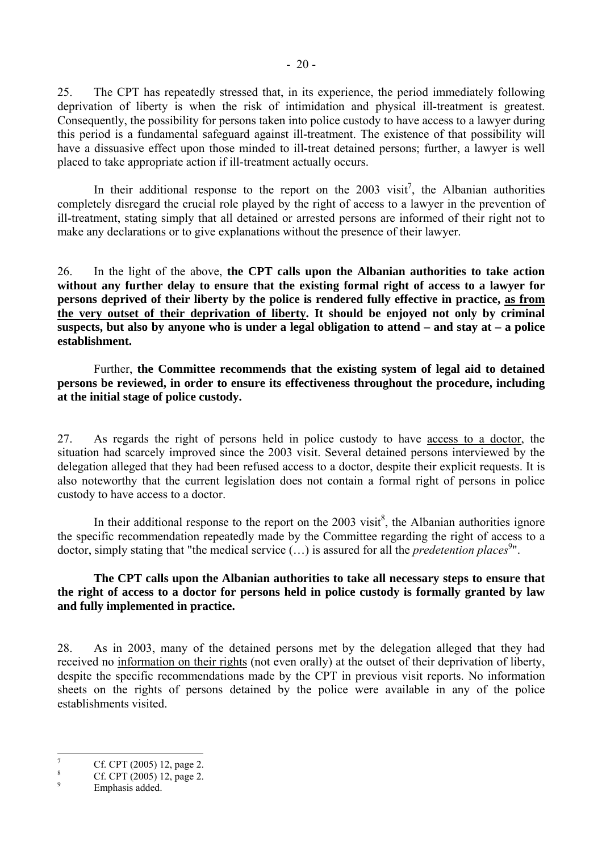25. The CPT has repeatedly stressed that, in its experience, the period immediately following deprivation of liberty is when the risk of intimidation and physical ill-treatment is greatest. Consequently, the possibility for persons taken into police custody to have access to a lawyer during this period is a fundamental safeguard against ill-treatment. The existence of that possibility will have a dissuasive effect upon those minded to ill-treat detained persons; further, a lawyer is well placed to take appropriate action if ill-treatment actually occurs.

In their additional response to the report on the  $2003$  visit<sup>[7](#page-21-0)</sup>, the Albanian authorities completely disregard the crucial role played by the right of access to a lawyer in the prevention of ill-treatment, stating simply that all detained or arrested persons are informed of their right not to make any declarations or to give explanations without the presence of their lawyer.

26. In the light of the above, **the CPT calls upon the Albanian authorities to take action without any further delay to ensure that the existing formal right of access to a lawyer for persons deprived of their liberty by the police is rendered fully effective in practice, as from the very outset of their deprivation of liberty. It should be enjoyed not only by criminal suspects, but also by anyone who is under a legal obligation to attend – and stay at – a police establishment.** 

 Further, **the Committee recommends that the existing system of legal aid to detained persons be reviewed, in order to ensure its effectiveness throughout the procedure, including at the initial stage of police custody.** 

27. As regards the right of persons held in police custody to have access to a doctor, the situation had scarcely improved since the 2003 visit. Several detained persons interviewed by the delegation alleged that they had been refused access to a doctor, despite their explicit requests. It is also noteworthy that the current legislation does not contain a formal right of persons in police custody to have access to a doctor.

In their additional response to the report on the  $2003$  visit<sup>[8](#page-21-1)</sup>, the Albanian authorities ignore the specific recommendation repeatedly made by the Committee regarding the right of access to a doctor, simply stating that ["](#page-21-2)the medical service (...) is assured for all the *predetention places*<sup>9</sup>".

**The CPT calls upon the Albanian authorities to take all necessary steps to ensure that the right of access to a doctor for persons held in police custody is formally granted by law and fully implemented in practice.** 

28. As in 2003, many of the detained persons met by the delegation alleged that they had received no information on their rights (not even orally) at the outset of their deprivation of liberty, despite the specific recommendations made by the CPT in previous visit reports. No information sheets on the rights of persons detained by the police were available in any of the police establishments visited.

<sup>-&</sup>lt;br>7 Cf. CPT (2005) 12, page 2.

<span id="page-21-1"></span><span id="page-21-0"></span><sup>8</sup> Cf. CPT (2005) 12, page 2.  $\overline{Q}$ 

<span id="page-21-2"></span>Emphasis added.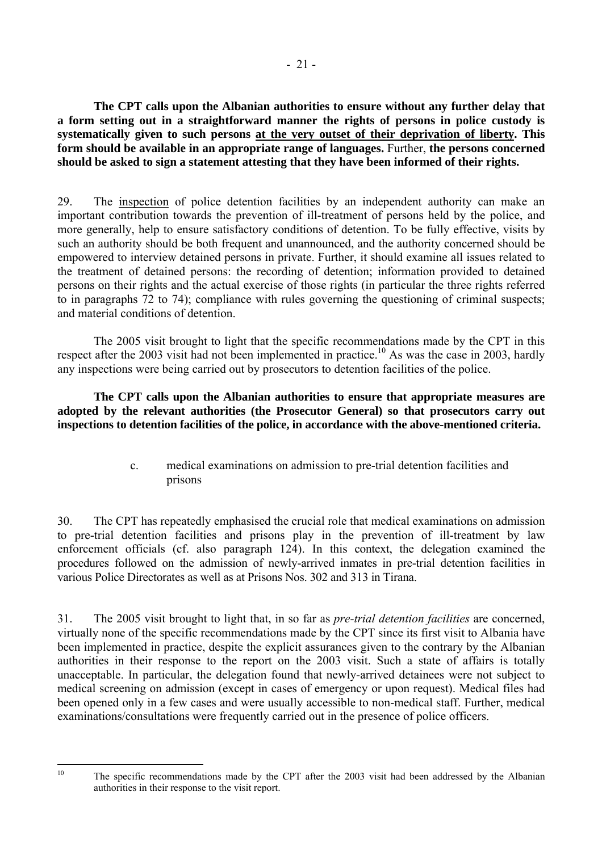<span id="page-22-0"></span> **The CPT calls upon the Albanian authorities to ensure without any further delay that a form setting out in a straightforward manner the rights of persons in police custody is systematically given to such persons at the very outset of their deprivation of liberty. This form should be available in an appropriate range of languages.** Further, **the persons concerned should be asked to sign a statement attesting that they have been informed of their rights.** 

29. The inspection of police detention facilities by an independent authority can make an important contribution towards the prevention of ill-treatment of persons held by the police, and more generally, help to ensure satisfactory conditions of detention. To be fully effective, visits by such an authority should be both frequent and unannounced, and the authority concerned should be empowered to interview detained persons in private. Further, it should examine all issues related to the treatment of detained persons: the recording of detention; information provided to detained persons on their rights and the actual exercise of those rights (in particular the three rights referred to in paragraphs 72 to 74); compliance with rules governing the questioning of criminal suspects; and material conditions of detention.

 The 2005 visit brought to light that the specific recommendations made by the CPT in this respect after the 2003 visit had not been implemented in practice.<sup>10</sup> As was the case in 2003, hardly any inspections were being carried out by prosecutors to detention facilities of the police.

**The CPT calls upon the Albanian authorities to ensure that appropriate measures are adopted by the relevant authorities (the Prosecutor General) so that prosecutors carry out inspections to detention facilities of the police, in accordance with the above-mentioned criteria.** 

> c. medical examinations on admission to pre-trial detention facilities and prisons

30. The CPT has repeatedly emphasised the crucial role that medical examinations on admission to pre-trial detention facilities and prisons play in the prevention of ill-treatment by law enforcement officials (cf. also paragraph 124). In this context, the delegation examined the procedures followed on the admission of newly-arrived inmates in pre-trial detention facilities in various Police Directorates as well as at Prisons Nos. 302 and 313 in Tirana.

31. The 2005 visit brought to light that, in so far as *pre-trial detention facilities* are concerned, virtually none of the specific recommendations made by the CPT since its first visit to Albania have been implemented in practice, despite the explicit assurances given to the contrary by the Albanian authorities in their response to the report on the 2003 visit. Such a state of affairs is totally unacceptable. In particular, the delegation found that newly-arrived detainees were not subject to medical screening on admission (except in cases of emergency or upon request). Medical files had been opened only in a few cases and were usually accessible to non-medical staff. Further, medical examinations/consultations were frequently carried out in the presence of police officers.

<span id="page-22-1"></span> $10<sup>10</sup>$ 

The specific recommendations made by the CPT after the 2003 visit had been addressed by the Albanian authorities in their response to the visit report.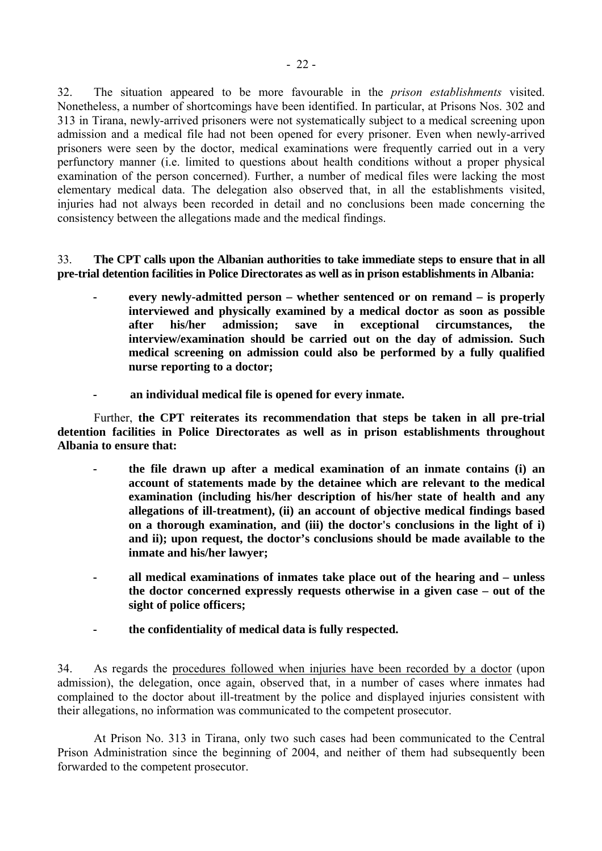32. The situation appeared to be more favourable in the *prison establishments* visited. Nonetheless, a number of shortcomings have been identified. In particular, at Prisons Nos. 302 and 313 in Tirana, newly-arrived prisoners were not systematically subject to a medical screening upon admission and a medical file had not been opened for every prisoner. Even when newly-arrived prisoners were seen by the doctor, medical examinations were frequently carried out in a very perfunctory manner (i.e. limited to questions about health conditions without a proper physical examination of the person concerned). Further, a number of medical files were lacking the most elementary medical data. The delegation also observed that, in all the establishments visited, injuries had not always been recorded in detail and no conclusions been made concerning the consistency between the allegations made and the medical findings.

33. **The CPT calls upon the Albanian authorities to take immediate steps to ensure that in all pre-trial detention facilities in Police Directorates as well as in prison establishments in Albania:** 

- **every newly-admitted person whether sentenced or on remand is properly interviewed and physically examined by a medical doctor as soon as possible after his/her admission; save in exceptional circumstances, the interview/examination should be carried out on the day of admission. Such medical screening on admission could also be performed by a fully qualified nurse reporting to a doctor;**
- **an individual medical file is opened for every inmate.**

 Further, **the CPT reiterates its recommendation that steps be taken in all pre-trial detention facilities in Police Directorates as well as in prison establishments throughout Albania to ensure that:**

- **the file drawn up after a medical examination of an inmate contains (i) an account of statements made by the detainee which are relevant to the medical examination (including his/her description of his/her state of health and any allegations of ill-treatment), (ii) an account of objective medical findings based on a thorough examination, and (iii) the doctor's conclusions in the light of i) and ii); upon request, the doctor's conclusions should be made available to the inmate and his/her lawyer;**
- **all medical examinations of inmates take place out of the hearing and unless the doctor concerned expressly requests otherwise in a given case – out of the sight of police officers;**
- **the confidentiality of medical data is fully respected.**

34. As regards the procedures followed when injuries have been recorded by a doctor (upon admission), the delegation, once again, observed that, in a number of cases where inmates had complained to the doctor about ill-treatment by the police and displayed injuries consistent with their allegations, no information was communicated to the competent prosecutor.

 At Prison No. 313 in Tirana, only two such cases had been communicated to the Central Prison Administration since the beginning of 2004, and neither of them had subsequently been forwarded to the competent prosecutor.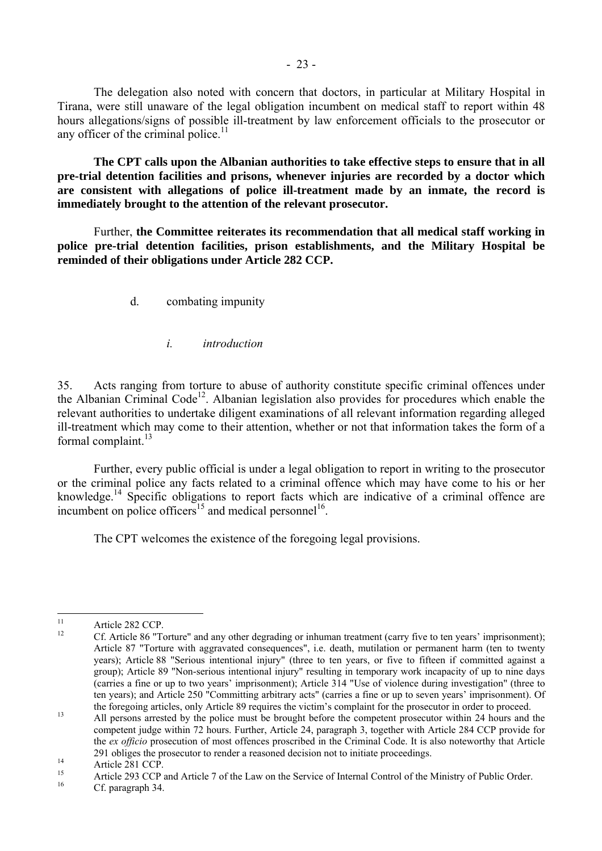<span id="page-24-0"></span> The delegation also noted with concern that doctors, in particular at Military Hospital in Tirana, were still unaware of the legal obligation incumbent on medical staff to report within 48 hours allegations/signs of possible ill-treatment by law enforcement officials to the prosecutor or any officer of the criminal police. $11$ 

 **The CPT calls upon the Albanian authorities to take effective steps to ensure that in all pre-trial detention facilities and prisons, whenever injuries are recorded by a doctor which are consistent with allegations of police ill-treatment made by an inmate, the record is immediately brought to the attention of the relevant prosecutor.** 

 Further, **the Committee reiterates its recommendation that all medical staff working in police pre-trial detention facilities, prison establishments, and the Military Hospital be reminded of their obligations under Article 282 CCP.**

d. combating impunity

*i. introduction* 

35. Acts ranging from torture to abuse of authority constitute specific criminal offences under the Albanian Criminal Code<sup>12</sup>. Albanian legislation also provides for procedures which enable the relevant authorities to undertake diligent examinations of all relevant information regarding alleged ill-treatment which may come to their attention, whether or not that information takes the form of a formal complaint. $^{13}$  $^{13}$  $^{13}$ 

 Further, every public official is under a legal obligation to report in writing to the prosecutor or the criminal police any facts related to a criminal offence which may have come to his or her knowledge.<sup>14</sup> Specific obligations to report facts which are indicative of a criminal offence are incumbent on police officers<sup>15</sup> and medical personnel<sup>16</sup>.

The CPT welcomes the existence of the foregoing legal provisions.

<span id="page-24-1"></span> $11$ <sup>11</sup> Article 282 CCP.

<span id="page-24-2"></span><sup>12</sup> Cf. Article 86 "Torture" and any other degrading or inhuman treatment (carry five to ten yearsí imprisonment); Article 87 "Torture with aggravated consequences", i.e. death, mutilation or permanent harm (ten to twenty years); Article 88 "Serious intentional injury" (three to ten years, or five to fifteen if committed against a group); Article 89 "Non-serious intentional injury" resulting in temporary work incapacity of up to nine days (carries a fine or up to two yearsí imprisonment); Article 314 "Use of violence during investigation" (three to ten years); and Article 250 "Committing arbitrary acts" (carries a fine or up to seven yearsí imprisonment). Of

<span id="page-24-3"></span>the foregoing articles, only Article 89 requires the victim's complaint for the prosecutor in order to proceed.<br>All persons arrested by the police must be brought before the competent prosecutor within 24 hours and the competent judge within 72 hours. Further, Article 24, paragraph 3, together with Article 284 CCP provide for the *ex officio* prosecution of most offences proscribed in the Criminal Code. It is also noteworthy that Article 291 obliges the prosecutor to render a reasoned decision not to initiate proceedings.<br>Article 281 CCP.

<span id="page-24-4"></span>

<span id="page-24-5"></span><sup>&</sup>lt;sup>15</sup> Article 293 CCP and Article 7 of the Law on the Service of Internal Control of the Ministry of Public Order.<br><sup>16</sup> Cf. paragraph 34.

<span id="page-24-6"></span>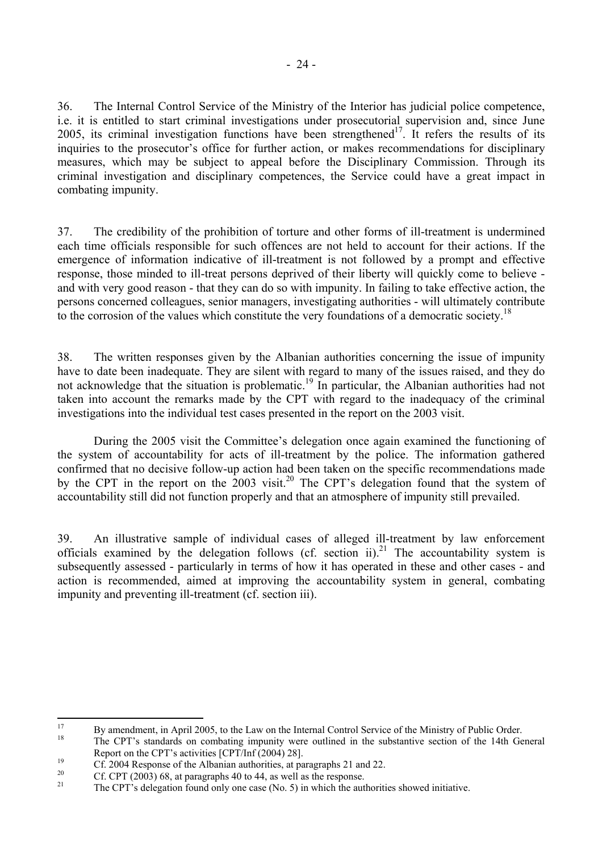36. The Internal Control Service of the Ministry of the Interior has judicial police competence, i.e. it is entitled to start criminal investigations under prosecutorial supervision and, since June 2005, its criminal investigation functions have been strengthened<sup>17</sup>. It refers the results of its inquiries to the prosecutor's office for further action, or makes recommendations for disciplinary measures, which may be subject to appeal before the Disciplinary Commission. Through its criminal investigation and disciplinary competences, the Service could have a great impact in combating impunity.

37. The credibility of the prohibition of torture and other forms of ill-treatment is undermined each time officials responsible for such offences are not held to account for their actions. If the emergence of information indicative of ill-treatment is not followed by a prompt and effective response, those minded to ill-treat persons deprived of their liberty will quickly come to believe and with very good reason - that they can do so with impunity. In failing to take effective action, the persons concerned colleagues, senior managers, investigating authorities - will ultimately contribute to the corrosion of the values which constitute the very foundations of a democratic society.<sup>18</sup>

38. The written responses given by the Albanian authorities concerning the issue of impunity have to date been inadequate. They are silent with regard to many of the issues raised, and they do not acknowledge that the situation is problematic.<sup>19</sup> In particular, the Albanian authorities had not taken into account the remarks made by the CPT with regard to the inadequacy of the criminal investigations into the individual test cases presented in the report on the 2003 visit.

During the 2005 visit the Committee's delegation once again examined the functioning of the system of accountability for acts of ill-treatment by the police. The information gathered confirmed that no decisive follow-up action had been taken on the specific recommendations made by the CPT in the report on the  $2003$  visit.<sup>20</sup> The CPT's delegation found that the system of accountability still did not function properly and that an atmosphere of impunity still prevailed.

39. An illustrative sample of individual cases of alleged ill-treatment by law enforcement officials examined by the delegation follows (cf. section ii).<sup>21</sup> The accountability system is subsequently assessed - particularly in terms of how it has operated in these and other cases - and action is recommended, aimed at improving the accountability system in general, combating impunity and preventing ill-treatment (cf. section iii).

<span id="page-25-0"></span> $17$ <sup>17</sup> By amendment, in April 2005, to the Law on the Internal Control Service of the Ministry of Public Order.

<span id="page-25-1"></span>The CPT's standards on combating impunity were outlined in the substantive section of the 14th General

<span id="page-25-2"></span>Report on the CPT's activities [CPT/Inf (2004) 28].<br>
20 Cf. 2004 Response of the Albanian authorities, at paragraphs 21 and 22.

<span id="page-25-3"></span><sup>&</sup>lt;sup>20</sup> Cf. CPT (2003) 68, at paragraphs 40 to 44, as well as the response.

<span id="page-25-4"></span>The CPT's delegation found only one case (No. 5) in which the authorities showed initiative.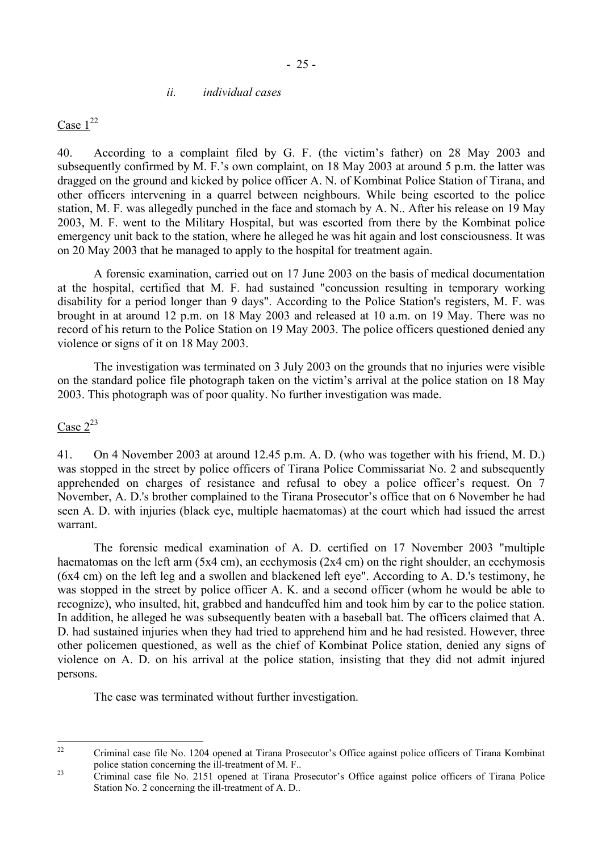#### *ii. individual cases*

<span id="page-26-0"></span>Case  $1^{22}$  $1^{22}$  $1^{22}$ 

40. According to a complaint filed by G. F. (the victim's father) on 28 May 2003 and subsequently confirmed by M. F.'s own complaint, on 18 May 2003 at around 5 p.m. the latter was dragged on the ground and kicked by police officer A. N. of Kombinat Police Station of Tirana, and other officers intervening in a quarrel between neighbours. While being escorted to the police station, M. F. was allegedly punched in the face and stomach by A. N.. After his release on 19 May 2003, M. F. went to the Military Hospital, but was escorted from there by the Kombinat police emergency unit back to the station, where he alleged he was hit again and lost consciousness. It was on 20 May 2003 that he managed to apply to the hospital for treatment again.

 A forensic examination, carried out on 17 June 2003 on the basis of medical documentation at the hospital, certified that M. F. had sustained "concussion resulting in temporary working disability for a period longer than 9 days". According to the Police Station's registers, M. F. was brought in at around 12 p.m. on 18 May 2003 and released at 10 a.m. on 19 May. There was no record of his return to the Police Station on 19 May 2003. The police officers questioned denied any violence or signs of it on 18 May 2003.

 The investigation was terminated on 3 July 2003 on the grounds that no injuries were visible on the standard police file photograph taken on the victim's arrival at the police station on 18 May 2003. This photograph was of poor quality. No further investigation was made.

## Case  $2^{23}$  $2^{23}$  $2^{23}$

41. On 4 November 2003 at around 12.45 p.m. A. D. (who was together with his friend, M. D.) was stopped in the street by police officers of Tirana Police Commissariat No. 2 and subsequently apprehended on charges of resistance and refusal to obey a police officer's request. On 7 November, A. D.'s brother complained to the Tirana Prosecutor's office that on 6 November he had seen A. D. with injuries (black eye, multiple haematomas) at the court which had issued the arrest warrant.

 The forensic medical examination of A. D. certified on 17 November 2003 "multiple haematomas on the left arm (5x4 cm), an ecchymosis (2x4 cm) on the right shoulder, an ecchymosis (6x4 cm) on the left leg and a swollen and blackened left eye". According to A. D.'s testimony, he was stopped in the street by police officer A. K. and a second officer (whom he would be able to recognize), who insulted, hit, grabbed and handcuffed him and took him by car to the police station. In addition, he alleged he was subsequently beaten with a baseball bat. The officers claimed that A. D. had sustained injuries when they had tried to apprehend him and he had resisted. However, three other policemen questioned, as well as the chief of Kombinat Police station, denied any signs of violence on A. D. on his arrival at the police station, insisting that they did not admit injured persons.

The case was terminated without further investigation.

<span id="page-26-1"></span> $22$ Criminal case file No. 1204 opened at Tirana Prosecutor's Office against police officers of Tirana Kombinat police station concerning the ill-treatment of M. F.. <br><sup>23</sup> Criminal case file No. 2151 opened at Tirana Prosecutor's Office against police officers of Tirana Police

<span id="page-26-2"></span>Station No. 2 concerning the ill-treatment of A. D..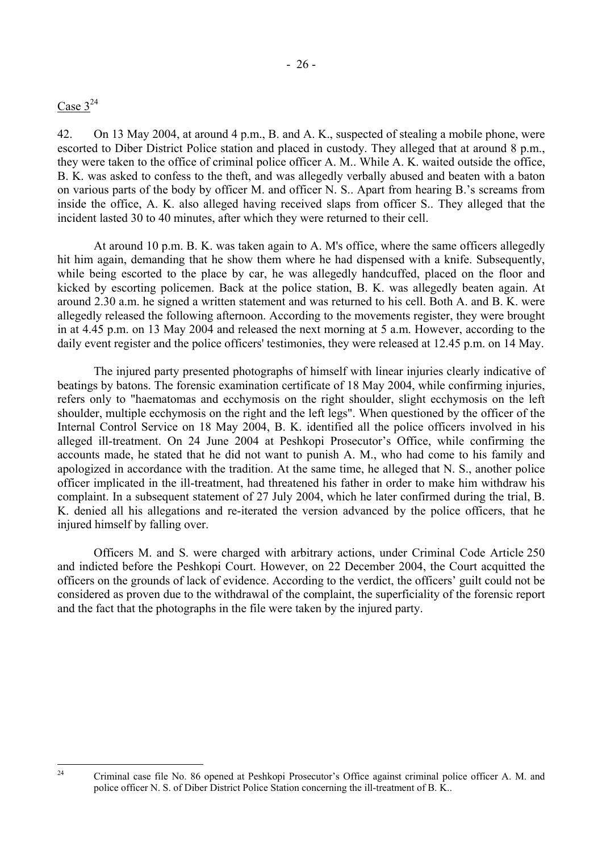## Case  $3^{24}$  $3^{24}$  $3^{24}$

<span id="page-27-0"></span> $24$ 

42. On 13 May 2004, at around 4 p.m., B. and A. K., suspected of stealing a mobile phone, were escorted to Diber District Police station and placed in custody. They alleged that at around 8 p.m., they were taken to the office of criminal police officer A. M.. While A. K. waited outside the office, B. K. was asked to confess to the theft, and was allegedly verbally abused and beaten with a baton on various parts of the body by officer M. and officer N. S.. Apart from hearing B.ís screams from inside the office, A. K. also alleged having received slaps from officer S.. They alleged that the incident lasted 30 to 40 minutes, after which they were returned to their cell.

 At around 10 p.m. B. K. was taken again to A. M's office, where the same officers allegedly hit him again, demanding that he show them where he had dispensed with a knife. Subsequently, while being escorted to the place by car, he was allegedly handcuffed, placed on the floor and kicked by escorting policemen. Back at the police station, B. K. was allegedly beaten again. At around 2.30 a.m. he signed a written statement and was returned to his cell. Both A. and B. K. were allegedly released the following afternoon. According to the movements register, they were brought in at 4.45 p.m. on 13 May 2004 and released the next morning at 5 a.m. However, according to the daily event register and the police officers' testimonies, they were released at 12.45 p.m. on 14 May.

 The injured party presented photographs of himself with linear injuries clearly indicative of beatings by batons. The forensic examination certificate of 18 May 2004, while confirming injuries, refers only to "haematomas and ecchymosis on the right shoulder, slight ecchymosis on the left shoulder, multiple ecchymosis on the right and the left legs". When questioned by the officer of the Internal Control Service on 18 May 2004, B. K. identified all the police officers involved in his alleged ill-treatment. On 24 June 2004 at Peshkopi Prosecutor's Office, while confirming the accounts made, he stated that he did not want to punish A. M., who had come to his family and apologized in accordance with the tradition. At the same time, he alleged that N. S., another police officer implicated in the ill-treatment, had threatened his father in order to make him withdraw his complaint. In a subsequent statement of 27 July 2004, which he later confirmed during the trial, B. K. denied all his allegations and re-iterated the version advanced by the police officers, that he injured himself by falling over.

 Officers M. and S. were charged with arbitrary actions, under Criminal Code Article 250 and indicted before the Peshkopi Court. However, on 22 December 2004, the Court acquitted the officers on the grounds of lack of evidence. According to the verdict, the officers' guilt could not be considered as proven due to the withdrawal of the complaint, the superficiality of the forensic report and the fact that the photographs in the file were taken by the injured party.

Criminal case file No. 86 opened at Peshkopi Prosecutor's Office against criminal police officer A. M. and police officer N. S. of Diber District Police Station concerning the ill-treatment of B. K..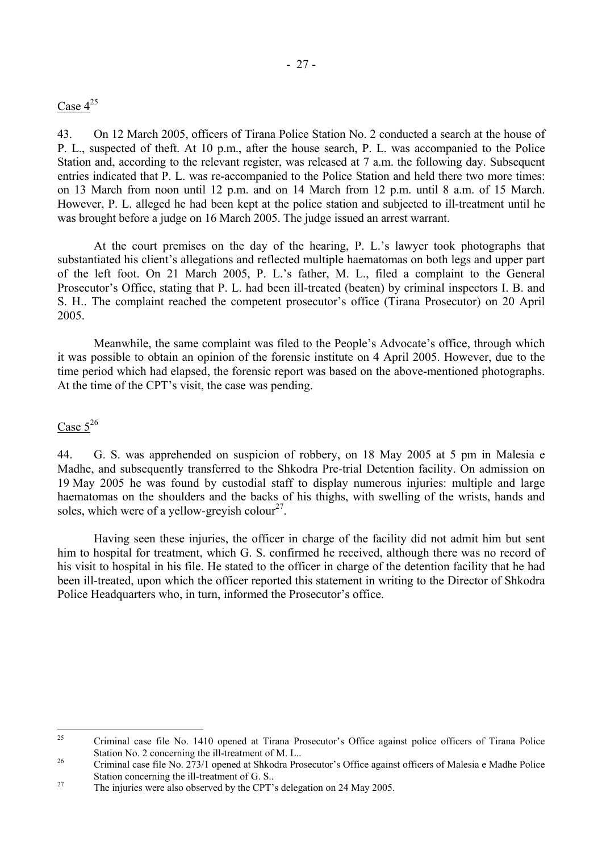## Case  $4^{25}$  $4^{25}$  $4^{25}$

43. On 12 March 2005, officers of Tirana Police Station No. 2 conducted a search at the house of P. L., suspected of theft. At 10 p.m., after the house search, P. L. was accompanied to the Police Station and, according to the relevant register, was released at 7 a.m. the following day. Subsequent entries indicated that P. L. was re-accompanied to the Police Station and held there two more times: on 13 March from noon until 12 p.m. and on 14 March from 12 p.m. until 8 a.m. of 15 March. However, P. L. alleged he had been kept at the police station and subjected to ill-treatment until he was brought before a judge on 16 March 2005. The judge issued an arrest warrant.

At the court premises on the day of the hearing, P. L.'s lawyer took photographs that substantiated his client's allegations and reflected multiple haematomas on both legs and upper part of the left foot. On 21 March 2005, P. L.'s father, M. L., filed a complaint to the General Prosecutor's Office, stating that P. L. had been ill-treated (beaten) by criminal inspectors I. B. and S. H.. The complaint reached the competent prosecutor's office (Tirana Prosecutor) on 20 April 2005.

Meanwhile, the same complaint was filed to the People's Advocate's office, through which it was possible to obtain an opinion of the forensic institute on 4 April 2005. However, due to the time period which had elapsed, the forensic report was based on the above-mentioned photographs. At the time of the CPT's visit, the case was pending.

## Case  $5^{26}$  $5^{26}$  $5^{26}$

44. G. S. was apprehended on suspicion of robbery, on 18 May 2005 at 5 pm in Malesia e Madhe, and subsequently transferred to the Shkodra Pre-trial Detention facility. On admission on 19 May 2005 he was found by custodial staff to display numerous injuries: multiple and large haematomas on the shoulders and the backs of his thighs, with swelling of the wrists, hands and soles, which were of a yellow-greyish colour<sup>27</sup>.

 Having seen these injuries, the officer in charge of the facility did not admit him but sent him to hospital for treatment, which G. S. confirmed he received, although there was no record of his visit to hospital in his file. He stated to the officer in charge of the detention facility that he had been ill-treated, upon which the officer reported this statement in writing to the Director of Shkodra Police Headquarters who, in turn, informed the Prosecutor's office.

<span id="page-28-0"></span> $25$ Criminal case file No. 1410 opened at Tirana Prosecutor's Office against police officers of Tirana Police Station No. 2 concerning the ill-treatment of M. L.. <br><sup>26</sup> Criminal case file No. 273/1 opened at Shkodra Prosecutor's Office against officers of Malesia e Madhe Police

<span id="page-28-1"></span>Station concerning the ill-treatment of G. S..<br><sup>27</sup> The injuries were also observed by the CPT's delegation on 24 May 2005.

<span id="page-28-2"></span>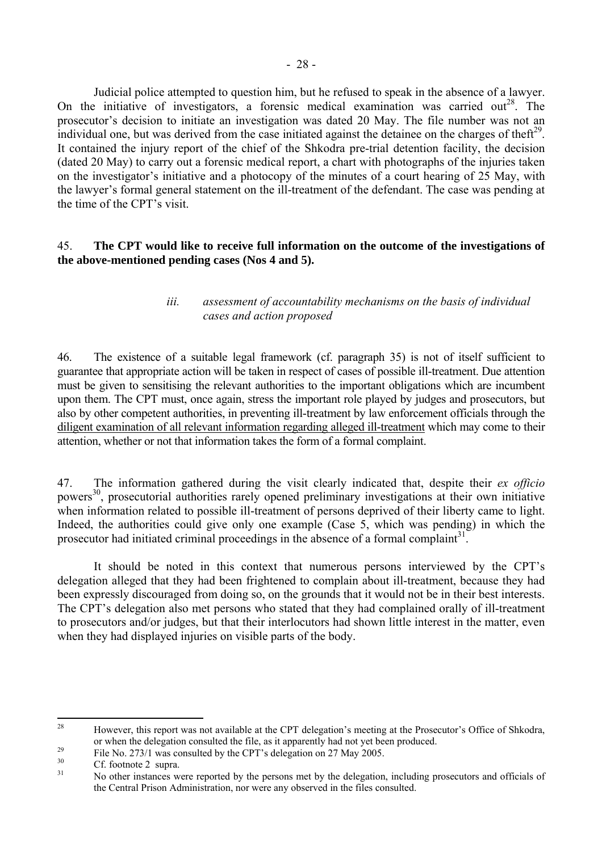<span id="page-29-0"></span> Judicial police attempted to question him, but he refused to speak in the absence of a lawyer. On the initiative of investigators, a forensic medical examination was carried out<sup>28</sup>. The prosecutor's decision to initiate an investigation was dated 20 May. The file number was not an individual one, but was derived from the case initiated against the detainee on the charges of theft<sup>29</sup>. It contained the injury report of the chief of the Shkodra pre-trial detention facility, the decision (dated 20 May) to carry out a forensic medical report, a chart with photographs of the injuries taken on the investigator's initiative and a photocopy of the minutes of a court hearing of 25 May, with the lawyer's formal general statement on the ill-treatment of the defendant. The case was pending at the time of the CPT's visit.

## 45. **The CPT would like to receive full information on the outcome of the investigations of the above-mentioned pending cases (Nos 4 and 5).**

## *iii. assessment of accountability mechanisms on the basis of individual cases and action proposed*

46. The existence of a suitable legal framework (cf. paragraph 35) is not of itself sufficient to guarantee that appropriate action will be taken in respect of cases of possible ill-treatment. Due attention must be given to sensitising the relevant authorities to the important obligations which are incumbent upon them. The CPT must, once again, stress the important role played by judges and prosecutors, but also by other competent authorities, in preventing ill-treatment by law enforcement officials through the diligent examination of all relevant information regarding alleged ill-treatment which may come to their attention, whether or not that information takes the form of a formal complaint.

47. The information gathered during the visit clearly indicated that, despite their *ex officio*  powers<sup>30</sup>, prosecutorial authorities rarely opened preliminary investigations at their own initiative when information related to possible ill-treatment of persons deprived of their liberty came to light. Indeed, the authorities could give only one example (Case 5, which was pending) in which the prosecutor had initiated criminal proceedings in the absence of a formal complaint<sup>31</sup>.

It should be noted in this context that numerous persons interviewed by the CPT's delegation alleged that they had been frightened to complain about ill-treatment, because they had been expressly discouraged from doing so, on the grounds that it would not be in their best interests. The CPT's delegation also met persons who stated that they had complained orally of ill-treatment to prosecutors and/or judges, but that their interlocutors had shown little interest in the matter, even when they had displayed injuries on visible parts of the body.

<span id="page-29-1"></span><sup>28</sup> However, this report was not available at the CPT delegation's meeting at the Prosecutor's Office of Shkodra.

or when the delegation consulted the file, as it apparently had not yet been produced.<br>
<sup>29</sup> File No. 273/1 was consulted by the CPT's delegation on 27 May 2005.<br>
Cf. footnote 2 supra.

<span id="page-29-3"></span><span id="page-29-2"></span>

<span id="page-29-4"></span>No other instances were reported by the persons met by the delegation, including prosecutors and officials of the Central Prison Administration, nor were any observed in the files consulted.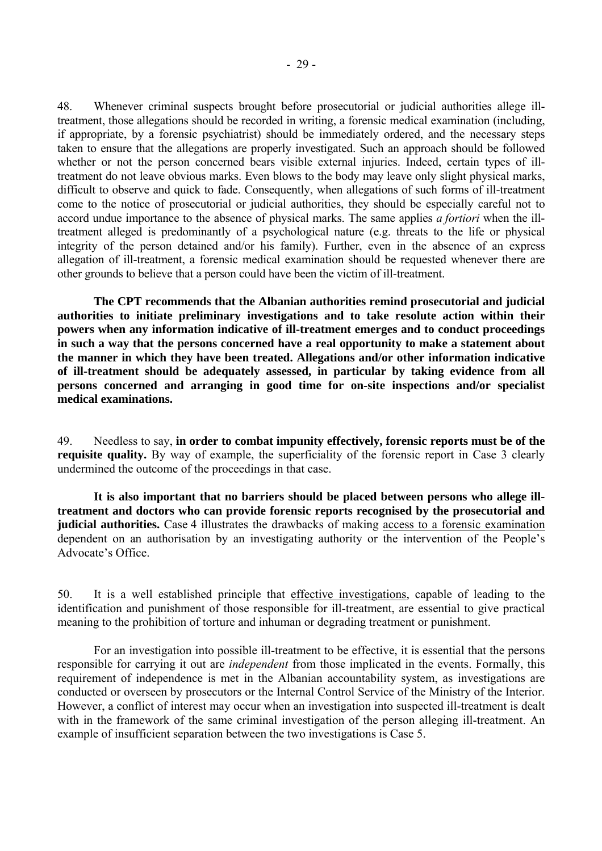48. Whenever criminal suspects brought before prosecutorial or judicial authorities allege illtreatment, those allegations should be recorded in writing, a forensic medical examination (including, if appropriate, by a forensic psychiatrist) should be immediately ordered, and the necessary steps taken to ensure that the allegations are properly investigated. Such an approach should be followed whether or not the person concerned bears visible external injuries. Indeed, certain types of illtreatment do not leave obvious marks. Even blows to the body may leave only slight physical marks, difficult to observe and quick to fade. Consequently, when allegations of such forms of ill-treatment come to the notice of prosecutorial or judicial authorities, they should be especially careful not to accord undue importance to the absence of physical marks. The same applies *a fortiori* when the illtreatment alleged is predominantly of a psychological nature (e.g. threats to the life or physical integrity of the person detained and/or his family). Further, even in the absence of an express allegation of ill-treatment, a forensic medical examination should be requested whenever there are other grounds to believe that a person could have been the victim of ill-treatment.

**The CPT recommends that the Albanian authorities remind prosecutorial and judicial authorities to initiate preliminary investigations and to take resolute action within their powers when any information indicative of ill-treatment emerges and to conduct proceedings in such a way that the persons concerned have a real opportunity to make a statement about the manner in which they have been treated. Allegations and/or other information indicative of ill-treatment should be adequately assessed, in particular by taking evidence from all persons concerned and arranging in good time for on-site inspections and/or specialist medical examinations.** 

49. Needless to say, **in order to combat impunity effectively, forensic reports must be of the requisite quality.** By way of example, the superficiality of the forensic report in Case 3 clearly undermined the outcome of the proceedings in that case.

 **It is also important that no barriers should be placed between persons who allege illtreatment and doctors who can provide forensic reports recognised by the prosecutorial and judicial authorities.** Case 4 illustrates the drawbacks of making access to a forensic examination dependent on an authorisation by an investigating authority or the intervention of the People's Advocate's Office.

50. It is a well established principle that effective investigations, capable of leading to the identification and punishment of those responsible for ill-treatment, are essential to give practical meaning to the prohibition of torture and inhuman or degrading treatment or punishment.

 For an investigation into possible ill-treatment to be effective, it is essential that the persons responsible for carrying it out are *independent* from those implicated in the events. Formally, this requirement of independence is met in the Albanian accountability system, as investigations are conducted or overseen by prosecutors or the Internal Control Service of the Ministry of the Interior. However, a conflict of interest may occur when an investigation into suspected ill-treatment is dealt with in the framework of the same criminal investigation of the person alleging ill-treatment. An example of insufficient separation between the two investigations is Case 5.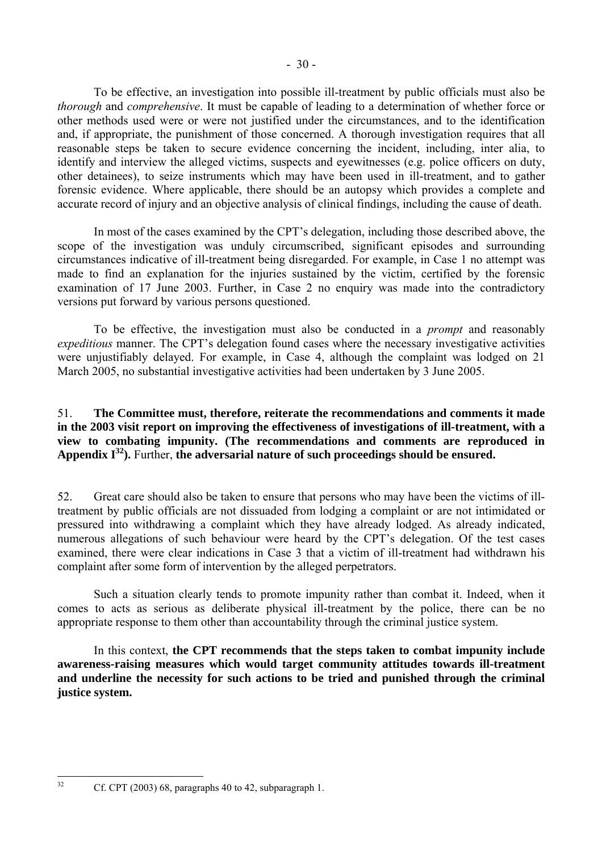To be effective, an investigation into possible ill-treatment by public officials must also be *thorough* and *comprehensive*. It must be capable of leading to a determination of whether force or other methods used were or were not justified under the circumstances, and to the identification and, if appropriate, the punishment of those concerned. A thorough investigation requires that all reasonable steps be taken to secure evidence concerning the incident, including, inter alia, to identify and interview the alleged victims, suspects and eyewitnesses (e.g. police officers on duty, other detainees), to seize instruments which may have been used in ill-treatment, and to gather forensic evidence. Where applicable, there should be an autopsy which provides a complete and accurate record of injury and an objective analysis of clinical findings, including the cause of death.

In most of the cases examined by the CPT's delegation, including those described above, the scope of the investigation was unduly circumscribed, significant episodes and surrounding circumstances indicative of ill-treatment being disregarded. For example, in Case 1 no attempt was made to find an explanation for the injuries sustained by the victim, certified by the forensic examination of 17 June 2003. Further, in Case 2 no enquiry was made into the contradictory versions put forward by various persons questioned.

 To be effective, the investigation must also be conducted in a *prompt* and reasonably *expeditious* manner. The CPT's delegation found cases where the necessary investigative activities were unjustifiably delayed. For example, in Case 4, although the complaint was lodged on 21 March 2005, no substantial investigative activities had been undertaken by 3 June 2005.

### 51. **The Committee must, therefore, reiterate the recommendations and comments it made in the 2003 visit report on improving the effectiveness of investigations of ill-treatment, with a view to combating impunity. (The recommendations and comments are reproduced in Appendix**  $I^{32}$ **).** Further, the adversarial nature of such proceedings should be ensured.

52. Great care should also be taken to ensure that persons who may have been the victims of illtreatment by public officials are not dissuaded from lodging a complaint or are not intimidated or pressured into withdrawing a complaint which they have already lodged. As already indicated, numerous allegations of such behaviour were heard by the CPT's delegation. Of the test cases examined, there were clear indications in Case 3 that a victim of ill-treatment had withdrawn his complaint after some form of intervention by the alleged perpetrators.

 Such a situation clearly tends to promote impunity rather than combat it. Indeed, when it comes to acts as serious as deliberate physical ill-treatment by the police, there can be no appropriate response to them other than accountability through the criminal justice system.

 In this context, **the CPT recommends that the steps taken to combat impunity include awareness-raising measures which would target community attitudes towards ill-treatment and underline the necessity for such actions to be tried and punished through the criminal justice system.** 

<span id="page-31-0"></span> $32$ 

Cf. CPT  $(2003)$  68, paragraphs 40 to 42, subparagraph 1.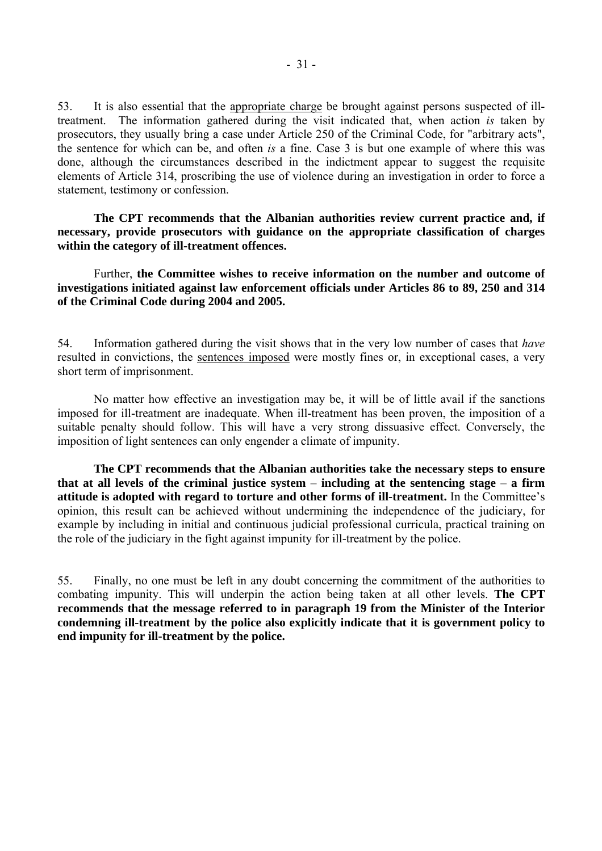53. It is also essential that the appropriate charge be brought against persons suspected of illtreatment. The information gathered during the visit indicated that, when action *is* taken by prosecutors, they usually bring a case under Article 250 of the Criminal Code, for "arbitrary acts", the sentence for which can be, and often *is* a fine. Case 3 is but one example of where this was done, although the circumstances described in the indictment appear to suggest the requisite elements of Article 314, proscribing the use of violence during an investigation in order to force a statement, testimony or confession.

 **The CPT recommends that the Albanian authorities review current practice and, if necessary, provide prosecutors with guidance on the appropriate classification of charges within the category of ill-treatment offences.** 

 Further, **the Committee wishes to receive information on the number and outcome of investigations initiated against law enforcement officials under Articles 86 to 89, 250 and 314 of the Criminal Code during 2004 and 2005.** 

54. Information gathered during the visit shows that in the very low number of cases that *have*  resulted in convictions, the sentences imposed were mostly fines or, in exceptional cases, a very short term of imprisonment.

 No matter how effective an investigation may be, it will be of little avail if the sanctions imposed for ill-treatment are inadequate. When ill-treatment has been proven, the imposition of a suitable penalty should follow. This will have a very strong dissuasive effect. Conversely, the imposition of light sentences can only engender a climate of impunity.

 **The CPT recommends that the Albanian authorities take the necessary steps to ensure**  that at all levels of the criminal justice system  $-$  including at the sentencing stage  $-$  a firm **attitude is adopted with regard to torture and other forms of ill-treatment.** In the Committee's opinion, this result can be achieved without undermining the independence of the judiciary, for example by including in initial and continuous judicial professional curricula, practical training on the role of the judiciary in the fight against impunity for ill-treatment by the police.

55. Finally, no one must be left in any doubt concerning the commitment of the authorities to combating impunity. This will underpin the action being taken at all other levels. **The CPT recommends that the message referred to in paragraph 19 from the Minister of the Interior condemning ill-treatment by the police also explicitly indicate that it is government policy to end impunity for ill-treatment by the police.**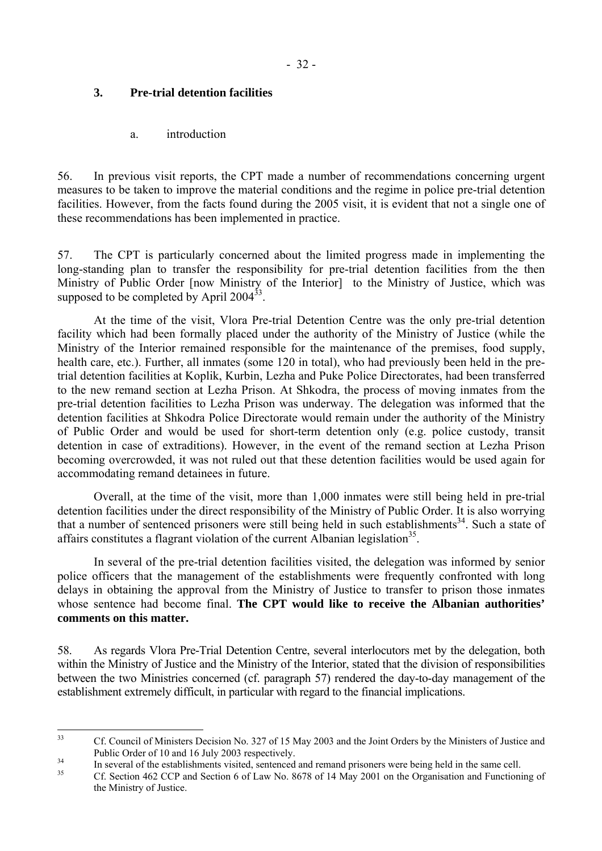## <span id="page-33-0"></span>**3. Pre-trial detention facilities**

a. introduction

56. In previous visit reports, the CPT made a number of recommendations concerning urgent measures to be taken to improve the material conditions and the regime in police pre-trial detention facilities. However, from the facts found during the 2005 visit, it is evident that not a single one of these recommendations has been implemented in practice.

57. The CPT is particularly concerned about the limited progress made in implementing the long-standing plan to transfer the responsibility for pre-trial detention facilities from the then Ministry of Public Order [now Ministry of the Interior] to the Ministry of Justice, which was supposed to be completed by April  $2004^{33}$ .

 At the time of the visit, Vlora Pre-trial Detention Centre was the only pre-trial detention facility which had been formally placed under the authority of the Ministry of Justice (while the Ministry of the Interior remained responsible for the maintenance of the premises, food supply, health care, etc.). Further, all inmates (some 120 in total), who had previously been held in the pretrial detention facilities at Koplik, Kurbin, Lezha and Puke Police Directorates, had been transferred to the new remand section at Lezha Prison. At Shkodra, the process of moving inmates from the pre-trial detention facilities to Lezha Prison was underway. The delegation was informed that the detention facilities at Shkodra Police Directorate would remain under the authority of the Ministry of Public Order and would be used for short-term detention only (e.g. police custody, transit detention in case of extraditions). However, in the event of the remand section at Lezha Prison becoming overcrowded, it was not ruled out that these detention facilities would be used again for accommodating remand detainees in future.

 Overall, at the time of the visit, more than 1,000 inmates were still being held in pre-trial detention facilities under the direct responsibility of the Ministry of Public Order. It is also worrying that a number of sentenced prisoners were still being held in such establishments<sup>34</sup>. Such a state of affairs constitutes a flagrant violation of the current Albanian legislation<sup>35</sup>.

 In several of the pre-trial detention facilities visited, the delegation was informed by senior police officers that the management of the establishments were frequently confronted with long delays in obtaining the approval from the Ministry of Justice to transfer to prison those inmates whose sentence had become final. **The CPT would like to receive the Albanian authorities' comments on this matter.** 

58. As regards Vlora Pre-Trial Detention Centre, several interlocutors met by the delegation, both within the Ministry of Justice and the Ministry of the Interior, stated that the division of responsibilities between the two Ministries concerned (cf. paragraph 57) rendered the day-to-day management of the establishment extremely difficult, in particular with regard to the financial implications.

<span id="page-33-1"></span> $33$ 33 Cf. Council of Ministers Decision No. 327 of 15 May 2003 and the Joint Orders by the Ministers of Justice and

<span id="page-33-2"></span>Public Order of 10 and 16 July 2003 respectively.<br>
In several of the establishments visited, sentenced and remand prisoners were being held in the same cell.

<span id="page-33-3"></span>Cf. Section 462 CCP and Section 6 of Law No. 8678 of 14 May 2001 on the Organisation and Functioning of the Ministry of Justice.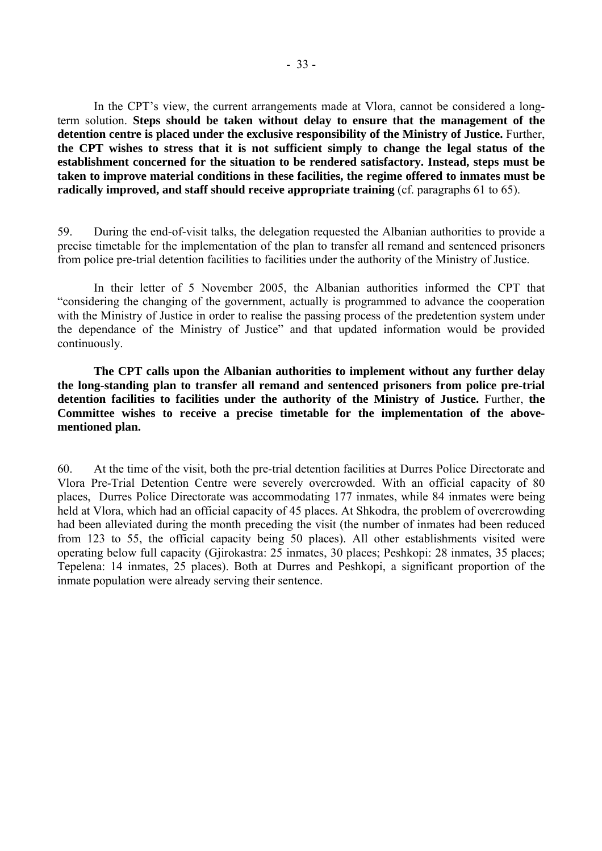In the CPT's view, the current arrangements made at Vlora, cannot be considered a longterm solution. **Steps should be taken without delay to ensure that the management of the detention centre is placed under the exclusive responsibility of the Ministry of Justice.** Further, **the CPT wishes to stress that it is not sufficient simply to change the legal status of the establishment concerned for the situation to be rendered satisfactory. Instead, steps must be taken to improve material conditions in these facilities, the regime offered to inmates must be radically improved, and staff should receive appropriate training** (cf. paragraphs 61 to 65).

59. During the end-of-visit talks, the delegation requested the Albanian authorities to provide a precise timetable for the implementation of the plan to transfer all remand and sentenced prisoners from police pre-trial detention facilities to facilities under the authority of the Ministry of Justice.

 In their letter of 5 November 2005, the Albanian authorities informed the CPT that ìconsidering the changing of the government, actually is programmed to advance the cooperation with the Ministry of Justice in order to realise the passing process of the predetention system under the dependance of the Ministry of Justice" and that updated information would be provided continuously.

**The CPT calls upon the Albanian authorities to implement without any further delay the long-standing plan to transfer all remand and sentenced prisoners from police pre-trial detention facilities to facilities under the authority of the Ministry of Justice.** Further, **the Committee wishes to receive a precise timetable for the implementation of the abovementioned plan.**

60. At the time of the visit, both the pre-trial detention facilities at Durres Police Directorate and Vlora Pre-Trial Detention Centre were severely overcrowded. With an official capacity of 80 places, Durres Police Directorate was accommodating 177 inmates, while 84 inmates were being held at Vlora, which had an official capacity of 45 places. At Shkodra, the problem of overcrowding had been alleviated during the month preceding the visit (the number of inmates had been reduced from 123 to 55, the official capacity being 50 places). All other establishments visited were operating below full capacity (Gjirokastra: 25 inmates, 30 places; Peshkopi: 28 inmates, 35 places; Tepelena: 14 inmates, 25 places). Both at Durres and Peshkopi, a significant proportion of the inmate population were already serving their sentence.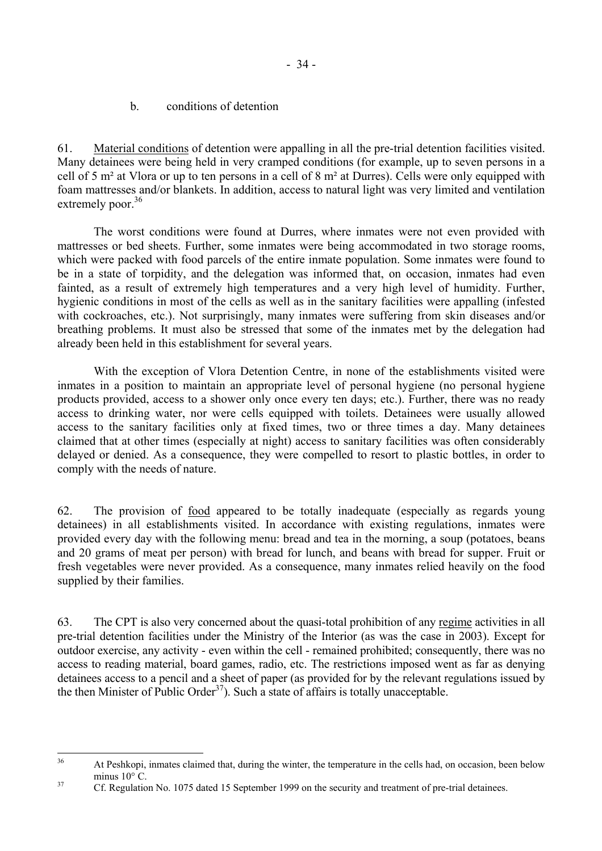b. conditions of detention

<span id="page-35-0"></span>61. Material conditions of detention were appalling in all the pre-trial detention facilities visited. Many detainees were being held in very cramped conditions (for example, up to seven persons in a cell of 5 m² at Vlora or up to ten persons in a cell of 8 m² at Durres). Cells were only equipped with foam mattresses and/or blankets. In addition, access to natural light was very limited and ventilation extremely poor. $36$ 

 The worst conditions were found at Durres, where inmates were not even provided with mattresses or bed sheets. Further, some inmates were being accommodated in two storage rooms, which were packed with food parcels of the entire inmate population. Some inmates were found to be in a state of torpidity, and the delegation was informed that, on occasion, inmates had even fainted, as a result of extremely high temperatures and a very high level of humidity. Further, hygienic conditions in most of the cells as well as in the sanitary facilities were appalling (infested with cockroaches, etc.). Not surprisingly, many inmates were suffering from skin diseases and/or breathing problems. It must also be stressed that some of the inmates met by the delegation had already been held in this establishment for several years.

 With the exception of Vlora Detention Centre, in none of the establishments visited were inmates in a position to maintain an appropriate level of personal hygiene (no personal hygiene products provided, access to a shower only once every ten days; etc.). Further, there was no ready access to drinking water, nor were cells equipped with toilets. Detainees were usually allowed access to the sanitary facilities only at fixed times, two or three times a day. Many detainees claimed that at other times (especially at night) access to sanitary facilities was often considerably delayed or denied. As a consequence, they were compelled to resort to plastic bottles, in order to comply with the needs of nature.

62. The provision of food appeared to be totally inadequate (especially as regards young detainees) in all establishments visited. In accordance with existing regulations, inmates were provided every day with the following menu: bread and tea in the morning, a soup (potatoes, beans and 20 grams of meat per person) with bread for lunch, and beans with bread for supper. Fruit or fresh vegetables were never provided. As a consequence, many inmates relied heavily on the food supplied by their families.

63. The CPT is also very concerned about the quasi-total prohibition of any regime activities in all pre-trial detention facilities under the Ministry of the Interior (as was the case in 2003). Except for outdoor exercise, any activity - even within the cell - remained prohibited; consequently, there was no access to reading material, board games, radio, etc. The restrictions imposed went as far as denying detainees access to a pencil and a sheet of paper (as provided for by the relevant regulations issued by the then Minister of Public Order<sup>37</sup>). Such a state of affairs is totally unacceptable.

<span id="page-35-1"></span> $36$ 36 At Peshkopi, inmates claimed that, during the winter, the temperature in the cells had, on occasion, been below minus  $10^{\circ}$  C.<br><sup>37</sup> Cf. Regulation No. 1075 dated 15 September 1999 on the security and treatment of pre-trial detainees.

<span id="page-35-2"></span>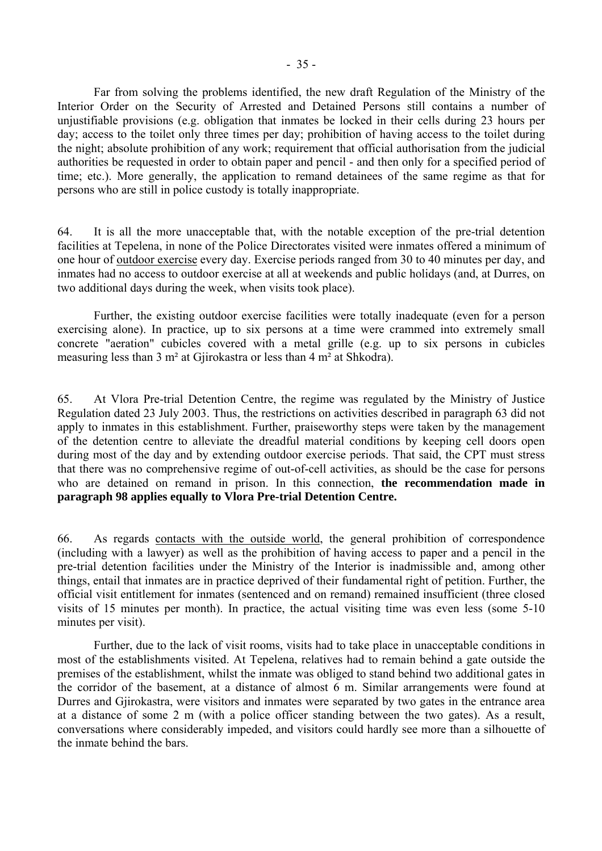Far from solving the problems identified, the new draft Regulation of the Ministry of the Interior Order on the Security of Arrested and Detained Persons still contains a number of unjustifiable provisions (e.g. obligation that inmates be locked in their cells during 23 hours per day; access to the toilet only three times per day; prohibition of having access to the toilet during the night; absolute prohibition of any work; requirement that official authorisation from the judicial authorities be requested in order to obtain paper and pencil - and then only for a specified period of time; etc.). More generally, the application to remand detainees of the same regime as that for persons who are still in police custody is totally inappropriate.

64. It is all the more unacceptable that, with the notable exception of the pre-trial detention facilities at Tepelena, in none of the Police Directorates visited were inmates offered a minimum of one hour of outdoor exercise every day. Exercise periods ranged from 30 to 40 minutes per day, and inmates had no access to outdoor exercise at all at weekends and public holidays (and, at Durres, on two additional days during the week, when visits took place).

 Further, the existing outdoor exercise facilities were totally inadequate (even for a person exercising alone). In practice, up to six persons at a time were crammed into extremely small concrete "aeration" cubicles covered with a metal grille (e.g. up to six persons in cubicles measuring less than 3 m² at Gjirokastra or less than 4 m² at Shkodra).

65. At Vlora Pre-trial Detention Centre, the regime was regulated by the Ministry of Justice Regulation dated 23 July 2003. Thus, the restrictions on activities described in paragraph 63 did not apply to inmates in this establishment. Further, praiseworthy steps were taken by the management of the detention centre to alleviate the dreadful material conditions by keeping cell doors open during most of the day and by extending outdoor exercise periods. That said, the CPT must stress that there was no comprehensive regime of out-of-cell activities, as should be the case for persons who are detained on remand in prison. In this connection, **the recommendation made in paragraph 98 applies equally to Vlora Pre-trial Detention Centre.**

66. As regards contacts with the outside world, the general prohibition of correspondence (including with a lawyer) as well as the prohibition of having access to paper and a pencil in the pre-trial detention facilities under the Ministry of the Interior is inadmissible and, among other things, entail that inmates are in practice deprived of their fundamental right of petition. Further, the official visit entitlement for inmates (sentenced and on remand) remained insufficient (three closed visits of 15 minutes per month). In practice, the actual visiting time was even less (some 5-10 minutes per visit).

 Further, due to the lack of visit rooms, visits had to take place in unacceptable conditions in most of the establishments visited. At Tepelena, relatives had to remain behind a gate outside the premises of the establishment, whilst the inmate was obliged to stand behind two additional gates in the corridor of the basement, at a distance of almost 6 m. Similar arrangements were found at Durres and Gjirokastra, were visitors and inmates were separated by two gates in the entrance area at a distance of some 2 m (with a police officer standing between the two gates). As a result, conversations where considerably impeded, and visitors could hardly see more than a silhouette of the inmate behind the bars.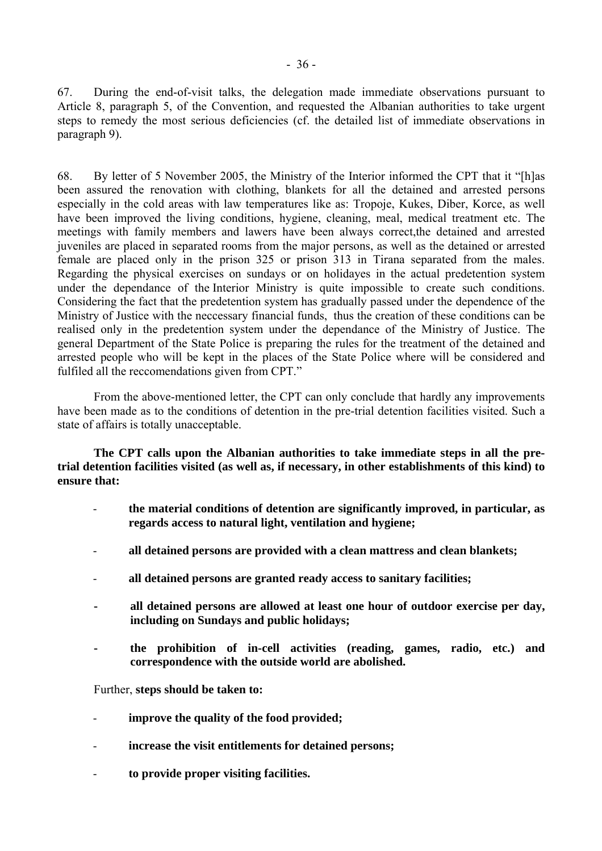67. During the end-of-visit talks, the delegation made immediate observations pursuant to Article 8, paragraph 5, of the Convention, and requested the Albanian authorities to take urgent steps to remedy the most serious deficiencies (cf. the detailed list of immediate observations in paragraph 9).

68. By letter of 5 November 2005, the Ministry of the Interior informed the CPT that it "[h]as been assured the renovation with clothing, blankets for all the detained and arrested persons especially in the cold areas with law temperatures like as: Tropoje, Kukes, Diber, Korce, as well have been improved the living conditions, hygiene, cleaning, meal, medical treatment etc. The meetings with family members and lawers have been always correct,the detained and arrested juveniles are placed in separated rooms from the major persons, as well as the detained or arrested female are placed only in the prison 325 or prison 313 in Tirana separated from the males. Regarding the physical exercises on sundays or on holidayes in the actual predetention system under the dependance of the Interior Ministry is quite impossible to create such conditions. Considering the fact that the predetention system has gradually passed under the dependence of the Ministry of Justice with the neccessary financial funds, thus the creation of these conditions can be realised only in the predetention system under the dependance of the Ministry of Justice. The general Department of the State Police is preparing the rules for the treatment of the detained and arrested people who will be kept in the places of the State Police where will be considered and fulfiled all the reccomendations given from CPT."

 From the above-mentioned letter, the CPT can only conclude that hardly any improvements have been made as to the conditions of detention in the pre-trial detention facilities visited. Such a state of affairs is totally unacceptable.

**The CPT calls upon the Albanian authorities to take immediate steps in all the pretrial detention facilities visited (as well as, if necessary, in other establishments of this kind) to ensure that:** 

- **the material conditions of detention are significantly improved, in particular, as regards access to natural light, ventilation and hygiene;**
- **all detained persons are provided with a clean mattress and clean blankets;**
- **all detained persons are granted ready access to sanitary facilities;**
- **all detained persons are allowed at least one hour of outdoor exercise per day, including on Sundays and public holidays;**
- **the prohibition of in-cell activities (reading, games, radio, etc.) and correspondence with the outside world are abolished.**

Further, **steps should be taken to:**

- **improve the quality of the food provided;**
- **increase the visit entitlements for detained persons;**
- **to provide proper visiting facilities.**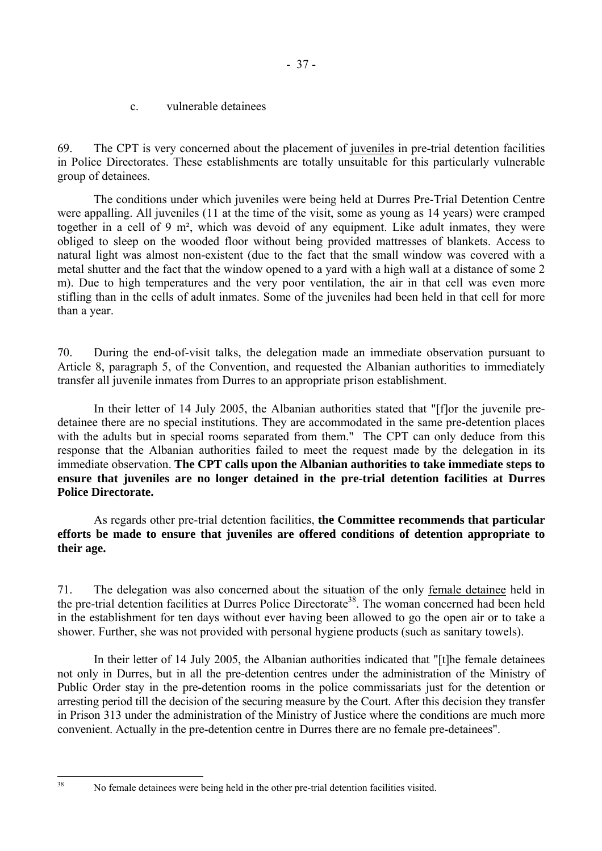c. vulnerable detainees

69. The CPT is very concerned about the placement of juveniles in pre-trial detention facilities in Police Directorates. These establishments are totally unsuitable for this particularly vulnerable group of detainees.

 The conditions under which juveniles were being held at Durres Pre-Trial Detention Centre were appalling. All juveniles (11 at the time of the visit, some as young as 14 years) were cramped together in a cell of 9 m², which was devoid of any equipment. Like adult inmates, they were obliged to sleep on the wooded floor without being provided mattresses of blankets. Access to natural light was almost non-existent (due to the fact that the small window was covered with a metal shutter and the fact that the window opened to a yard with a high wall at a distance of some 2 m). Due to high temperatures and the very poor ventilation, the air in that cell was even more stifling than in the cells of adult inmates. Some of the juveniles had been held in that cell for more than a year.

70. During the end-of-visit talks, the delegation made an immediate observation pursuant to Article 8, paragraph 5, of the Convention, and requested the Albanian authorities to immediately transfer all juvenile inmates from Durres to an appropriate prison establishment.

 In their letter of 14 July 2005, the Albanian authorities stated that "[f]or the juvenile predetainee there are no special institutions. They are accommodated in the same pre-detention places with the adults but in special rooms separated from them." The CPT can only deduce from this response that the Albanian authorities failed to meet the request made by the delegation in its immediate observation. **The CPT calls upon the Albanian authorities to take immediate steps to ensure that juveniles are no longer detained in the pre-trial detention facilities at Durres Police Directorate.**

 As regards other pre-trial detention facilities, **the Committee recommends that particular efforts be made to ensure that juveniles are offered conditions of detention appropriate to their age.** 

71. The delegation was also concerned about the situation of the only female detainee held in the pre-trial detention facilities at Durres Police Directorate<sup>38</sup>. The woman concerned had been held in the establishment for ten days without ever having been allowed to go the open air or to take a shower. Further, she was not provided with personal hygiene products (such as sanitary towels).

 In their letter of 14 July 2005, the Albanian authorities indicated that "[t]he female detainees not only in Durres, but in all the pre-detention centres under the administration of the Ministry of Public Order stay in the pre-detention rooms in the police commissariats just for the detention or arresting period till the decision of the securing measure by the Court. After this decision they transfer in Prison 313 under the administration of the Ministry of Justice where the conditions are much more convenient. Actually in the pre-detention centre in Durres there are no female pre-detainees".

<span id="page-38-0"></span> $38$ 

<sup>38</sup> No female detainees were being held in the other pre-trial detention facilities visited.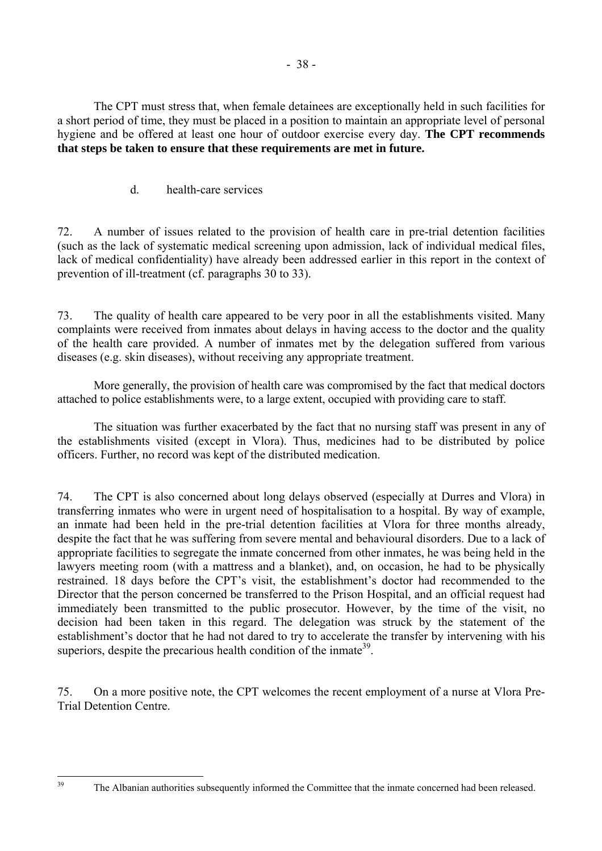The CPT must stress that, when female detainees are exceptionally held in such facilities for a short period of time, they must be placed in a position to maintain an appropriate level of personal hygiene and be offered at least one hour of outdoor exercise every day. **The CPT recommends that steps be taken to ensure that these requirements are met in future.** 

d. health-care services

72. A number of issues related to the provision of health care in pre-trial detention facilities (such as the lack of systematic medical screening upon admission, lack of individual medical files, lack of medical confidentiality) have already been addressed earlier in this report in the context of prevention of ill-treatment (cf. paragraphs 30 to 33).

73. The quality of health care appeared to be very poor in all the establishments visited. Many complaints were received from inmates about delays in having access to the doctor and the quality of the health care provided. A number of inmates met by the delegation suffered from various diseases (e.g. skin diseases), without receiving any appropriate treatment.

More generally, the provision of health care was compromised by the fact that medical doctors attached to police establishments were, to a large extent, occupied with providing care to staff.

 The situation was further exacerbated by the fact that no nursing staff was present in any of the establishments visited (except in Vlora). Thus, medicines had to be distributed by police officers. Further, no record was kept of the distributed medication.

74. The CPT is also concerned about long delays observed (especially at Durres and Vlora) in transferring inmates who were in urgent need of hospitalisation to a hospital. By way of example, an inmate had been held in the pre-trial detention facilities at Vlora for three months already, despite the fact that he was suffering from severe mental and behavioural disorders. Due to a lack of appropriate facilities to segregate the inmate concerned from other inmates, he was being held in the lawyers meeting room (with a mattress and a blanket), and, on occasion, he had to be physically restrained. 18 days before the CPT's visit, the establishment's doctor had recommended to the Director that the person concerned be transferred to the Prison Hospital, and an official request had immediately been transmitted to the public prosecutor. However, by the time of the visit, no decision had been taken in this regard. The delegation was struck by the statement of the establishment's doctor that he had not dared to try to accelerate the transfer by intervening with his superiors, despite the precarious health condition of the inmate<sup>39</sup>.

75. On a more positive note, the CPT welcomes the recent employment of a nurse at Vlora Pre-Trial Detention Centre.

<span id="page-39-0"></span> $39$ 

The Albanian authorities subsequently informed the Committee that the inmate concerned had been released.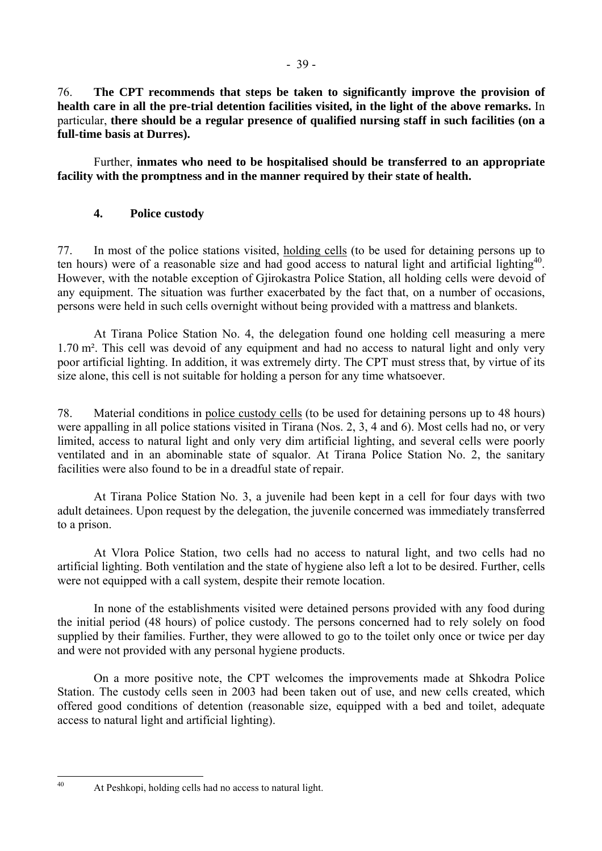76. **The CPT recommends that steps be taken to significantly improve the provision of health care in all the pre-trial detention facilities visited, in the light of the above remarks.** In particular, **there should be a regular presence of qualified nursing staff in such facilities (on a full-time basis at Durres).**

 Further, **inmates who need to be hospitalised should be transferred to an appropriate facility with the promptness and in the manner required by their state of health.**

# **4. Police custody**

77. In most of the police stations visited, holding cells (to be used for detaining persons up to ten hours) were of a reasonable size and had good access to natural light and artificial lighting<sup>40</sup>. However, with the notable exception of Gjirokastra Police Station, all holding cells were devoid of any equipment. The situation was further exacerbated by the fact that, on a number of occasions, persons were held in such cells overnight without being provided with a mattress and blankets.

 At Tirana Police Station No. 4, the delegation found one holding cell measuring a mere 1.70 m². This cell was devoid of any equipment and had no access to natural light and only very poor artificial lighting. In addition, it was extremely dirty. The CPT must stress that, by virtue of its size alone, this cell is not suitable for holding a person for any time whatsoever.

78. Material conditions in police custody cells (to be used for detaining persons up to 48 hours) were appalling in all police stations visited in Tirana (Nos. 2, 3, 4 and 6). Most cells had no, or very limited, access to natural light and only very dim artificial lighting, and several cells were poorly ventilated and in an abominable state of squalor. At Tirana Police Station No. 2, the sanitary facilities were also found to be in a dreadful state of repair.

 At Tirana Police Station No. 3, a juvenile had been kept in a cell for four days with two adult detainees. Upon request by the delegation, the juvenile concerned was immediately transferred to a prison.

 At Vlora Police Station, two cells had no access to natural light, and two cells had no artificial lighting. Both ventilation and the state of hygiene also left a lot to be desired. Further, cells were not equipped with a call system, despite their remote location.

 In none of the establishments visited were detained persons provided with any food during the initial period (48 hours) of police custody. The persons concerned had to rely solely on food supplied by their families. Further, they were allowed to go to the toilet only once or twice per day and were not provided with any personal hygiene products.

 On a more positive note, the CPT welcomes the improvements made at Shkodra Police Station. The custody cells seen in 2003 had been taken out of use, and new cells created, which offered good conditions of detention (reasonable size, equipped with a bed and toilet, adequate access to natural light and artificial lighting).

<span id="page-40-0"></span> $40$ 

At Peshkopi, holding cells had no access to natural light.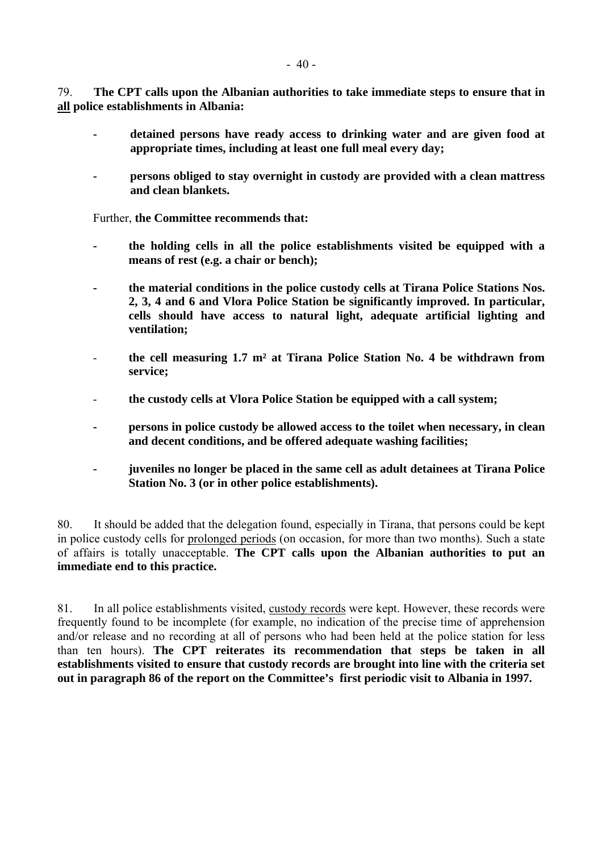79. **The CPT calls upon the Albanian authorities to take immediate steps to ensure that in all police establishments in Albania:** 

- **detained persons have ready access to drinking water and are given food at appropriate times, including at least one full meal every day;**
- **persons obliged to stay overnight in custody are provided with a clean mattress and clean blankets.**

Further, **the Committee recommends that:** 

- **the holding cells in all the police establishments visited be equipped with a means of rest (e.g. a chair or bench);**
- **the material conditions in the police custody cells at Tirana Police Stations Nos. 2, 3, 4 and 6 and Vlora Police Station be significantly improved. In particular, cells should have access to natural light, adequate artificial lighting and ventilation;**
- **the cell measuring 1.7 m² at Tirana Police Station No. 4 be withdrawn from service;**
- **the custody cells at Vlora Police Station be equipped with a call system;**
- **persons in police custody be allowed access to the toilet when necessary, in clean and decent conditions, and be offered adequate washing facilities;**
- **juveniles no longer be placed in the same cell as adult detainees at Tirana Police Station No. 3 (or in other police establishments).**

80. It should be added that the delegation found, especially in Tirana, that persons could be kept in police custody cells for prolonged periods (on occasion, for more than two months). Such a state of affairs is totally unacceptable. **The CPT calls upon the Albanian authorities to put an immediate end to this practice.** 

81. In all police establishments visited, custody records were kept. However, these records were frequently found to be incomplete (for example, no indication of the precise time of apprehension and/or release and no recording at all of persons who had been held at the police station for less than ten hours). **The CPT reiterates its recommendation that steps be taken in all establishments visited to ensure that custody records are brought into line with the criteria set out in paragraph 86 of the report on the Committee's first periodic visit to Albania in 1997.**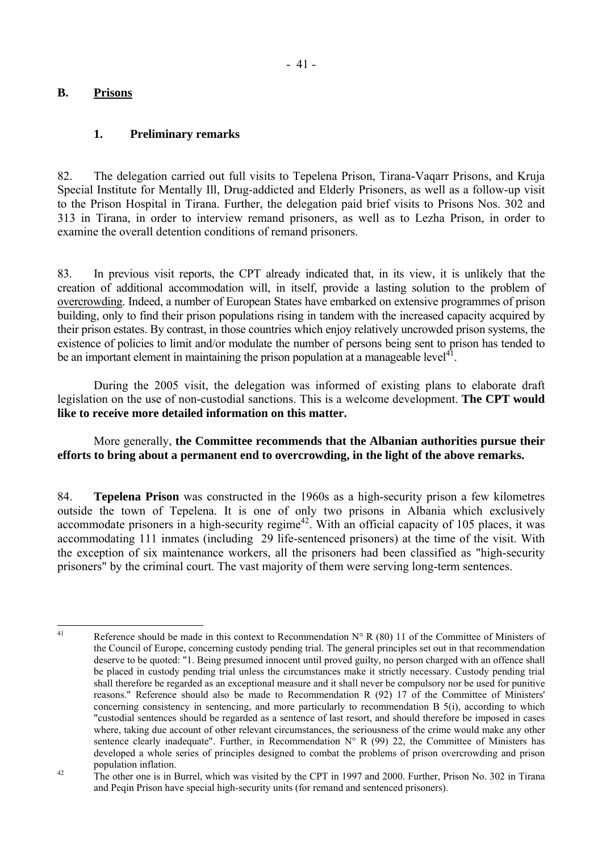## **B. Prisons**

## **1. Preliminary remarks**

82. The delegation carried out full visits to Tepelena Prison, Tirana-Vaqarr Prisons, and Kruja Special Institute for Mentally Ill, Drug-addicted and Elderly Prisoners, as well as a follow-up visit to the Prison Hospital in Tirana. Further, the delegation paid brief visits to Prisons Nos. 302 and 313 in Tirana, in order to interview remand prisoners, as well as to Lezha Prison, in order to examine the overall detention conditions of remand prisoners.

83. In previous visit reports, the CPT already indicated that, in its view, it is unlikely that the creation of additional accommodation will, in itself, provide a lasting solution to the problem of overcrowding. Indeed, a number of European States have embarked on extensive programmes of prison building, only to find their prison populations rising in tandem with the increased capacity acquired by their prison estates. By contrast, in those countries which enjoy relatively uncrowded prison systems, the existence of policies to limit and/or modulate the number of persons being sent to prison has tended to be an important element in maintaining the prison population at a manageable level<sup>41</sup>.

 During the 2005 visit, the delegation was informed of existing plans to elaborate draft legislation on the use of non-custodial sanctions. This is a welcome development. **The CPT would like to receive more detailed information on this matter.** 

 More generally, **the Committee recommends that the Albanian authorities pursue their efforts to bring about a permanent end to overcrowding, in the light of the above remarks.**

84. **Tepelena Prison** was constructed in the 1960s as a high-security prison a few kilometres outside the town of Tepelena. It is one of only two prisons in Albania which exclusively accommodate prisoners in a high-security regime<sup>42</sup>. With an official capacity of 105 places, it was accommodating 111 inmates (including 29 life-sentenced prisoners) at the time of the visit. With the exception of six maintenance workers, all the prisoners had been classified as "high-security prisoners" by the criminal court. The vast majority of them were serving long-term sentences.

<span id="page-42-0"></span> $41$ Reference should be made in this context to Recommendation  $N^{\circ}$  R (80) 11 of the Committee of Ministers of the Council of Europe, concerning custody pending trial. The general principles set out in that recommendation deserve to be quoted: "1. Being presumed innocent until proved guilty, no person charged with an offence shall be placed in custody pending trial unless the circumstances make it strictly necessary. Custody pending trial shall therefore be regarded as an exceptional measure and it shall never be compulsory nor be used for punitive reasons." Reference should also be made to Recommendation R (92) 17 of the Committee of Ministers' concerning consistency in sentencing, and more particularly to recommendation B 5(i), according to which "custodial sentences should be regarded as a sentence of last resort, and should therefore be imposed in cases where, taking due account of other relevant circumstances, the seriousness of the crime would make any other sentence clearly inadequate". Further, in Recommendation  $N^{\circ}$  R (99) 22, the Committee of Ministers has developed a whole series of principles designed to combat the problems of prison overcrowding and prison population inflation.<br><sup>42</sup> The other one is in Burrel, which was visited by the CPT in 1997 and 2000. Further, Prison No. 302 in Tirana

<span id="page-42-1"></span>and Peqin Prison have special high-security units (for remand and sentenced prisoners).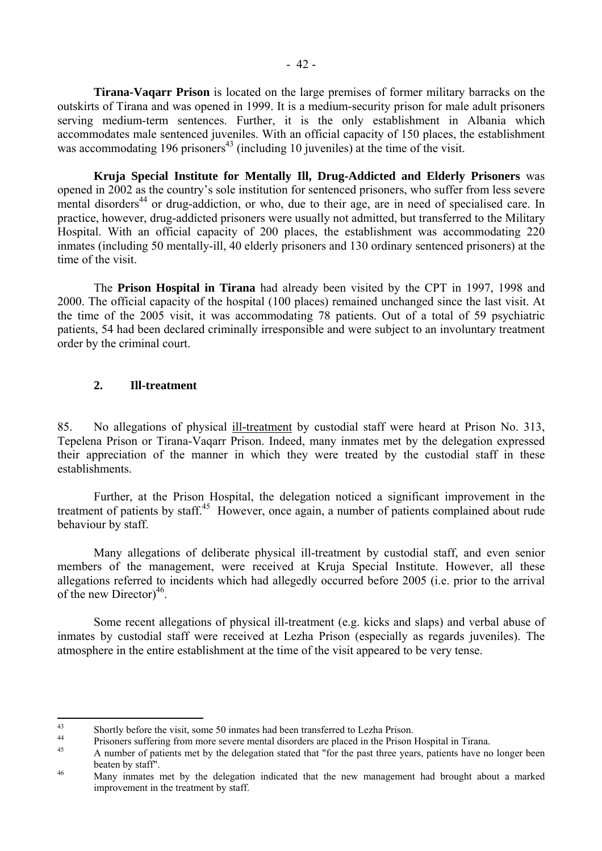**Tirana-Vaqarr Prison** is located on the large premises of former military barracks on the outskirts of Tirana and was opened in 1999. It is a medium-security prison for male adult prisoners serving medium-term sentences. Further, it is the only establishment in Albania which accommodates male sentenced juveniles. With an official capacity of 150 places, the establishment was accommodating 196 prisoners<sup>43</sup> (including 10 juveniles) at the time of the visit.

 **Kruja Special Institute for Mentally Ill, Drug-Addicted and Elderly Prisoners** was opened in 2002 as the countryís sole institution for sentenced prisoners, who suffer from less severe mental disorders<sup>44</sup> or drug-addiction, or who, due to their age, are in need of specialised care. In practice, however, drug-addicted prisoners were usually not admitted, but transferred to the Military Hospital. With an official capacity of 200 places, the establishment was accommodating 220 inmates (including 50 mentally-ill, 40 elderly prisoners and 130 ordinary sentenced prisoners) at the time of the visit.

 The **Prison Hospital in Tirana** had already been visited by the CPT in 1997, 1998 and 2000. The official capacity of the hospital (100 places) remained unchanged since the last visit. At the time of the 2005 visit, it was accommodating 78 patients. Out of a total of 59 psychiatric patients, 54 had been declared criminally irresponsible and were subject to an involuntary treatment order by the criminal court.

## **2. Ill-treatment**

85. No allegations of physical ill-treatment by custodial staff were heard at Prison No. 313, Tepelena Prison or Tirana-Vaqarr Prison. Indeed, many inmates met by the delegation expressed their appreciation of the manner in which they were treated by the custodial staff in these establishments.

 Further, at the Prison Hospital, the delegation noticed a significant improvement in the treatment of patients by staff.<sup>45</sup> However, once again, a number of patients complained about rude behaviour by staff.

 Many allegations of deliberate physical ill-treatment by custodial staff, and even senior members of the management, were received at Kruja Special Institute. However, all these allegations referred to incidents which had allegedly occurred before 2005 (i.e. prior to the arrival of the new Director $)^{46}$ .

 Some recent allegations of physical ill-treatment (e.g. kicks and slaps) and verbal abuse of inmates by custodial staff were received at Lezha Prison (especially as regards juveniles). The atmosphere in the entire establishment at the time of the visit appeared to be very tense.

 $43$ 

<span id="page-43-1"></span><span id="page-43-0"></span><sup>&</sup>lt;sup>43</sup><br>Bhortly before the visit, some 50 inmates had been transferred to Lezha Prison.<br><sup>44</sup><br>A number of patients met by the delegation stated that "for the past three years, patients have no longer been<br>A number of patients

<span id="page-43-2"></span>beaten by staff".<br>Many inmates met by the delegation indicated that the new management had brought about a marked

<span id="page-43-3"></span>improvement in the treatment by staff.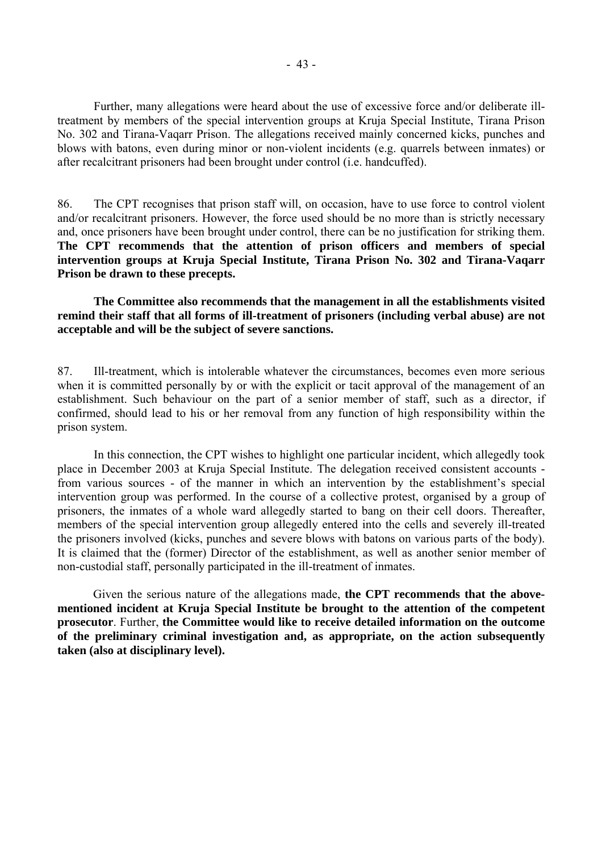Further, many allegations were heard about the use of excessive force and/or deliberate illtreatment by members of the special intervention groups at Kruja Special Institute, Tirana Prison No. 302 and Tirana-Vaqarr Prison. The allegations received mainly concerned kicks, punches and blows with batons, even during minor or non-violent incidents (e.g. quarrels between inmates) or after recalcitrant prisoners had been brought under control (i.e. handcuffed).

86. The CPT recognises that prison staff will, on occasion, have to use force to control violent and/or recalcitrant prisoners. However, the force used should be no more than is strictly necessary and, once prisoners have been brought under control, there can be no justification for striking them. **The CPT recommends that the attention of prison officers and members of special intervention groups at Kruja Special Institute, Tirana Prison No. 302 and Tirana-Vaqarr Prison be drawn to these precepts.** 

 **The Committee also recommends that the management in all the establishments visited remind their staff that all forms of ill-treatment of prisoners (including verbal abuse) are not acceptable and will be the subject of severe sanctions.** 

87. Ill-treatment, which is intolerable whatever the circumstances, becomes even more serious when it is committed personally by or with the explicit or tacit approval of the management of an establishment. Such behaviour on the part of a senior member of staff, such as a director, if confirmed, should lead to his or her removal from any function of high responsibility within the prison system.

 In this connection, the CPT wishes to highlight one particular incident, which allegedly took place in December 2003 at Kruja Special Institute. The delegation received consistent accounts from various sources - of the manner in which an intervention by the establishment's special intervention group was performed. In the course of a collective protest, organised by a group of prisoners, the inmates of a whole ward allegedly started to bang on their cell doors. Thereafter, members of the special intervention group allegedly entered into the cells and severely ill-treated the prisoners involved (kicks, punches and severe blows with batons on various parts of the body). It is claimed that the (former) Director of the establishment, as well as another senior member of non-custodial staff, personally participated in the ill-treatment of inmates.

 Given the serious nature of the allegations made, **the CPT recommends that the abovementioned incident at Kruja Special Institute be brought to the attention of the competent prosecutor**. Further, **the Committee would like to receive detailed information on the outcome of the preliminary criminal investigation and, as appropriate, on the action subsequently taken (also at disciplinary level).**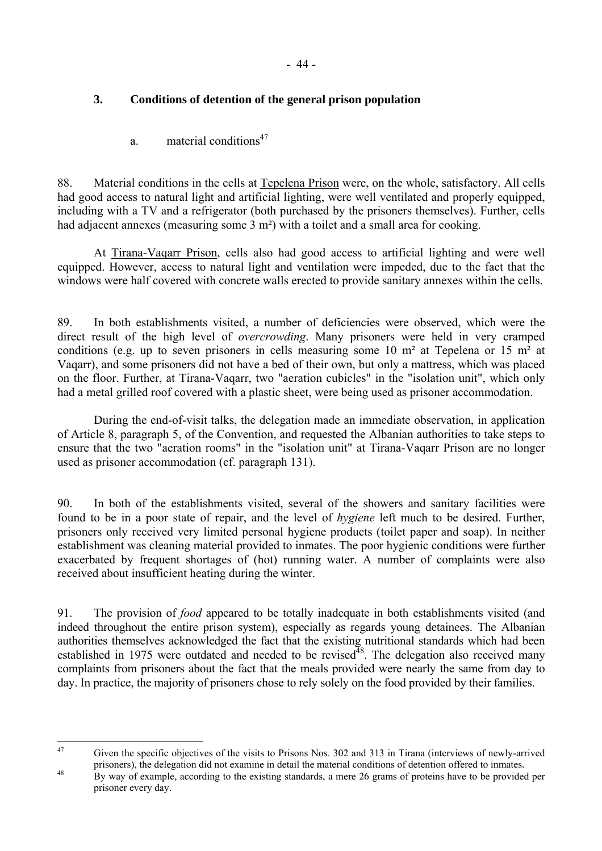# **3. Conditions of detention of the general prison population**

a. material conditions<sup> $47$ </sup>

88. Material conditions in the cells at Tepelena Prison were, on the whole, satisfactory. All cells had good access to natural light and artificial lighting, were well ventilated and properly equipped, including with a TV and a refrigerator (both purchased by the prisoners themselves). Further, cells had adjacent annexes (measuring some 3 m<sup>2</sup>) with a toilet and a small area for cooking.

 At Tirana-Vaqarr Prison, cells also had good access to artificial lighting and were well equipped. However, access to natural light and ventilation were impeded, due to the fact that the windows were half covered with concrete walls erected to provide sanitary annexes within the cells.

89. In both establishments visited, a number of deficiencies were observed, which were the direct result of the high level of *overcrowding*. Many prisoners were held in very cramped conditions (e.g. up to seven prisoners in cells measuring some 10 m² at Tepelena or 15 m² at Vaqarr), and some prisoners did not have a bed of their own, but only a mattress, which was placed on the floor. Further, at Tirana-Vaqarr, two "aeration cubicles" in the "isolation unit", which only had a metal grilled roof covered with a plastic sheet, were being used as prisoner accommodation.

 During the end-of-visit talks, the delegation made an immediate observation, in application of Article 8, paragraph 5, of the Convention, and requested the Albanian authorities to take steps to ensure that the two "aeration rooms" in the "isolation unit" at Tirana-Vaqarr Prison are no longer used as prisoner accommodation (cf. paragraph 131).

90. In both of the establishments visited, several of the showers and sanitary facilities were found to be in a poor state of repair, and the level of *hygiene* left much to be desired. Further, prisoners only received very limited personal hygiene products (toilet paper and soap). In neither establishment was cleaning material provided to inmates. The poor hygienic conditions were further exacerbated by frequent shortages of (hot) running water. A number of complaints were also received about insufficient heating during the winter.

91. The provision of *food* appeared to be totally inadequate in both establishments visited (and indeed throughout the entire prison system), especially as regards young detainees. The Albanian authorities themselves acknowledged the fact that the existing nutritional standards which had been established in 1975 were outdated and needed to be revised<sup>48</sup>. The delegation also received many complaints from prisoners about the fact that the meals provided were nearly the same from day to day. In practice, the majority of prisoners chose to rely solely on the food provided by their families.

<span id="page-45-0"></span> $\Delta$ 7 Given the specific objectives of the visits to Prisons Nos. 302 and 313 in Tirana (interviews of newly-arrived prisoners), the delegation did not examine in detail the material conditions of detention offered to inmates.

<span id="page-45-1"></span>By way of example, according to the existing standards, a mere 26 grams of proteins have to be provided per prisoner every day.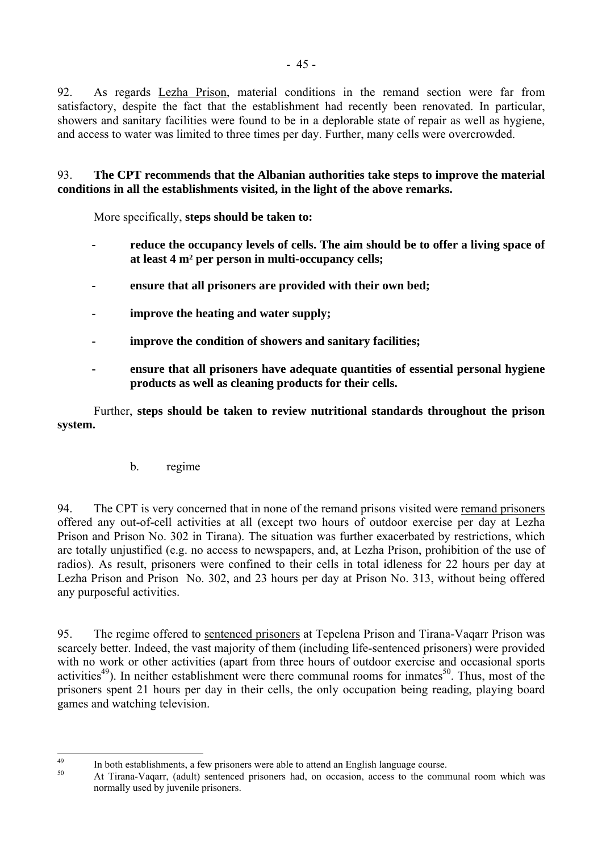92. As regards Lezha Prison, material conditions in the remand section were far from satisfactory, despite the fact that the establishment had recently been renovated. In particular, showers and sanitary facilities were found to be in a deplorable state of repair as well as hygiene, and access to water was limited to three times per day. Further, many cells were overcrowded.

93. **The CPT recommends that the Albanian authorities take steps to improve the material conditions in all the establishments visited, in the light of the above remarks.** 

More specifically, **steps should be taken to:** 

- reduce the occupancy levels of cells. The aim should be to offer a living space of **at least 4 m² per person in multi-occupancy cells;**
- **ensure that all prisoners are provided with their own bed;**
- **improve the heating and water supply;**
- **improve the condition of showers and sanitary facilities;**
- **ensure that all prisoners have adequate quantities of essential personal hygiene products as well as cleaning products for their cells.**

 Further, **steps should be taken to review nutritional standards throughout the prison system.**

## b. regime

94. The CPT is very concerned that in none of the remand prisons visited were remand prisoners offered any out-of-cell activities at all (except two hours of outdoor exercise per day at Lezha Prison and Prison No. 302 in Tirana). The situation was further exacerbated by restrictions, which are totally unjustified (e.g. no access to newspapers, and, at Lezha Prison, prohibition of the use of radios). As result, prisoners were confined to their cells in total idleness for 22 hours per day at Lezha Prison and Prison No. 302, and 23 hours per day at Prison No. 313, without being offered any purposeful activities.

95. The regime offered to sentenced prisoners at Tepelena Prison and Tirana-Vaqarr Prison was scarcely better. Indeed, the vast majority of them (including life-sentenced prisoners) were provided with no work or other activities (apart from three hours of outdoor exercise and occasional sports activities<sup>49</sup>). In neither establishment were there communal rooms for inmates<sup>50</sup>. Thus, most of the prisoners spent 21 hours per day in their cells, the only occupation being reading, playing board games and watching television.

 $\overline{AQ}$ 

<span id="page-46-1"></span><span id="page-46-0"></span><sup>&</sup>lt;sup>49</sup> In both establishments, a few prisoners were able to attend an English language course.<br>
At Tirana-Vaqarr, (adult) sentenced prisoners had, on occasion, access to the communal room which was normally used by juvenile prisoners.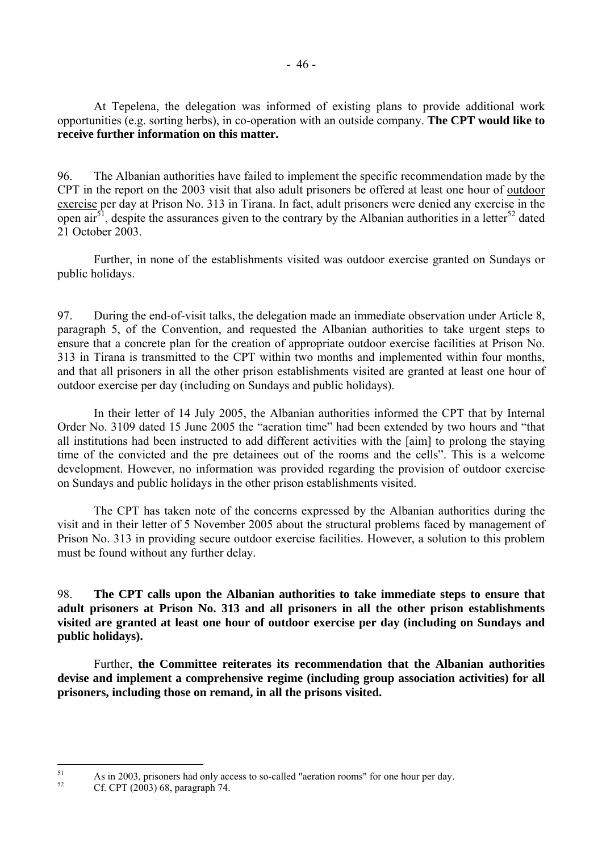At Tepelena, the delegation was informed of existing plans to provide additional work opportunities (e.g. sorting herbs), in co-operation with an outside company. **The CPT would like to receive further information on this matter.** 

96. The Albanian authorities have failed to implement the specific recommendation made by the CPT in the report on the 2003 visit that also adult prisoners be offered at least one hour of outdoor exercise per day at Prison No. 313 in Tirana. In fact, adult prisoners were denied any exercise in the open air<sup>51</sup>, despite the assurances given to the contrary by the Albanian authorities in a letter<sup>52</sup> dated 21 October 2003.

 Further, in none of the establishments visited was outdoor exercise granted on Sundays or public holidays.

97. During the end-of-visit talks, the delegation made an immediate observation under Article 8, paragraph 5, of the Convention, and requested the Albanian authorities to take urgent steps to ensure that a concrete plan for the creation of appropriate outdoor exercise facilities at Prison No. 313 in Tirana is transmitted to the CPT within two months and implemented within four months, and that all prisoners in all the other prison establishments visited are granted at least one hour of outdoor exercise per day (including on Sundays and public holidays).

 In their letter of 14 July 2005, the Albanian authorities informed the CPT that by Internal Order No. 3109 dated 15 June 2005 the "aeration time" had been extended by two hours and "that all institutions had been instructed to add different activities with the [aim] to prolong the staying time of the convicted and the pre detainees out of the rooms and the cells". This is a welcome development. However, no information was provided regarding the provision of outdoor exercise on Sundays and public holidays in the other prison establishments visited.

 The CPT has taken note of the concerns expressed by the Albanian authorities during the visit and in their letter of 5 November 2005 about the structural problems faced by management of Prison No. 313 in providing secure outdoor exercise facilities. However, a solution to this problem must be found without any further delay.

98. **The CPT calls upon the Albanian authorities to take immediate steps to ensure that adult prisoners at Prison No. 313 and all prisoners in all the other prison establishments visited are granted at least one hour of outdoor exercise per day (including on Sundays and public holidays).** 

 Further, **the Committee reiterates its recommendation that the Albanian authorities devise and implement a comprehensive regime (including group association activities) for all prisoners, including those on remand, in all the prisons visited.** 

<span id="page-47-0"></span> $51$ <sup>51</sup> As in 2003, prisoners had only access to so-called "aeration rooms" for one hour per day.<br>Cf. CPT (2003) 68, paragraph 74.

<span id="page-47-1"></span>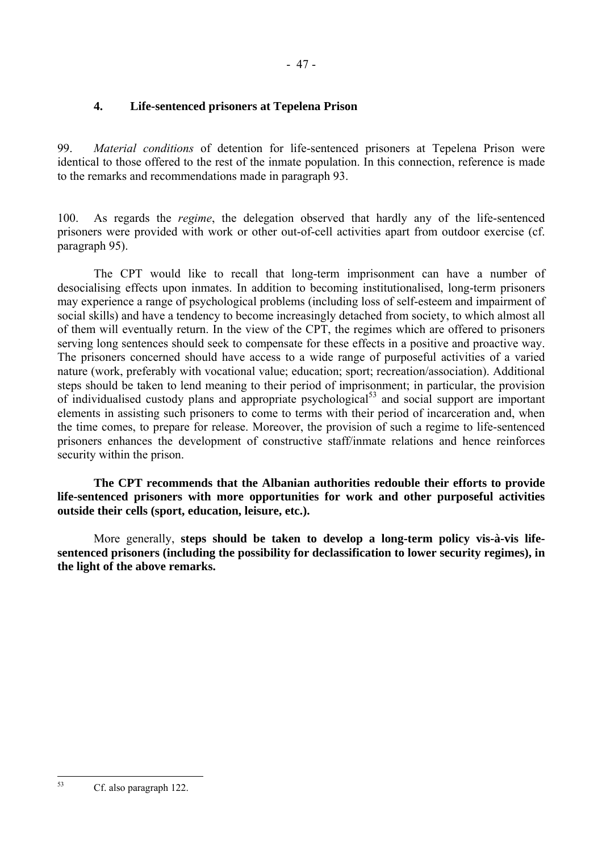# **4. Life-sentenced prisoners at Tepelena Prison**

99. *Material conditions* of detention for life-sentenced prisoners at Tepelena Prison were identical to those offered to the rest of the inmate population. In this connection, reference is made to the remarks and recommendations made in paragraph 93.

100. As regards the *regime*, the delegation observed that hardly any of the life-sentenced prisoners were provided with work or other out-of-cell activities apart from outdoor exercise (cf. paragraph 95).

 The CPT would like to recall that long-term imprisonment can have a number of desocialising effects upon inmates. In addition to becoming institutionalised, long-term prisoners may experience a range of psychological problems (including loss of self-esteem and impairment of social skills) and have a tendency to become increasingly detached from society, to which almost all of them will eventually return. In the view of the CPT, the regimes which are offered to prisoners serving long sentences should seek to compensate for these effects in a positive and proactive way. The prisoners concerned should have access to a wide range of purposeful activities of a varied nature (work, preferably with vocational value; education; sport; recreation/association). Additional steps should be taken to lend meaning to their period of imprisonment; in particular, the provision of individualised custody plans and appropriate psychological<sup>53</sup> and social support are important elements in assisting such prisoners to come to terms with their period of incarceration and, when the time comes, to prepare for release. Moreover, the provision of such a regime to life-sentenced prisoners enhances the development of constructive staff/inmate relations and hence reinforces security within the prison.

 **The CPT recommends that the Albanian authorities redouble their efforts to provide life-sentenced prisoners with more opportunities for work and other purposeful activities outside their cells (sport, education, leisure, etc.).** 

 More generally, **steps should be taken to develop a long-term policy vis-à-vis lifesentenced prisoners (including the possibility for declassification to lower security regimes), in the light of the above remarks.**

<span id="page-48-0"></span> $53$ Cf. also paragraph 122.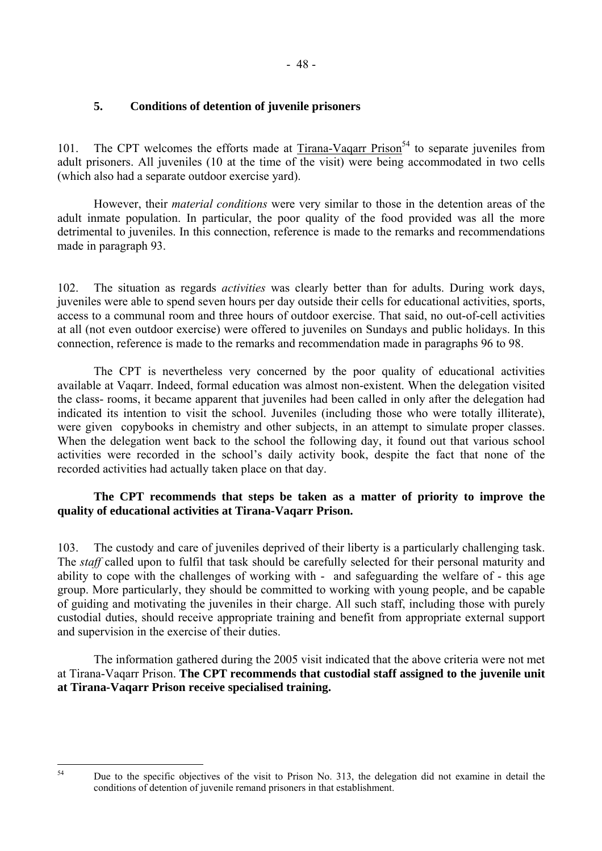# **5. Conditions of detention of juvenile prisoners**

101. The CPT welcomes the efforts made at  $Tirana-Vaqarr Prison<sup>54</sup>$  to separate juveniles from adult prisoners. All juveniles (10 at the time of the visit) were being accommodated in two cells (which also had a separate outdoor exercise yard).

 However, their *material conditions* were very similar to those in the detention areas of the adult inmate population. In particular, the poor quality of the food provided was all the more detrimental to juveniles. In this connection, reference is made to the remarks and recommendations made in paragraph 93.

102. The situation as regards *activities* was clearly better than for adults. During work days, juveniles were able to spend seven hours per day outside their cells for educational activities, sports, access to a communal room and three hours of outdoor exercise. That said, no out-of-cell activities at all (not even outdoor exercise) were offered to juveniles on Sundays and public holidays. In this connection, reference is made to the remarks and recommendation made in paragraphs 96 to 98.

 The CPT is nevertheless very concerned by the poor quality of educational activities available at Vaqarr. Indeed, formal education was almost non-existent. When the delegation visited the class- rooms, it became apparent that juveniles had been called in only after the delegation had indicated its intention to visit the school. Juveniles (including those who were totally illiterate), were given copybooks in chemistry and other subjects, in an attempt to simulate proper classes. When the delegation went back to the school the following day, it found out that various school activities were recorded in the school's daily activity book, despite the fact that none of the recorded activities had actually taken place on that day.

## **The CPT recommends that steps be taken as a matter of priority to improve the quality of educational activities at Tirana-Vaqarr Prison.**

103. The custody and care of juveniles deprived of their liberty is a particularly challenging task. The *staff* called upon to fulfil that task should be carefully selected for their personal maturity and ability to cope with the challenges of working with - and safeguarding the welfare of - this age group. More particularly, they should be committed to working with young people, and be capable of guiding and motivating the juveniles in their charge. All such staff, including those with purely custodial duties, should receive appropriate training and benefit from appropriate external support and supervision in the exercise of their duties.

 The information gathered during the 2005 visit indicated that the above criteria were not met at Tirana-Vaqarr Prison. **The CPT recommends that custodial staff assigned to the juvenile unit at Tirana-Vaqarr Prison receive specialised training.** 

<span id="page-49-0"></span> $54$ 

Due to the specific objectives of the visit to Prison No. 313, the delegation did not examine in detail the conditions of detention of juvenile remand prisoners in that establishment.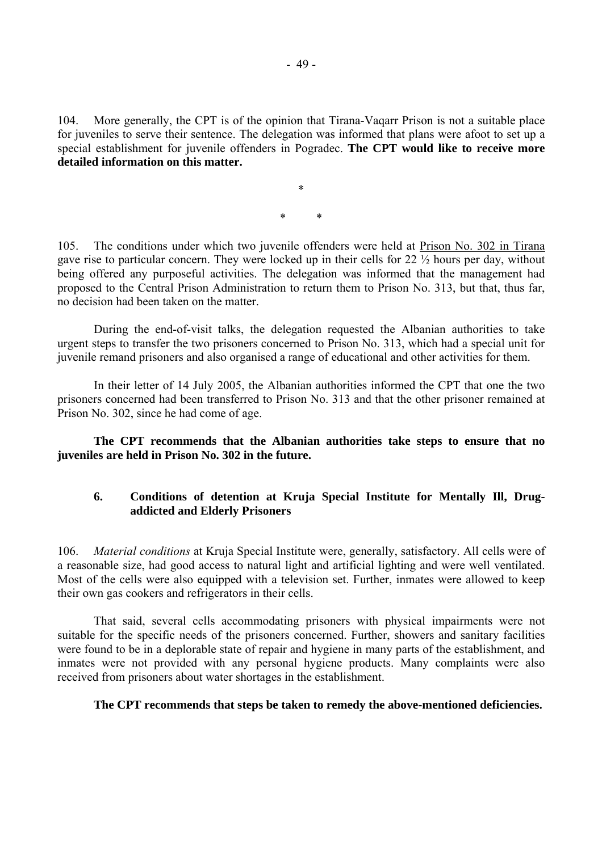104. More generally, the CPT is of the opinion that Tirana-Vaqarr Prison is not a suitable place for juveniles to serve their sentence. The delegation was informed that plans were afoot to set up a special establishment for juvenile offenders in Pogradec. **The CPT would like to receive more detailed information on this matter.**

\* \*

\*

105. The conditions under which two juvenile offenders were held at Prison No. 302 in Tirana gave rise to particular concern. They were locked up in their cells for 22 ½ hours per day, without being offered any purposeful activities. The delegation was informed that the management had proposed to the Central Prison Administration to return them to Prison No. 313, but that, thus far, no decision had been taken on the matter.

 During the end-of-visit talks, the delegation requested the Albanian authorities to take urgent steps to transfer the two prisoners concerned to Prison No. 313, which had a special unit for juvenile remand prisoners and also organised a range of educational and other activities for them.

 In their letter of 14 July 2005, the Albanian authorities informed the CPT that one the two prisoners concerned had been transferred to Prison No. 313 and that the other prisoner remained at Prison No. 302, since he had come of age.

**The CPT recommends that the Albanian authorities take steps to ensure that no juveniles are held in Prison No. 302 in the future.** 

## **6. Conditions of detention at Kruja Special Institute for Mentally Ill, Drugaddicted and Elderly Prisoners**

106. *Material conditions* at Kruja Special Institute were, generally, satisfactory. All cells were of a reasonable size, had good access to natural light and artificial lighting and were well ventilated. Most of the cells were also equipped with a television set. Further, inmates were allowed to keep their own gas cookers and refrigerators in their cells.

 That said, several cells accommodating prisoners with physical impairments were not suitable for the specific needs of the prisoners concerned. Further, showers and sanitary facilities were found to be in a deplorable state of repair and hygiene in many parts of the establishment, and inmates were not provided with any personal hygiene products. Many complaints were also received from prisoners about water shortages in the establishment.

#### **The CPT recommends that steps be taken to remedy the above-mentioned deficiencies.**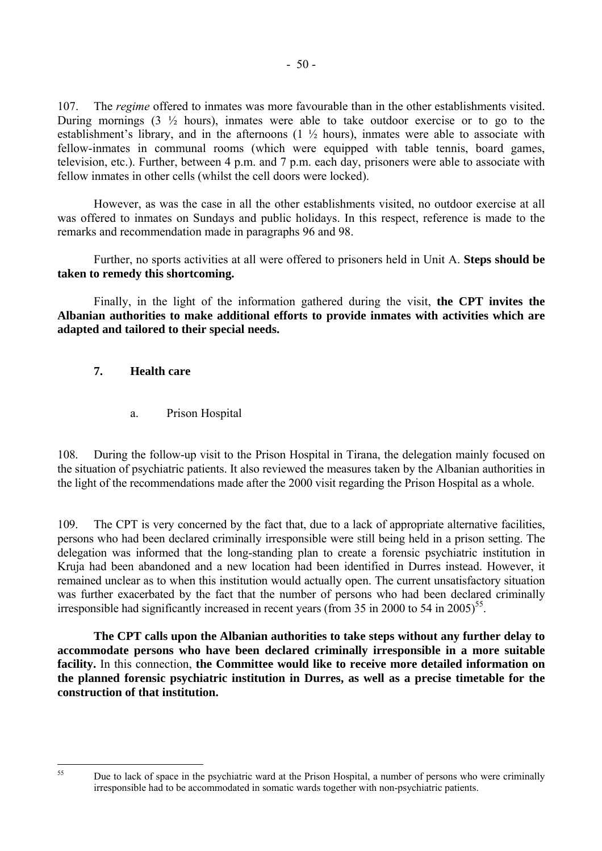107. The *regime* offered to inmates was more favourable than in the other establishments visited. During mornings  $(3 \frac{1}{2})$  hours), inmates were able to take outdoor exercise or to go to the establishment's library, and in the afternoons  $(1 \frac{1}{2})$  hours), inmates were able to associate with fellow-inmates in communal rooms (which were equipped with table tennis, board games, television, etc.). Further, between 4 p.m. and 7 p.m. each day, prisoners were able to associate with fellow inmates in other cells (whilst the cell doors were locked).

 However, as was the case in all the other establishments visited, no outdoor exercise at all was offered to inmates on Sundays and public holidays. In this respect, reference is made to the remarks and recommendation made in paragraphs 96 and 98.

 Further, no sports activities at all were offered to prisoners held in Unit A. **Steps should be taken to remedy this shortcoming.**

 Finally, in the light of the information gathered during the visit, **the CPT invites the Albanian authorities to make additional efforts to provide inmates with activities which are adapted and tailored to their special needs.**

## **7. Health care**

a. Prison Hospital

108. During the follow-up visit to the Prison Hospital in Tirana, the delegation mainly focused on the situation of psychiatric patients. It also reviewed the measures taken by the Albanian authorities in the light of the recommendations made after the 2000 visit regarding the Prison Hospital as a whole.

109. The CPT is very concerned by the fact that, due to a lack of appropriate alternative facilities, persons who had been declared criminally irresponsible were still being held in a prison setting. The delegation was informed that the long-standing plan to create a forensic psychiatric institution in Kruja had been abandoned and a new location had been identified in Durres instead. However, it remained unclear as to when this institution would actually open. The current unsatisfactory situation was further exacerbated by the fact that the number of persons who had been declared criminally irresponsible had significantly increased in recent years (from 35 in 2000 to 54 in 2005)<sup>55</sup>.

 **The CPT calls upon the Albanian authorities to take steps without any further delay to accommodate persons who have been declared criminally irresponsible in a more suitable facility.** In this connection, **the Committee would like to receive more detailed information on the planned forensic psychiatric institution in Durres, as well as a precise timetable for the construction of that institution.**

<span id="page-51-0"></span><sup>55</sup> 

Due to lack of space in the psychiatric ward at the Prison Hospital, a number of persons who were criminally irresponsible had to be accommodated in somatic wards together with non-psychiatric patients.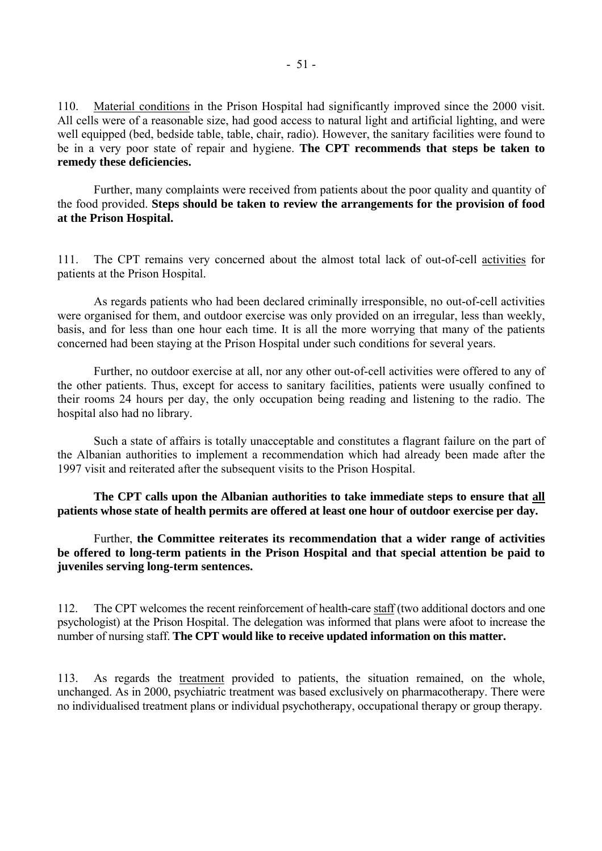110. Material conditions in the Prison Hospital had significantly improved since the 2000 visit. All cells were of a reasonable size, had good access to natural light and artificial lighting, and were well equipped (bed, bedside table, table, chair, radio). However, the sanitary facilities were found to be in a very poor state of repair and hygiene. **The CPT recommends that steps be taken to remedy these deficiencies.**

 Further, many complaints were received from patients about the poor quality and quantity of the food provided. **Steps should be taken to review the arrangements for the provision of food at the Prison Hospital.** 

111. The CPT remains very concerned about the almost total lack of out-of-cell activities for patients at the Prison Hospital.

 As regards patients who had been declared criminally irresponsible, no out-of-cell activities were organised for them, and outdoor exercise was only provided on an irregular, less than weekly, basis, and for less than one hour each time. It is all the more worrying that many of the patients concerned had been staying at the Prison Hospital under such conditions for several years.

 Further, no outdoor exercise at all, nor any other out-of-cell activities were offered to any of the other patients. Thus, except for access to sanitary facilities, patients were usually confined to their rooms 24 hours per day, the only occupation being reading and listening to the radio. The hospital also had no library.

 Such a state of affairs is totally unacceptable and constitutes a flagrant failure on the part of the Albanian authorities to implement a recommendation which had already been made after the 1997 visit and reiterated after the subsequent visits to the Prison Hospital.

**The CPT calls upon the Albanian authorities to take immediate steps to ensure that all patients whose state of health permits are offered at least one hour of outdoor exercise per day.** 

 Further, **the Committee reiterates its recommendation that a wider range of activities be offered to long-term patients in the Prison Hospital and that special attention be paid to juveniles serving long-term sentences.** 

112. The CPT welcomes the recent reinforcement of health-care staff (two additional doctors and one psychologist) at the Prison Hospital. The delegation was informed that plans were afoot to increase the number of nursing staff. **The CPT would like to receive updated information on this matter.**

113. As regards the treatment provided to patients, the situation remained, on the whole, unchanged. As in 2000, psychiatric treatment was based exclusively on pharmacotherapy. There were no individualised treatment plans or individual psychotherapy, occupational therapy or group therapy.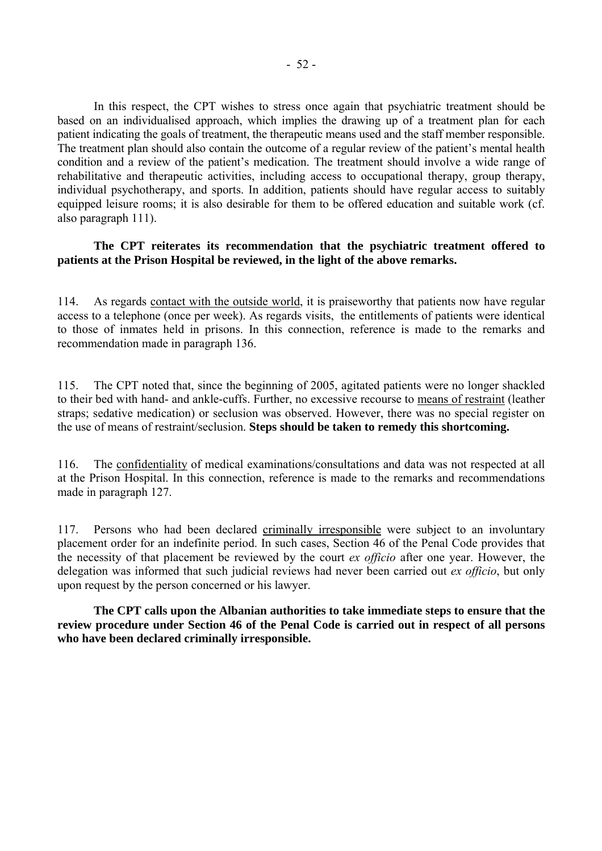In this respect, the CPT wishes to stress once again that psychiatric treatment should be based on an individualised approach, which implies the drawing up of a treatment plan for each patient indicating the goals of treatment, the therapeutic means used and the staff member responsible. The treatment plan should also contain the outcome of a regular review of the patient's mental health condition and a review of the patient's medication. The treatment should involve a wide range of rehabilitative and therapeutic activities, including access to occupational therapy, group therapy, individual psychotherapy, and sports. In addition, patients should have regular access to suitably equipped leisure rooms; it is also desirable for them to be offered education and suitable work (cf. also paragraph 111).

#### **The CPT reiterates its recommendation that the psychiatric treatment offered to patients at the Prison Hospital be reviewed, in the light of the above remarks.**

114. As regards contact with the outside world, it is praiseworthy that patients now have regular access to a telephone (once per week). As regards visits, the entitlements of patients were identical to those of inmates held in prisons. In this connection, reference is made to the remarks and recommendation made in paragraph 136.

115. The CPT noted that, since the beginning of 2005, agitated patients were no longer shackled to their bed with hand- and ankle-cuffs. Further, no excessive recourse to means of restraint (leather straps; sedative medication) or seclusion was observed. However, there was no special register on the use of means of restraint/seclusion. **Steps should be taken to remedy this shortcoming.** 

116. The confidentiality of medical examinations/consultations and data was not respected at all at the Prison Hospital. In this connection, reference is made to the remarks and recommendations made in paragraph 127.

117. Persons who had been declared criminally irresponsible were subject to an involuntary placement order for an indefinite period. In such cases, Section 46 of the Penal Code provides that the necessity of that placement be reviewed by the court *ex officio* after one year. However, the delegation was informed that such judicial reviews had never been carried out *ex officio*, but only upon request by the person concerned or his lawyer.

 **The CPT calls upon the Albanian authorities to take immediate steps to ensure that the review procedure under Section 46 of the Penal Code is carried out in respect of all persons who have been declared criminally irresponsible.**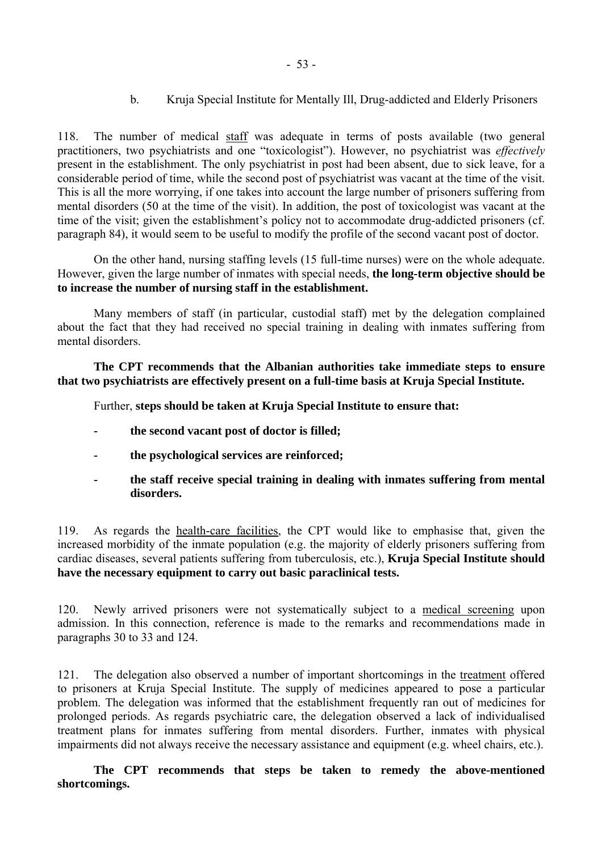b. Kruja Special Institute for Mentally Ill, Drug-addicted and Elderly Prisoners

118. The number of medical staff was adequate in terms of posts available (two general practitioners, two psychiatrists and one "toxicologist"). However, no psychiatrist was *effectively* present in the establishment. The only psychiatrist in post had been absent, due to sick leave, for a considerable period of time, while the second post of psychiatrist was vacant at the time of the visit. This is all the more worrying, if one takes into account the large number of prisoners suffering from mental disorders (50 at the time of the visit). In addition, the post of toxicologist was vacant at the time of the visit; given the establishment's policy not to accommodate drug-addicted prisoners (cf. paragraph 84), it would seem to be useful to modify the profile of the second vacant post of doctor.

On the other hand, nursing staffing levels (15 full-time nurses) were on the whole adequate. However, given the large number of inmates with special needs, **the long-term objective should be to increase the number of nursing staff in the establishment.**

 Many members of staff (in particular, custodial staff) met by the delegation complained about the fact that they had received no special training in dealing with inmates suffering from mental disorders.

**The CPT recommends that the Albanian authorities take immediate steps to ensure that two psychiatrists are effectively present on a full-time basis at Kruja Special Institute.** 

Further, **steps should be taken at Kruja Special Institute to ensure that:** 

- **the second vacant post of doctor is filled;**
- **the psychological services are reinforced;**
- **the staff receive special training in dealing with inmates suffering from mental disorders.**

119. As regards the health-care facilities, the CPT would like to emphasise that, given the increased morbidity of the inmate population (e.g. the majority of elderly prisoners suffering from cardiac diseases, several patients suffering from tuberculosis, etc.), **Kruja Special Institute should have the necessary equipment to carry out basic paraclinical tests.** 

120. Newly arrived prisoners were not systematically subject to a medical screening upon admission. In this connection, reference is made to the remarks and recommendations made in paragraphs 30 to 33 and 124.

121. The delegation also observed a number of important shortcomings in the treatment offered to prisoners at Kruja Special Institute. The supply of medicines appeared to pose a particular problem. The delegation was informed that the establishment frequently ran out of medicines for prolonged periods. As regards psychiatric care, the delegation observed a lack of individualised treatment plans for inmates suffering from mental disorders. Further, inmates with physical impairments did not always receive the necessary assistance and equipment (e.g. wheel chairs, etc.).

 **The CPT recommends that steps be taken to remedy the above-mentioned shortcomings.**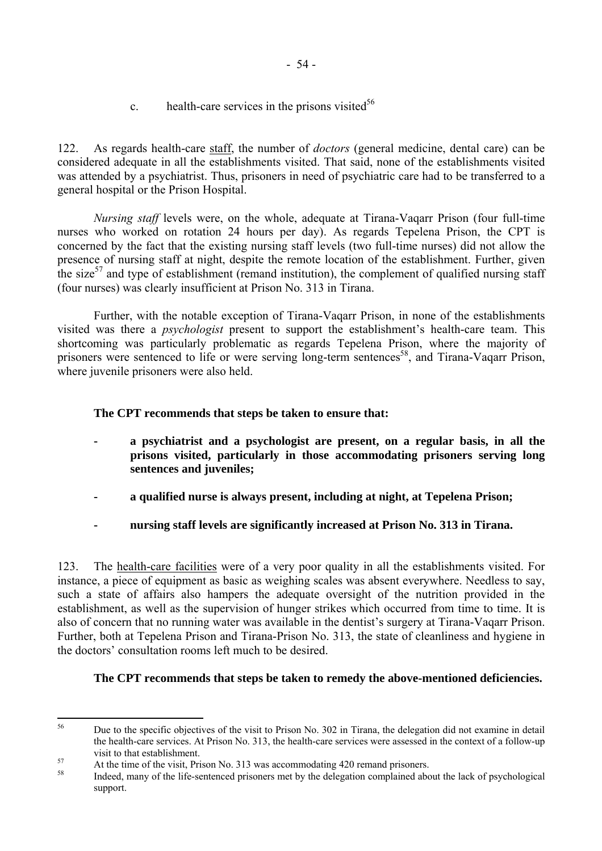- 54 -

c. health-care services in the prisons visited<sup>[56](#page-55-0)</sup>

122. As regards health-care staff, the number of *doctors* (general medicine, dental care) can be considered adequate in all the establishments visited. That said, none of the establishments visited was attended by a psychiatrist. Thus, prisoners in need of psychiatric care had to be transferred to a general hospital or the Prison Hospital.

 *Nursing staff* levels were, on the whole, adequate at Tirana-Vaqarr Prison (four full-time nurses who worked on rotation 24 hours per day). As regards Tepelena Prison, the CPT is concerned by the fact that the existing nursing staff levels (two full-time nurses) did not allow the presence of nursing staff at night, despite the remote location of the establishment. Further, given the size<sup>57</sup> and type of establishment (remand institution), the complement of qualified nursing staff (four nurses) was clearly insufficient at Prison No. 313 in Tirana.

 Further, with the notable exception of Tirana-Vaqarr Prison, in none of the establishments visited was there a *psychologist* present to support the establishment's health-care team. This shortcoming was particularly problematic as regards Tepelena Prison, where the majority of prisoners were sentenced to life or were serving long-term sentences<sup>58</sup>, and Tirana-Vaqarr Prison, where juvenile prisoners were also held.

# **The CPT recommends that steps be taken to ensure that:**

- **a psychiatrist and a psychologist are present, on a regular basis, in all the prisons visited, particularly in those accommodating prisoners serving long sentences and juveniles;**
- **a qualified nurse is always present, including at night, at Tepelena Prison;**
- **nursing staff levels are significantly increased at Prison No. 313 in Tirana.**

123. The health-care facilities were of a very poor quality in all the establishments visited. For instance, a piece of equipment as basic as weighing scales was absent everywhere. Needless to say, such a state of affairs also hampers the adequate oversight of the nutrition provided in the establishment, as well as the supervision of hunger strikes which occurred from time to time. It is also of concern that no running water was available in the dentist's surgery at Tirana-Vagarr Prison. Further, both at Tepelena Prison and Tirana-Prison No. 313, the state of cleanliness and hygiene in the doctors' consultation rooms left much to be desired.

# **The CPT recommends that steps be taken to remedy the above-mentioned deficiencies.**

<span id="page-55-0"></span><sup>56</sup> 56 Due to the specific objectives of the visit to Prison No. 302 in Tirana, the delegation did not examine in detail the health-care services. At Prison No. 313, the health-care services were assessed in the context of a follow-up

<span id="page-55-1"></span>visit to that establishment.<br>
57 At the time of the visit, Prison No. 313 was accommodating 420 remand prisoners.

<span id="page-55-2"></span>Indeed, many of the life-sentenced prisoners met by the delegation complained about the lack of psychological support.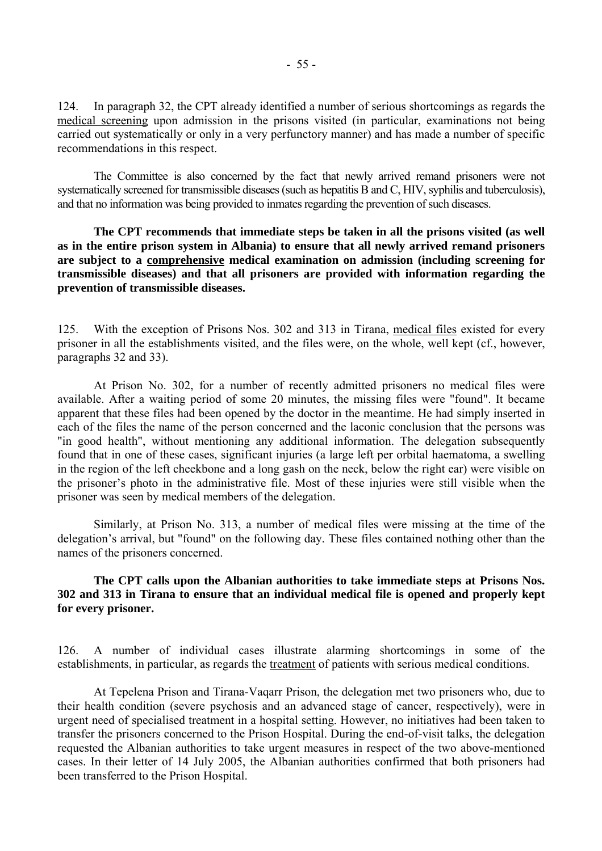124. In paragraph 32, the CPT already identified a number of serious shortcomings as regards the medical screening upon admission in the prisons visited (in particular, examinations not being carried out systematically or only in a very perfunctory manner) and has made a number of specific recommendations in this respect.

 The Committee is also concerned by the fact that newly arrived remand prisoners were not systematically screened for transmissible diseases (such as hepatitis B and C, HIV, syphilis and tuberculosis), and that no information was being provided to inmates regarding the prevention of such diseases.

 **The CPT recommends that immediate steps be taken in all the prisons visited (as well as in the entire prison system in Albania) to ensure that all newly arrived remand prisoners are subject to a comprehensive medical examination on admission (including screening for transmissible diseases) and that all prisoners are provided with information regarding the prevention of transmissible diseases.**

125. With the exception of Prisons Nos. 302 and 313 in Tirana, medical files existed for every prisoner in all the establishments visited, and the files were, on the whole, well kept (cf., however, paragraphs 32 and 33).

 At Prison No. 302, for a number of recently admitted prisoners no medical files were available. After a waiting period of some 20 minutes, the missing files were "found". It became apparent that these files had been opened by the doctor in the meantime. He had simply inserted in each of the files the name of the person concerned and the laconic conclusion that the persons was "in good health", without mentioning any additional information. The delegation subsequently found that in one of these cases, significant injuries (a large left per orbital haematoma, a swelling in the region of the left cheekbone and a long gash on the neck, below the right ear) were visible on the prisoner's photo in the administrative file. Most of these injuries were still visible when the prisoner was seen by medical members of the delegation.

 Similarly, at Prison No. 313, a number of medical files were missing at the time of the delegation's arrival, but "found" on the following day. These files contained nothing other than the names of the prisoners concerned.

#### **The CPT calls upon the Albanian authorities to take immediate steps at Prisons Nos. 302 and 313 in Tirana to ensure that an individual medical file is opened and properly kept for every prisoner.**

126. A number of individual cases illustrate alarming shortcomings in some of the establishments, in particular, as regards the treatment of patients with serious medical conditions.

 At Tepelena Prison and Tirana-Vaqarr Prison, the delegation met two prisoners who, due to their health condition (severe psychosis and an advanced stage of cancer, respectively), were in urgent need of specialised treatment in a hospital setting. However, no initiatives had been taken to transfer the prisoners concerned to the Prison Hospital. During the end-of-visit talks, the delegation requested the Albanian authorities to take urgent measures in respect of the two above-mentioned cases. In their letter of 14 July 2005, the Albanian authorities confirmed that both prisoners had been transferred to the Prison Hospital.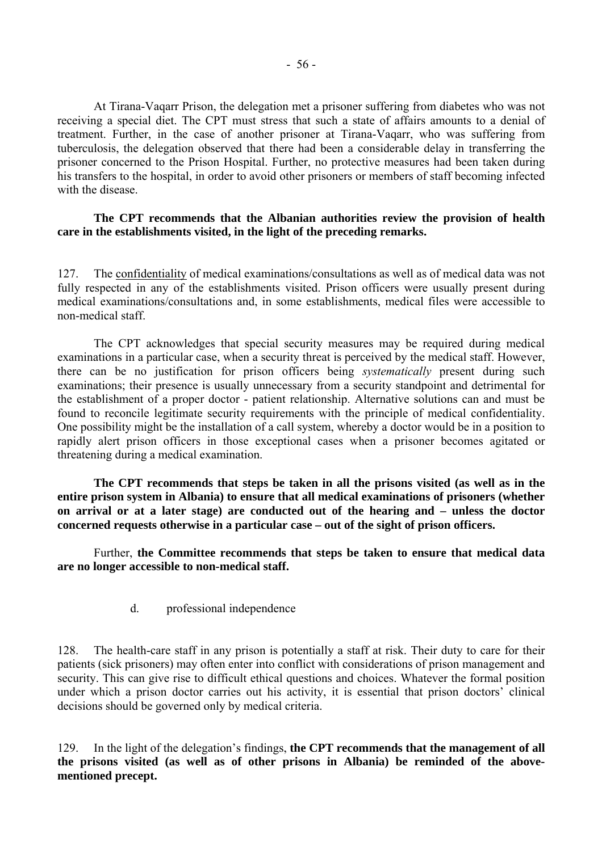At Tirana-Vaqarr Prison, the delegation met a prisoner suffering from diabetes who was not receiving a special diet. The CPT must stress that such a state of affairs amounts to a denial of treatment. Further, in the case of another prisoner at Tirana-Vaqarr, who was suffering from tuberculosis, the delegation observed that there had been a considerable delay in transferring the prisoner concerned to the Prison Hospital. Further, no protective measures had been taken during his transfers to the hospital, in order to avoid other prisoners or members of staff becoming infected with the disease.

#### **The CPT recommends that the Albanian authorities review the provision of health care in the establishments visited, in the light of the preceding remarks.**

127. The confidentiality of medical examinations/consultations as well as of medical data was not fully respected in any of the establishments visited. Prison officers were usually present during medical examinations/consultations and, in some establishments, medical files were accessible to non-medical staff.

 The CPT acknowledges that special security measures may be required during medical examinations in a particular case, when a security threat is perceived by the medical staff. However, there can be no justification for prison officers being *systematically* present during such examinations; their presence is usually unnecessary from a security standpoint and detrimental for the establishment of a proper doctor - patient relationship. Alternative solutions can and must be found to reconcile legitimate security requirements with the principle of medical confidentiality. One possibility might be the installation of a call system, whereby a doctor would be in a position to rapidly alert prison officers in those exceptional cases when a prisoner becomes agitated or threatening during a medical examination.

 **The CPT recommends that steps be taken in all the prisons visited (as well as in the entire prison system in Albania) to ensure that all medical examinations of prisoners (whether on arrival or at a later stage) are conducted out of the hearing and – unless the doctor concerned requests otherwise in a particular case – out of the sight of prison officers.** 

 Further, **the Committee recommends that steps be taken to ensure that medical data are no longer accessible to non-medical staff.** 

d. professional independence

128. The health-care staff in any prison is potentially a staff at risk. Their duty to care for their patients (sick prisoners) may often enter into conflict with considerations of prison management and security. This can give rise to difficult ethical questions and choices. Whatever the formal position under which a prison doctor carries out his activity, it is essential that prison doctors' clinical decisions should be governed only by medical criteria.

129. In the light of the delegation's findings, the CPT recommends that the management of all **the prisons visited (as well as of other prisons in Albania) be reminded of the abovementioned precept.**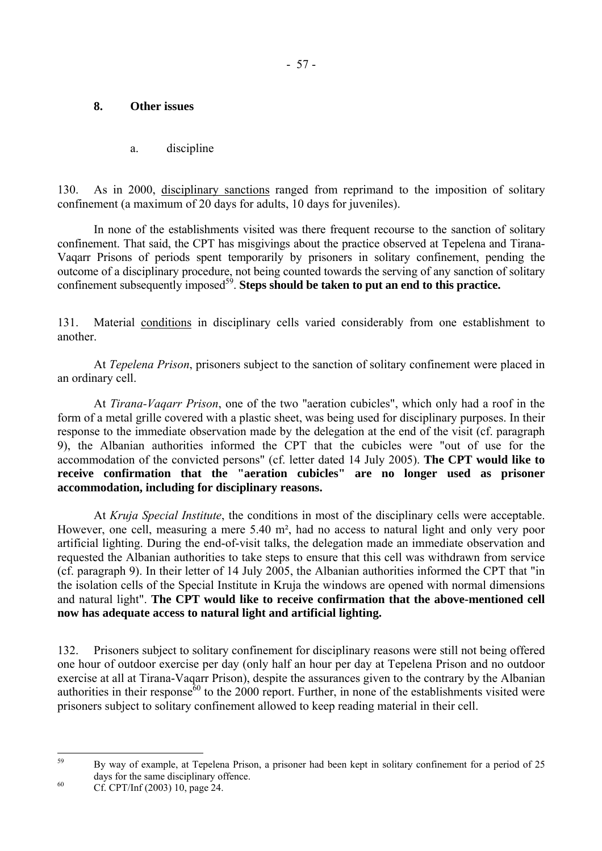## **8. Other issues**

a. discipline

130. As in 2000, disciplinary sanctions ranged from reprimand to the imposition of solitary confinement (a maximum of 20 days for adults, 10 days for juveniles).

 In none of the establishments visited was there frequent recourse to the sanction of solitary confinement. That said, the CPT has misgivings about the practice observed at Tepelena and Tirana-Vaqarr Prisons of periods spent temporarily by prisoners in solitary confinement, pending the outcome of a disciplinary procedure, not being counted towards the serving of any sanction of solitary confinement subsequently imposed<sup>59</sup>. **Steps should be taken to put an end to this practice.** 

131. Material conditions in disciplinary cells varied considerably from one establishment to another.

 At *Tepelena Prison*, prisoners subject to the sanction of solitary confinement were placed in an ordinary cell.

 At *Tirana-Vaqarr Prison*, one of the two "aeration cubicles", which only had a roof in the form of a metal grille covered with a plastic sheet, was being used for disciplinary purposes. In their response to the immediate observation made by the delegation at the end of the visit (cf. paragraph 9), the Albanian authorities informed the CPT that the cubicles were "out of use for the accommodation of the convicted persons" (cf. letter dated 14 July 2005). **The CPT would like to receive confirmation that the "aeration cubicles" are no longer used as prisoner accommodation, including for disciplinary reasons.**

 At *Kruja Special Institute*, the conditions in most of the disciplinary cells were acceptable. However, one cell, measuring a mere 5.40 m², had no access to natural light and only very poor artificial lighting. During the end-of-visit talks, the delegation made an immediate observation and requested the Albanian authorities to take steps to ensure that this cell was withdrawn from service (cf. paragraph 9). In their letter of 14 July 2005, the Albanian authorities informed the CPT that "in the isolation cells of the Special Institute in Kruja the windows are opened with normal dimensions and natural light". **The CPT would like to receive confirmation that the above-mentioned cell now has adequate access to natural light and artificial lighting.**

132. Prisoners subject to solitary confinement for disciplinary reasons were still not being offered one hour of outdoor exercise per day (only half an hour per day at Tepelena Prison and no outdoor exercise at all at Tirana-Vaqarr Prison), despite the assurances given to the contrary by the Albanian authorities in their response<sup> $60$ </sup> to the 2000 report. Further, in none of the establishments visited were prisoners subject to solitary confinement allowed to keep reading material in their cell.

<span id="page-58-0"></span> $50$ 59 By way of example, at Tepelena Prison, a prisoner had been kept in solitary confinement for a period of 25 days for the same disciplinary offence.<br>
Cf. CPT/Inf (2003) 10, page 24.

<span id="page-58-1"></span>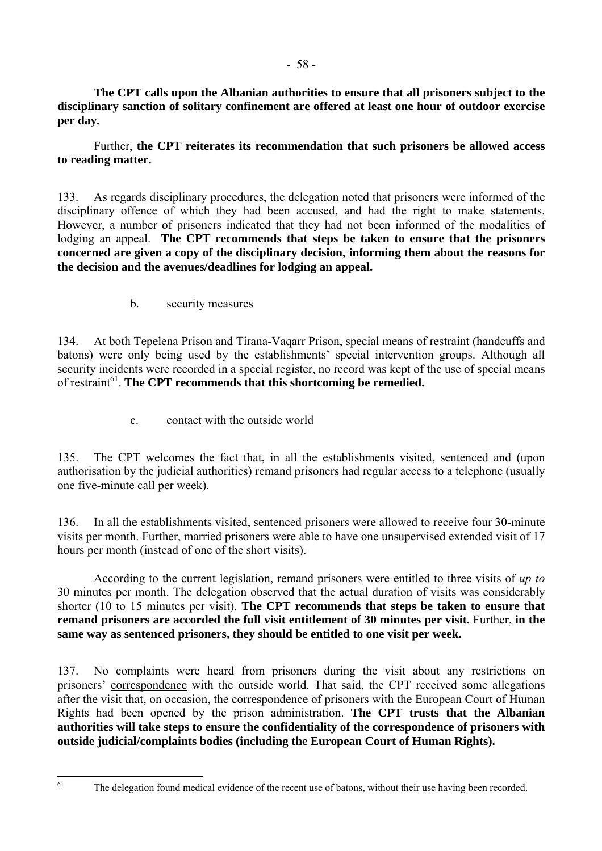**The CPT calls upon the Albanian authorities to ensure that all prisoners subject to the disciplinary sanction of solitary confinement are offered at least one hour of outdoor exercise per day.** 

 Further, **the CPT reiterates its recommendation that such prisoners be allowed access to reading matter.** 

133. As regards disciplinary procedures, the delegation noted that prisoners were informed of the disciplinary offence of which they had been accused, and had the right to make statements. However, a number of prisoners indicated that they had not been informed of the modalities of lodging an appeal. **The CPT recommends that steps be taken to ensure that the prisoners concerned are given a copy of the disciplinary decision, informing them about the reasons for the decision and the avenues/deadlines for lodging an appeal.**

b. security measures

134. At both Tepelena Prison and Tirana-Vaqarr Prison, special means of restraint (handcuffs and batons) were only being used by the establishments' special intervention groups. Although all security incidents were recorded in a special register, no record was kept of the use of special means of restraint<sup>61</sup>. The CPT recommends that this shortcoming be remedied.

c. contact with the outside world

135. The CPT welcomes the fact that, in all the establishments visited, sentenced and (upon authorisation by the judicial authorities) remand prisoners had regular access to a telephone (usually one five-minute call per week).

136. In all the establishments visited, sentenced prisoners were allowed to receive four 30-minute visits per month. Further, married prisoners were able to have one unsupervised extended visit of 17 hours per month (instead of one of the short visits).

 According to the current legislation, remand prisoners were entitled to three visits of *up to* 30 minutes per month. The delegation observed that the actual duration of visits was considerably shorter (10 to 15 minutes per visit). **The CPT recommends that steps be taken to ensure that remand prisoners are accorded the full visit entitlement of 30 minutes per visit.** Further, **in the same way as sentenced prisoners, they should be entitled to one visit per week.** 

137. No complaints were heard from prisoners during the visit about any restrictions on prisoners' correspondence with the outside world. That said, the CPT received some allegations after the visit that, on occasion, the correspondence of prisoners with the European Court of Human Rights had been opened by the prison administration. **The CPT trusts that the Albanian authorities will take steps to ensure the confidentiality of the correspondence of prisoners with outside judicial/complaints bodies (including the European Court of Human Rights).**

<span id="page-59-0"></span><sup>61</sup> 

The delegation found medical evidence of the recent use of batons, without their use having been recorded.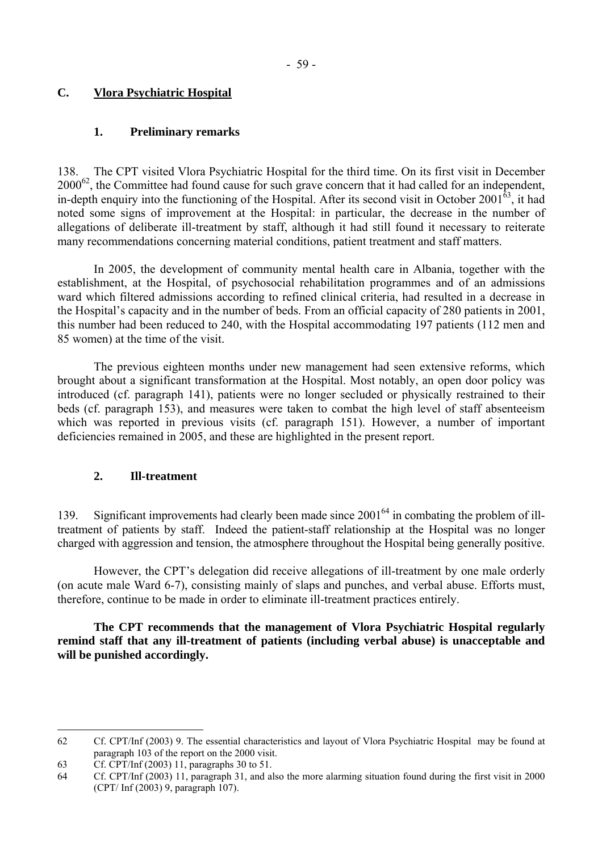## **C. Vlora Psychiatric Hospital**

## **1. Preliminary remarks**

138. The CPT visited Vlora Psychiatric Hospital for the third time. On its first visit in December 2000[62,](#page-60-0) the Committee had found cause for such grave concern that it had called for an independent, in-depth enquiry into the functioning of the Hospital. After its second visit in October 2001 $^{63}$ , it had noted some signs of improvement at the Hospital: in particular, the decrease in the number of allegations of deliberate ill-treatment by staff, although it had still found it necessary to reiterate many recommendations concerning material conditions, patient treatment and staff matters.

 In 2005, the development of community mental health care in Albania, together with the establishment, at the Hospital, of psychosocial rehabilitation programmes and of an admissions ward which filtered admissions according to refined clinical criteria, had resulted in a decrease in the Hospital's capacity and in the number of beds. From an official capacity of 280 patients in 2001, this number had been reduced to 240, with the Hospital accommodating 197 patients (112 men and 85 women) at the time of the visit.

 The previous eighteen months under new management had seen extensive reforms, which brought about a significant transformation at the Hospital. Most notably, an open door policy was introduced (cf. paragraph 141), patients were no longer secluded or physically restrained to their beds (cf. paragraph 153), and measures were taken to combat the high level of staff absenteeism which was reported in previous visits (cf. paragraph 151). However, a number of important deficiencies remained in 2005, and these are highlighted in the present report.

## **2. Ill-treatment**

139. Significant improvements had clearly been made since 200[164 i](#page-60-2)n combating the problem of illtreatment of patients by staff. Indeed the patient-staff relationship at the Hospital was no longer charged with aggression and tension, the atmosphere throughout the Hospital being generally positive.

However, the CPT's delegation did receive allegations of ill-treatment by one male orderly (on acute male Ward 6-7), consisting mainly of slaps and punches, and verbal abuse. Efforts must, therefore, continue to be made in order to eliminate ill-treatment practices entirely.

 **The CPT recommends that the management of Vlora Psychiatric Hospital regularly remind staff that any ill-treatment of patients (including verbal abuse) is unacceptable and will be punished accordingly.** 

 $\overline{a}$ 

<span id="page-60-0"></span><sup>62</sup> Cf. CPT/Inf (2003) 9. The essential characteristics and layout of Vlora Psychiatric Hospital may be found at paragraph 103 of the report on the 2000 visit.

<span id="page-60-1"></span><sup>63</sup> Cf. CPT/Inf (2003) 11, paragraphs 30 to 51.

<span id="page-60-2"></span><sup>64</sup> Cf. CPT/Inf (2003) 11, paragraph 31, and also the more alarming situation found during the first visit in 2000 (CPT/ Inf (2003) 9, paragraph 107).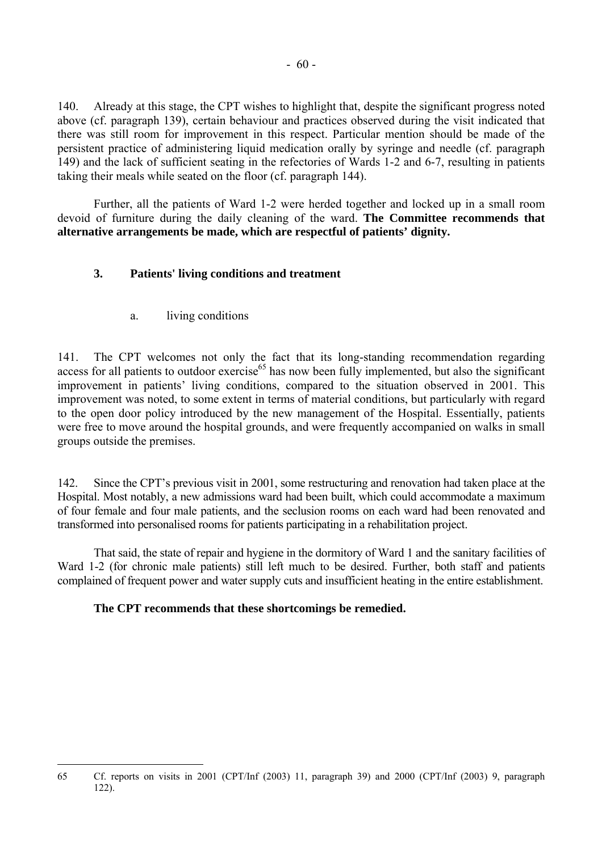140. Already at this stage, the CPT wishes to highlight that, despite the significant progress noted above (cf. paragraph 139), certain behaviour and practices observed during the visit indicated that there was still room for improvement in this respect. Particular mention should be made of the persistent practice of administering liquid medication orally by syringe and needle (cf. paragraph 149) and the lack of sufficient seating in the refectories of Wards 1-2 and 6-7, resulting in patients taking their meals while seated on the floor (cf. paragraph 144).

 Further, all the patients of Ward 1-2 were herded together and locked up in a small room devoid of furniture during the daily cleaning of the ward. **The Committee recommends that alternative arrangements be made, which are respectful of patients' dignity.**

# **3. Patients' living conditions and treatment**

a. living conditions

141. The CPT welcomes not only the fact that its long-standing recommendation regarding access for all patients to outdoor exercise<sup>65</sup> has now been fully implemented, but also the significant improvement in patients' living conditions, compared to the situation observed in 2001. This improvement was noted, to some extent in terms of material conditions, but particularly with regard to the open door policy introduced by the new management of the Hospital. Essentially, patients were free to move around the hospital grounds, and were frequently accompanied on walks in small groups outside the premises.

142. Since the CPT's previous visit in 2001, some restructuring and renovation had taken place at the Hospital. Most notably, a new admissions ward had been built, which could accommodate a maximum of four female and four male patients, and the seclusion rooms on each ward had been renovated and transformed into personalised rooms for patients participating in a rehabilitation project.

That said, the state of repair and hygiene in the dormitory of Ward 1 and the sanitary facilities of Ward 1-2 (for chronic male patients) still left much to be desired. Further, both staff and patients complained of frequent power and water supply cuts and insufficient heating in the entire establishment.

## **The CPT recommends that these shortcomings be remedied.**

<span id="page-61-0"></span> $\overline{a}$ 65 Cf. reports on visits in 2001 (CPT/Inf (2003) 11, paragraph 39) and 2000 (CPT/Inf (2003) 9, paragraph 122).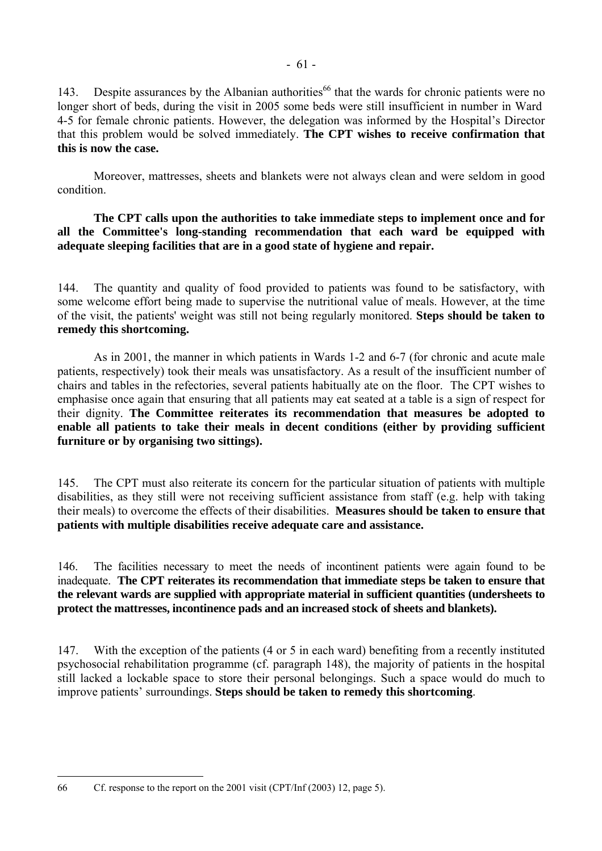143. Despite assurances by the Albanian authorities<sup>66</sup> that the wards for chronic patients were no longer short of beds, during the visit in 2005 some beds were still insufficient in number in Ward 4-5 for female chronic patients. However, the delegation was informed by the Hospital's Director that this problem would be solved immediately. **The CPT wishes to receive confirmation that this is now the case.** 

 Moreover, mattresses, sheets and blankets were not always clean and were seldom in good condition.

 **The CPT calls upon the authorities to take immediate steps to implement once and for all the Committee's long-standing recommendation that each ward be equipped with adequate sleeping facilities that are in a good state of hygiene and repair.** 

144. The quantity and quality of food provided to patients was found to be satisfactory, with some welcome effort being made to supervise the nutritional value of meals. However, at the time of the visit, the patients' weight was still not being regularly monitored. **Steps should be taken to remedy this shortcoming.** 

 As in 2001, the manner in which patients in Wards 1-2 and 6-7 (for chronic and acute male patients, respectively) took their meals was unsatisfactory. As a result of the insufficient number of chairs and tables in the refectories, several patients habitually ate on the floor. The CPT wishes to emphasise once again that ensuring that all patients may eat seated at a table is a sign of respect for their dignity. **The Committee reiterates its recommendation that measures be adopted to enable all patients to take their meals in decent conditions (either by providing sufficient furniture or by organising two sittings).** 

145. The CPT must also reiterate its concern for the particular situation of patients with multiple disabilities, as they still were not receiving sufficient assistance from staff (e.g. help with taking their meals) to overcome the effects of their disabilities. **Measures should be taken to ensure that patients with multiple disabilities receive adequate care and assistance.** 

146. The facilities necessary to meet the needs of incontinent patients were again found to be inadequate. **The CPT reiterates its recommendation that immediate steps be taken to ensure that the relevant wards are supplied with appropriate material in sufficient quantities (undersheets to protect the mattresses, incontinence pads and an increased stock of sheets and blankets).** 

147. With the exception of the patients (4 or 5 in each ward) benefiting from a recently instituted psychosocial rehabilitation programme (cf. paragraph 148), the majority of patients in the hospital still lacked a lockable space to store their personal belongings. Such a space would do much to improve patients' surroundings. **Steps should be taken to remedy this shortcoming**.

 $\overline{a}$ 

<span id="page-62-0"></span><sup>66</sup> Cf. response to the report on the 2001 visit (CPT/Inf (2003) 12, page 5).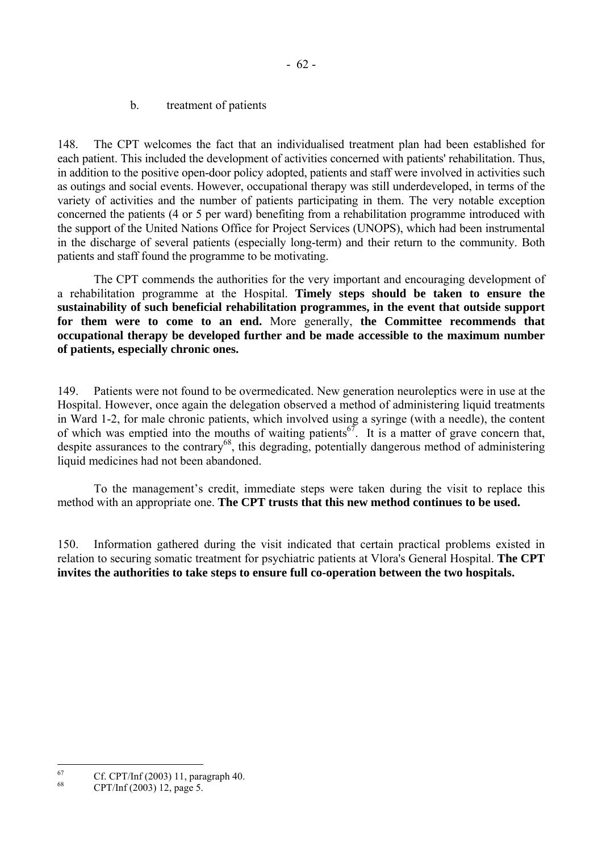b. treatment of patients

148. The CPT welcomes the fact that an individualised treatment plan had been established for each patient. This included the development of activities concerned with patients' rehabilitation. Thus, in addition to the positive open-door policy adopted, patients and staff were involved in activities such as outings and social events. However, occupational therapy was still underdeveloped, in terms of the variety of activities and the number of patients participating in them. The very notable exception concerned the patients (4 or 5 per ward) benefiting from a rehabilitation programme introduced with the support of the United Nations Office for Project Services (UNOPS), which had been instrumental in the discharge of several patients (especially long-term) and their return to the community. Both patients and staff found the programme to be motivating.

 The CPT commends the authorities for the very important and encouraging development of a rehabilitation programme at the Hospital. **Timely steps should be taken to ensure the sustainability of such beneficial rehabilitation programmes, in the event that outside support for them were to come to an end.** More generally, **the Committee recommends that occupational therapy be developed further and be made accessible to the maximum number of patients, especially chronic ones.**

149. Patients were not found to be overmedicated. New generation neuroleptics were in use at the Hospital. However, once again the delegation observed a method of administering liquid treatments in Ward 1-2, for male chronic patients, which involved using a syringe (with a needle), the content of which was emptied into the mouths of waiting patients<sup>67</sup>. It is a matter of grave concern that, despite assurances to the contrary<sup>68</sup>, this degrading, potentially dangerous method of administering liquid medicines had not been abandoned.

To the management's credit, immediate steps were taken during the visit to replace this method with an appropriate one. **The CPT trusts that this new method continues to be used.**

150. Information gathered during the visit indicated that certain practical problems existed in relation to securing somatic treatment for psychiatric patients at Vlora's General Hospital. **The CPT invites the authorities to take steps to ensure full co-operation between the two hospitals.** 

<span id="page-63-0"></span><sup>67</sup> <sup>67</sup> Cf. CPT/Inf (2003) 11, paragraph 40.

<span id="page-63-1"></span><sup>68</sup> CPT/Inf (2003) 12, page 5.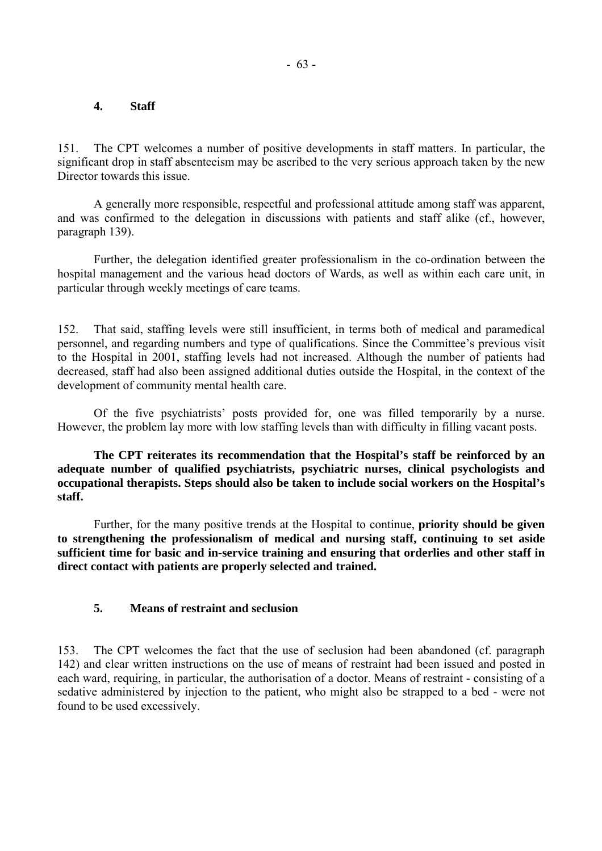## **4. Staff**

151. The CPT welcomes a number of positive developments in staff matters. In particular, the significant drop in staff absenteeism may be ascribed to the very serious approach taken by the new Director towards this issue.

 A generally more responsible, respectful and professional attitude among staff was apparent, and was confirmed to the delegation in discussions with patients and staff alike (cf., however, paragraph 139).

 Further, the delegation identified greater professionalism in the co-ordination between the hospital management and the various head doctors of Wards, as well as within each care unit, in particular through weekly meetings of care teams.

152. That said, staffing levels were still insufficient, in terms both of medical and paramedical personnel, and regarding numbers and type of qualifications. Since the Committee's previous visit to the Hospital in 2001, staffing levels had not increased. Although the number of patients had decreased, staff had also been assigned additional duties outside the Hospital, in the context of the development of community mental health care.

Of the five psychiatrists' posts provided for, one was filled temporarily by a nurse. However, the problem lay more with low staffing levels than with difficulty in filling vacant posts.

 **The CPT reiterates its recommendation that the Hospital's staff be reinforced by an adequate number of qualified psychiatrists, psychiatric nurses, clinical psychologists and occupational therapists. Steps should also be taken to include social workers on the Hospital's staff.**

 Further, for the many positive trends at the Hospital to continue, **priority should be given to strengthening the professionalism of medical and nursing staff, continuing to set aside sufficient time for basic and in-service training and ensuring that orderlies and other staff in direct contact with patients are properly selected and trained.** 

#### **5. Means of restraint and seclusion**

153. The CPT welcomes the fact that the use of seclusion had been abandoned (cf. paragraph 142) and clear written instructions on the use of means of restraint had been issued and posted in each ward, requiring, in particular, the authorisation of a doctor. Means of restraint - consisting of a sedative administered by injection to the patient, who might also be strapped to a bed - were not found to be used excessively.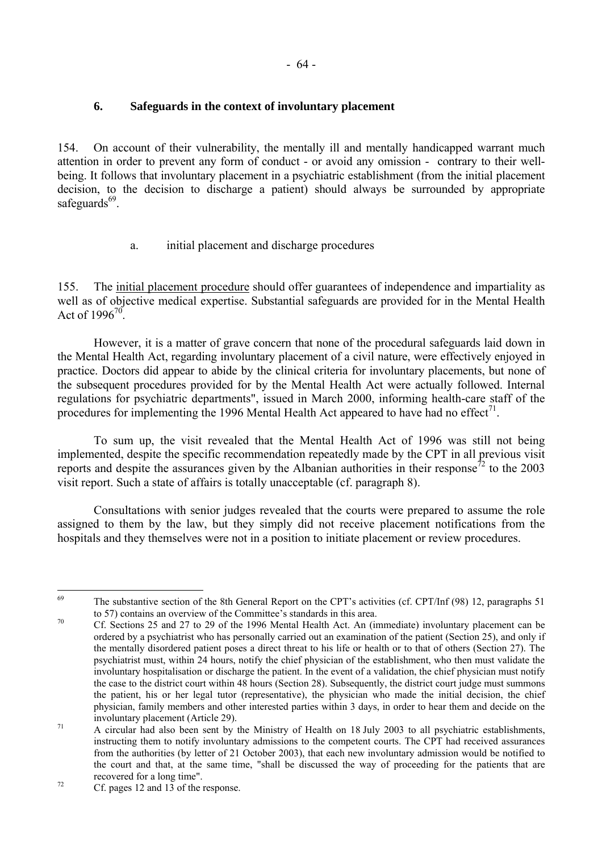## **6. Safeguards in the context of involuntary placement**

154. On account of their vulnerability, the mentally ill and mentally handicapped warrant much attention in order to prevent any form of conduct - or avoid any omission - contrary to their wellbeing. It follows that involuntary placement in a psychiatric establishment (from the initial placement decision, to the decision to discharge a patient) should always be surrounded by appropriate safeguards $^{69}$ .

# a. initial placement and discharge procedures

155. The initial placement procedure should offer guarantees of independence and impartiality as well as of objective medical expertise. Substantial safeguards are provided for in the Mental Health Act of  $1996^{70}$ .

 However, it is a matter of grave concern that none of the procedural safeguards laid down in the Mental Health Act, regarding involuntary placement of a civil nature, were effectively enjoyed in practice. Doctors did appear to abide by the clinical criteria for involuntary placements, but none of the subsequent procedures provided for by the Mental Health Act were actually followed. Internal regulations for psychiatric departments", issued in March 2000, informing health-care staff of the procedures for implementing the 1996 Mental Health Act appeared to have had no effect<sup>71</sup>.

 To sum up, the visit revealed that the Mental Health Act of 1996 was still not being implemented, despite the specific recommendation repeatedly made by the CPT in all previous visit reports and despite the assurances given by the Albanian authorities in their response<sup>72</sup> to the 2003 visit report. Such a state of affairs is totally unacceptable (cf. paragraph 8).

 Consultations with senior judges revealed that the courts were prepared to assume the role assigned to them by the law, but they simply did not receive placement notifications from the hospitals and they themselves were not in a position to initiate placement or review procedures.

<span id="page-65-0"></span><sup>69</sup> The substantive section of the 8th General Report on the CPT's activities (cf. CPT/Inf (98) 12, paragraphs 51 to 57) contains an overview of the Committee's standards in this area.

<span id="page-65-1"></span> $t_0$  Cf. Sections 25 and 27 to 29 of the 1996 Mental Health Act. An (immediate) involuntary placement can be ordered by a psychiatrist who has personally carried out an examination of the patient (Section 25), and only if the mentally disordered patient poses a direct threat to his life or health or to that of others (Section 27). The psychiatrist must, within 24 hours, notify the chief physician of the establishment, who then must validate the involuntary hospitalisation or discharge the patient. In the event of a validation, the chief physician must notify the case to the district court within 48 hours (Section 28). Subsequently, the district court judge must summons the patient, his or her legal tutor (representative), the physician who made the initial decision, the chief physician, family members and other interested parties within 3 days, in order to hear them and decide on the

<span id="page-65-2"></span>involuntary placement (Article 29).<br>  $\frac{71}{2}$  A circular had also been sent by the Ministry of Health on 18 July 2003 to all psychiatric establishments. instructing them to notify involuntary admissions to the competent courts. The CPT had received assurances from the authorities (by letter of 21 October 2003), that each new involuntary admission would be notified to the court and that, at the same time, "shall be discussed the way of proceeding for the patients that are

<span id="page-65-3"></span>recovered for a long time".<br>
<sup>72</sup> Cf. pages 12 and 13 of the response.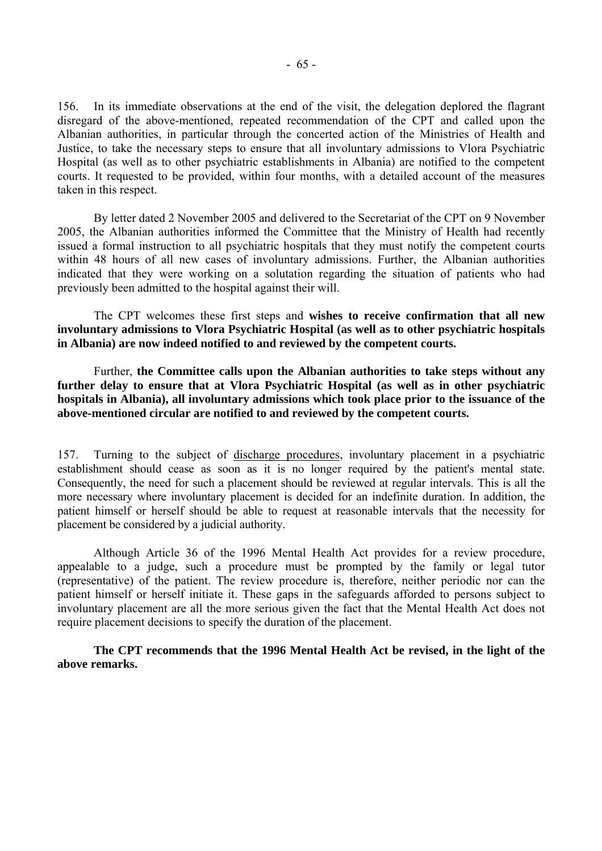156. In its immediate observations at the end of the visit, the delegation deplored the flagrant disregard of the above-mentioned, repeated recommendation of the CPT and called upon the Albanian authorities, in particular through the concerted action of the Ministries of Health and Justice, to take the necessary steps to ensure that all involuntary admissions to Vlora Psychiatric Hospital (as well as to other psychiatric establishments in Albania) are notified to the competent courts. It requested to be provided, within four months, with a detailed account of the measures taken in this respect.

 By letter dated 2 November 2005 and delivered to the Secretariat of the CPT on 9 November 2005, the Albanian authorities informed the Committee that the Ministry of Health had recently issued a formal instruction to all psychiatric hospitals that they must notify the competent courts within 48 hours of all new cases of involuntary admissions. Further, the Albanian authorities indicated that they were working on a solutation regarding the situation of patients who had previously been admitted to the hospital against their will.

 The CPT welcomes these first steps and **wishes to receive confirmation that all new involuntary admissions to Vlora Psychiatric Hospital (as well as to other psychiatric hospitals in Albania) are now indeed notified to and reviewed by the competent courts.**

 Further, **the Committee calls upon the Albanian authorities to take steps without any further delay to ensure that at Vlora Psychiatric Hospital (as well as in other psychiatric hospitals in Albania), all involuntary admissions which took place prior to the issuance of the above-mentioned circular are notified to and reviewed by the competent courts.**

157. Turning to the subject of discharge procedures, involuntary placement in a psychiatric establishment should cease as soon as it is no longer required by the patient's mental state. Consequently, the need for such a placement should be reviewed at regular intervals. This is all the more necessary where involuntary placement is decided for an indefinite duration. In addition, the patient himself or herself should be able to request at reasonable intervals that the necessity for placement be considered by a judicial authority.

 Although Article 36 of the 1996 Mental Health Act provides for a review procedure, appealable to a judge, such a procedure must be prompted by the family or legal tutor (representative) of the patient. The review procedure is, therefore, neither periodic nor can the patient himself or herself initiate it. These gaps in the safeguards afforded to persons subject to involuntary placement are all the more serious given the fact that the Mental Health Act does not require placement decisions to specify the duration of the placement.

**The CPT recommends that the 1996 Mental Health Act be revised, in the light of the above remarks.**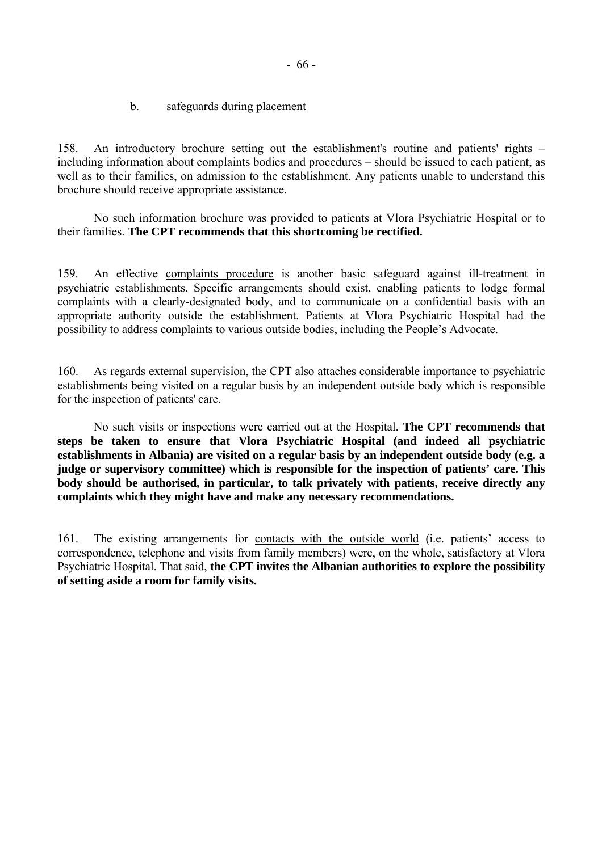158. An introductory brochure setting out the establishment's routine and patients' rights – including information about complaints bodies and procedures – should be issued to each patient, as well as to their families, on admission to the establishment. Any patients unable to understand this brochure should receive appropriate assistance.

 No such information brochure was provided to patients at Vlora Psychiatric Hospital or to their families. **The CPT recommends that this shortcoming be rectified.** 

159. An effective complaints procedure is another basic safeguard against ill-treatment in psychiatric establishments. Specific arrangements should exist, enabling patients to lodge formal complaints with a clearly-designated body, and to communicate on a confidential basis with an appropriate authority outside the establishment. Patients at Vlora Psychiatric Hospital had the possibility to address complaints to various outside bodies, including the People's Advocate.

160. As regards external supervision, the CPT also attaches considerable importance to psychiatric establishments being visited on a regular basis by an independent outside body which is responsible for the inspection of patients' care.

 No such visits or inspections were carried out at the Hospital. **The CPT recommends that steps be taken to ensure that Vlora Psychiatric Hospital (and indeed all psychiatric establishments in Albania) are visited on a regular basis by an independent outside body (e.g. a judge or supervisory committee) which is responsible for the inspection of patients' care. This body should be authorised, in particular, to talk privately with patients, receive directly any complaints which they might have and make any necessary recommendations.** 

161. The existing arrangements for contacts with the outside world (i.e. patients' access to correspondence, telephone and visits from family members) were, on the whole, satisfactory at Vlora Psychiatric Hospital. That said, **the CPT invites the Albanian authorities to explore the possibility of setting aside a room for family visits.**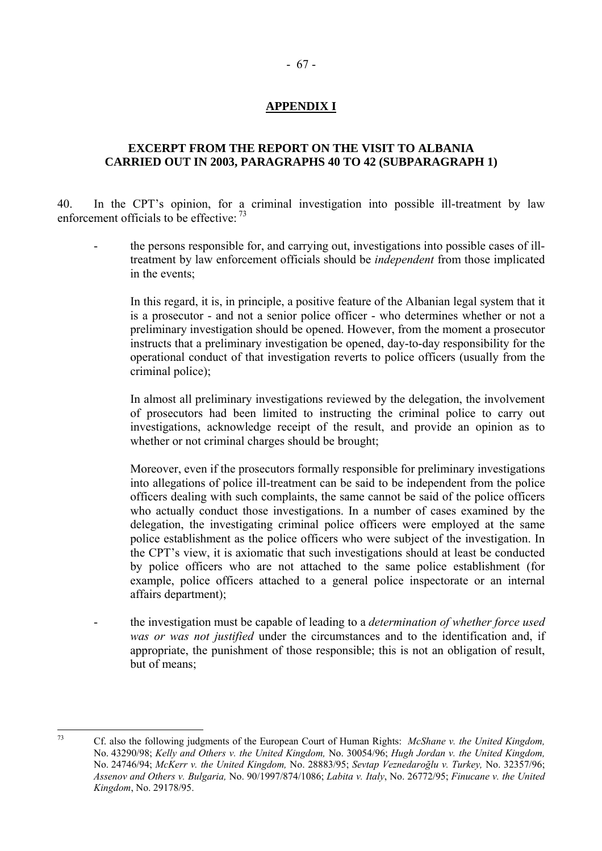## **APPENDIX I**

## **EXCERPT FROM THE REPORT ON THE VISIT TO ALBANIA CARRIED OUT IN 2003, PARAGRAPHS 40 TO 42 (SUBPARAGRAPH 1)**

40. In the CPT's opinion, for a criminal investigation into possible ill-treatment by law enforcement officials to be effective: [73](#page-68-0)

- the persons responsible for, and carrying out, investigations into possible cases of illtreatment by law enforcement officials should be *independent* from those implicated in the events;

 In this regard, it is, in principle, a positive feature of the Albanian legal system that it is a prosecutor - and not a senior police officer - who determines whether or not a preliminary investigation should be opened. However, from the moment a prosecutor instructs that a preliminary investigation be opened, day-to-day responsibility for the operational conduct of that investigation reverts to police officers (usually from the criminal police);

 In almost all preliminary investigations reviewed by the delegation, the involvement of prosecutors had been limited to instructing the criminal police to carry out investigations, acknowledge receipt of the result, and provide an opinion as to whether or not criminal charges should be brought;

Moreover, even if the prosecutors formally responsible for preliminary investigations into allegations of police ill-treatment can be said to be independent from the police officers dealing with such complaints, the same cannot be said of the police officers who actually conduct those investigations. In a number of cases examined by the delegation, the investigating criminal police officers were employed at the same police establishment as the police officers who were subject of the investigation. In the CPT's view, it is axiomatic that such investigations should at least be conducted by police officers who are not attached to the same police establishment (for example, police officers attached to a general police inspectorate or an internal affairs department);

- the investigation must be capable of leading to a *determination of whether force used was or was not justified* under the circumstances and to the identification and, if appropriate, the punishment of those responsible; this is not an obligation of result, but of means;

 $73$ 

<span id="page-68-0"></span><sup>73</sup> Cf. also the following judgments of the European Court of Human Rights: *McShane v. the United Kingdom,*  No. 43290/98; *Kelly and Others v. the United Kingdom,* No. 30054/96; *Hugh Jordan v. the United Kingdom,*  No. 24746/94; *McKerr v. the United Kingdom,* No. 28883/95; *Sevtap Veznedaroğlu v. Turkey,* No. 32357/96; *Assenov and Others v. Bulgaria,* No. 90/1997/874/1086; *Labita v. Italy*, No. 26772/95; *Finucane v. the United Kingdom*, No. 29178/95.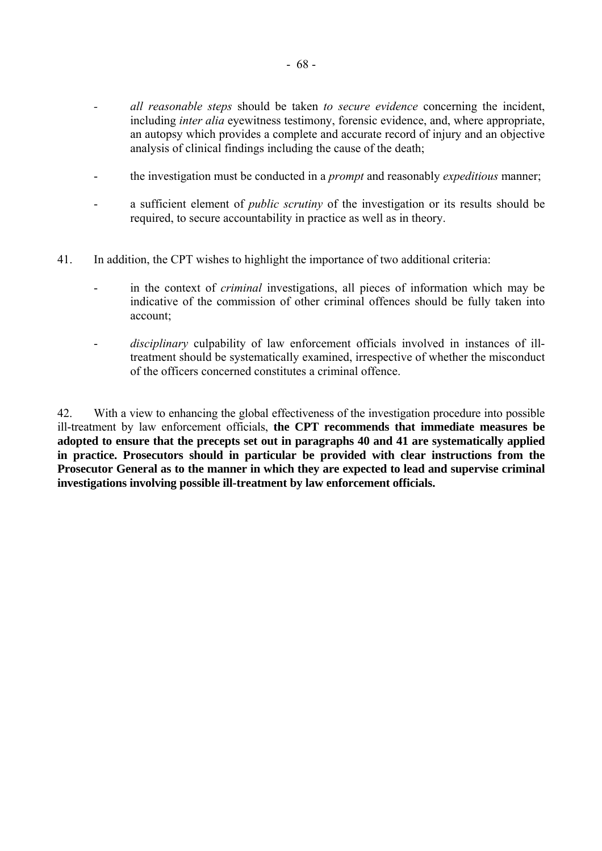- *all reasonable steps* should be taken *to secure evidence* concerning the incident, including *inter alia* eyewitness testimony, forensic evidence, and, where appropriate, an autopsy which provides a complete and accurate record of injury and an objective analysis of clinical findings including the cause of the death;
- the investigation must be conducted in a *prompt* and reasonably *expeditious* manner;
- a sufficient element of *public scrutiny* of the investigation or its results should be required, to secure accountability in practice as well as in theory.
- 41. In addition, the CPT wishes to highlight the importance of two additional criteria:
	- in the context of *criminal* investigations, all pieces of information which may be indicative of the commission of other criminal offences should be fully taken into account;
	- disciplinary culpability of law enforcement officials involved in instances of illtreatment should be systematically examined, irrespective of whether the misconduct of the officers concerned constitutes a criminal offence.

42. With a view to enhancing the global effectiveness of the investigation procedure into possible ill-treatment by law enforcement officials, **the CPT recommends that immediate measures be adopted to ensure that the precepts set out in paragraphs 40 and 41 are systematically applied in practice. Prosecutors should in particular be provided with clear instructions from the Prosecutor General as to the manner in which they are expected to lead and supervise criminal investigations involving possible ill-treatment by law enforcement officials.**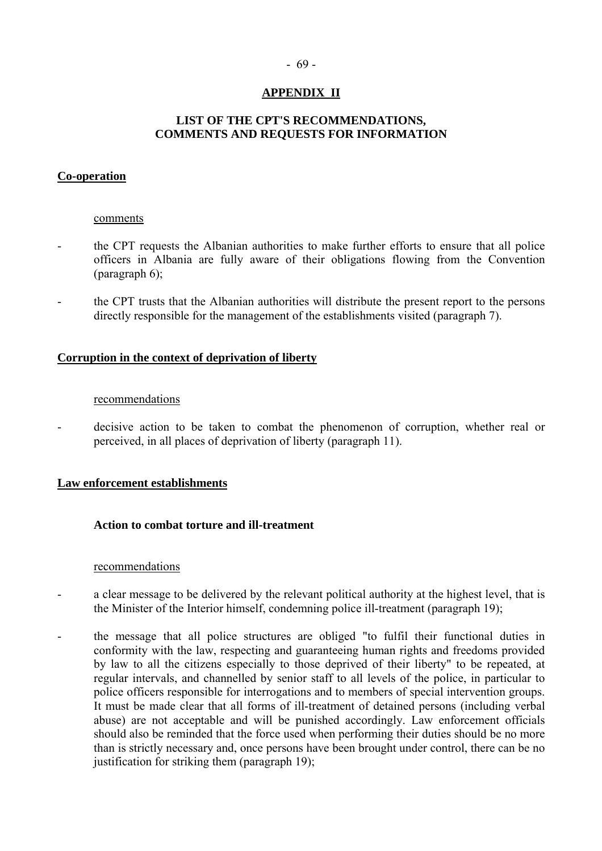#### - 69 -

## **APPENDIX II**

## **LIST OF THE CPT'S RECOMMENDATIONS, COMMENTS AND REQUESTS FOR INFORMATION**

## **Co-operation**

#### comments

- the CPT requests the Albanian authorities to make further efforts to ensure that all police officers in Albania are fully aware of their obligations flowing from the Convention (paragraph 6);
- the CPT trusts that the Albanian authorities will distribute the present report to the persons directly responsible for the management of the establishments visited (paragraph 7).

#### **Corruption in the context of deprivation of liberty**

#### recommendations

- decisive action to be taken to combat the phenomenon of corruption, whether real or perceived, in all places of deprivation of liberty (paragraph 11).

#### **Law enforcement establishments**

#### **Action to combat torture and ill-treatment**

#### recommendations

- a clear message to be delivered by the relevant political authority at the highest level, that is the Minister of the Interior himself, condemning police ill-treatment (paragraph 19);
- the message that all police structures are obliged "to fulfil their functional duties in conformity with the law, respecting and guaranteeing human rights and freedoms provided by law to all the citizens especially to those deprived of their liberty" to be repeated, at regular intervals, and channelled by senior staff to all levels of the police, in particular to police officers responsible for interrogations and to members of special intervention groups. It must be made clear that all forms of ill-treatment of detained persons (including verbal abuse) are not acceptable and will be punished accordingly. Law enforcement officials should also be reminded that the force used when performing their duties should be no more than is strictly necessary and, once persons have been brought under control, there can be no justification for striking them (paragraph 19);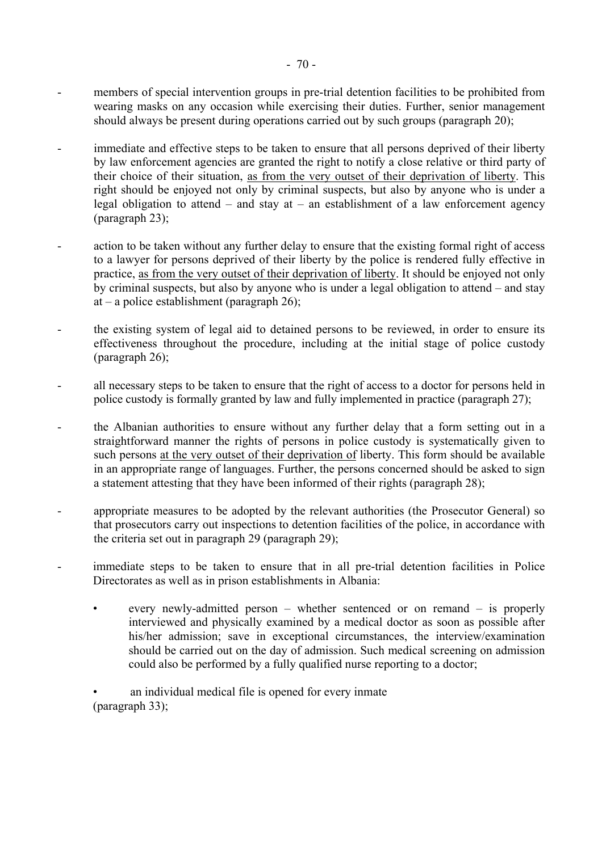- members of special intervention groups in pre-trial detention facilities to be prohibited from wearing masks on any occasion while exercising their duties. Further, senior management should always be present during operations carried out by such groups (paragraph 20);
- immediate and effective steps to be taken to ensure that all persons deprived of their liberty by law enforcement agencies are granted the right to notify a close relative or third party of their choice of their situation, as from the very outset of their deprivation of liberty. This right should be enjoyed not only by criminal suspects, but also by anyone who is under a legal obligation to attend  $-$  and stay at  $-$  an establishment of a law enforcement agency (paragraph 23);
- action to be taken without any further delay to ensure that the existing formal right of access to a lawyer for persons deprived of their liberty by the police is rendered fully effective in practice, as from the very outset of their deprivation of liberty. It should be enjoyed not only by criminal suspects, but also by anyone who is under a legal obligation to attend  $-$  and stay at  $-$  a police establishment (paragraph 26);
- the existing system of legal aid to detained persons to be reviewed, in order to ensure its effectiveness throughout the procedure, including at the initial stage of police custody (paragraph 26);
- all necessary steps to be taken to ensure that the right of access to a doctor for persons held in police custody is formally granted by law and fully implemented in practice (paragraph 27);
- the Albanian authorities to ensure without any further delay that a form setting out in a straightforward manner the rights of persons in police custody is systematically given to such persons at the very outset of their deprivation of liberty. This form should be available in an appropriate range of languages. Further, the persons concerned should be asked to sign a statement attesting that they have been informed of their rights (paragraph 28);
- appropriate measures to be adopted by the relevant authorities (the Prosecutor General) so that prosecutors carry out inspections to detention facilities of the police, in accordance with the criteria set out in paragraph 29 (paragraph 29);
- immediate steps to be taken to ensure that in all pre-trial detention facilities in Police Directorates as well as in prison establishments in Albania:
	- every newly-admitted person whether sentenced or on remand is properly interviewed and physically examined by a medical doctor as soon as possible after his/her admission; save in exceptional circumstances, the interview/examination should be carried out on the day of admission. Such medical screening on admission could also be performed by a fully qualified nurse reporting to a doctor;
	- an individual medical file is opened for every inmate (paragraph 33);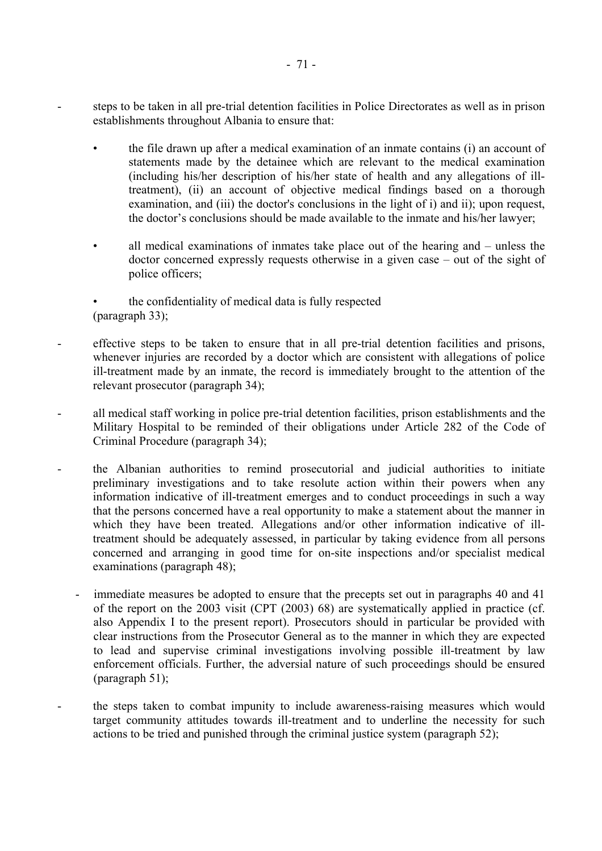steps to be taken in all pre-trial detention facilities in Police Directorates as well as in prison establishments throughout Albania to ensure that:

- the file drawn up after a medical examination of an inmate contains (i) an account of statements made by the detainee which are relevant to the medical examination (including his/her description of his/her state of health and any allegations of illtreatment), (ii) an account of objective medical findings based on a thorough examination, and (iii) the doctor's conclusions in the light of i) and ii); upon request, the doctor's conclusions should be made available to the inmate and his/her lawyer:
- all medical examinations of inmates take place out of the hearing and unless the doctor concerned expressly requests otherwise in a given case  $-$  out of the sight of police officers;
- the confidentiality of medical data is fully respected (paragraph 33);
- effective steps to be taken to ensure that in all pre-trial detention facilities and prisons, whenever injuries are recorded by a doctor which are consistent with allegations of police ill-treatment made by an inmate, the record is immediately brought to the attention of the relevant prosecutor (paragraph 34);
- all medical staff working in police pre-trial detention facilities, prison establishments and the Military Hospital to be reminded of their obligations under Article 282 of the Code of Criminal Procedure (paragraph 34);
- the Albanian authorities to remind prosecutorial and judicial authorities to initiate preliminary investigations and to take resolute action within their powers when any information indicative of ill-treatment emerges and to conduct proceedings in such a way that the persons concerned have a real opportunity to make a statement about the manner in which they have been treated. Allegations and/or other information indicative of illtreatment should be adequately assessed, in particular by taking evidence from all persons concerned and arranging in good time for on-site inspections and/or specialist medical examinations (paragraph 48);
	- immediate measures be adopted to ensure that the precepts set out in paragraphs 40 and 41 of the report on the 2003 visit (CPT (2003) 68) are systematically applied in practice (cf. also Appendix I to the present report). Prosecutors should in particular be provided with clear instructions from the Prosecutor General as to the manner in which they are expected to lead and supervise criminal investigations involving possible ill-treatment by law enforcement officials. Further, the adversial nature of such proceedings should be ensured (paragraph 51);
- the steps taken to combat impunity to include awareness-raising measures which would target community attitudes towards ill-treatment and to underline the necessity for such actions to be tried and punished through the criminal justice system (paragraph 52);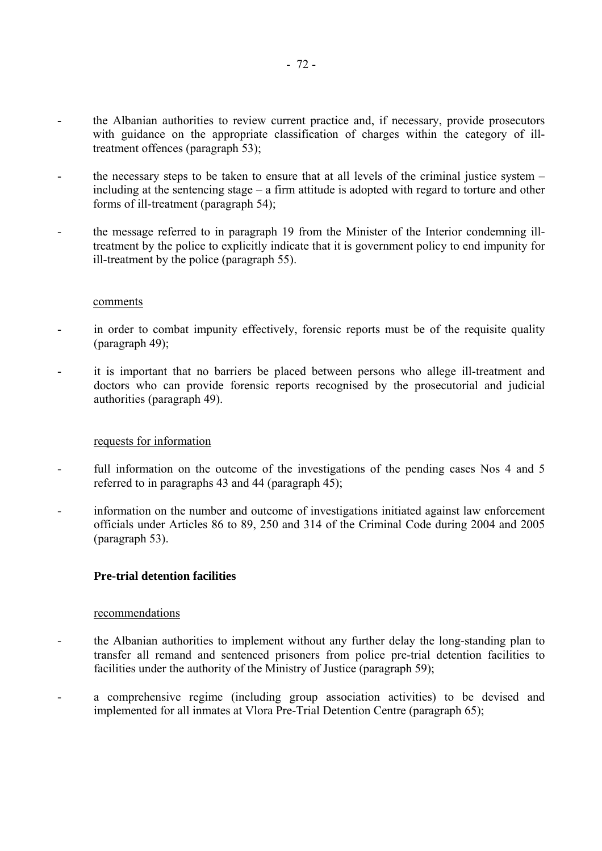- the Albanian authorities to review current practice and, if necessary, provide prosecutors with guidance on the appropriate classification of charges within the category of illtreatment offences (paragraph 53);
- the necessary steps to be taken to ensure that at all levels of the criminal justice system including at the sentencing stage  $-\alpha$  firm attitude is adopted with regard to torture and other forms of ill-treatment (paragraph 54);
- the message referred to in paragraph 19 from the Minister of the Interior condemning illtreatment by the police to explicitly indicate that it is government policy to end impunity for ill-treatment by the police (paragraph 55).

- in order to combat impunity effectively, forensic reports must be of the requisite quality (paragraph 49);
- it is important that no barriers be placed between persons who allege ill-treatment and doctors who can provide forensic reports recognised by the prosecutorial and judicial authorities (paragraph 49).

# requests for information

- full information on the outcome of the investigations of the pending cases Nos 4 and 5 referred to in paragraphs 43 and 44 (paragraph 45);
- information on the number and outcome of investigations initiated against law enforcement officials under Articles 86 to 89, 250 and 314 of the Criminal Code during 2004 and 2005 (paragraph 53).

# **Pre-trial detention facilities**

#### recommendations

- the Albanian authorities to implement without any further delay the long-standing plan to transfer all remand and sentenced prisoners from police pre-trial detention facilities to facilities under the authority of the Ministry of Justice (paragraph 59);
- a comprehensive regime (including group association activities) to be devised and implemented for all inmates at Vlora Pre-Trial Detention Centre (paragraph 65);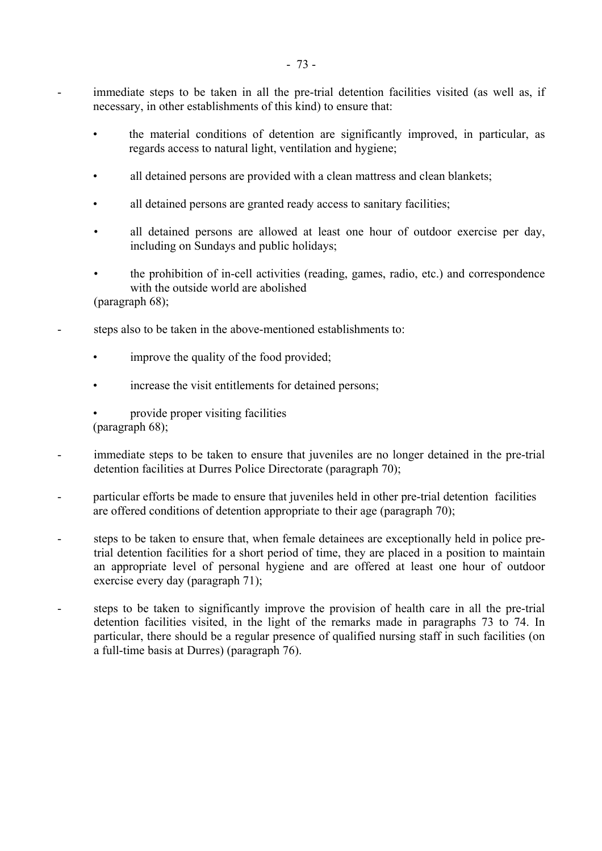- immediate steps to be taken in all the pre-trial detention facilities visited (as well as, if necessary, in other establishments of this kind) to ensure that:
	- the material conditions of detention are significantly improved, in particular, as regards access to natural light, ventilation and hygiene;
	- all detained persons are provided with a clean mattress and clean blankets;
	- all detained persons are granted ready access to sanitary facilities;
	- all detained persons are allowed at least one hour of outdoor exercise per day, including on Sundays and public holidays;
	- the prohibition of in-cell activities (reading, games, radio, etc.) and correspondence with the outside world are abolished
	- (paragraph 68);
- steps also to be taken in the above-mentioned establishments to:
	- improve the quality of the food provided;
	- increase the visit entitlements for detained persons;
	- provide proper visiting facilities (paragraph 68);
- immediate steps to be taken to ensure that juveniles are no longer detained in the pre-trial detention facilities at Durres Police Directorate (paragraph 70);
- particular efforts be made to ensure that juveniles held in other pre-trial detention facilities are offered conditions of detention appropriate to their age (paragraph 70);
- steps to be taken to ensure that, when female detainees are exceptionally held in police pretrial detention facilities for a short period of time, they are placed in a position to maintain an appropriate level of personal hygiene and are offered at least one hour of outdoor exercise every day (paragraph 71);
- steps to be taken to significantly improve the provision of health care in all the pre-trial detention facilities visited, in the light of the remarks made in paragraphs 73 to 74. In particular, there should be a regular presence of qualified nursing staff in such facilities (on a full-time basis at Durres) (paragraph 76).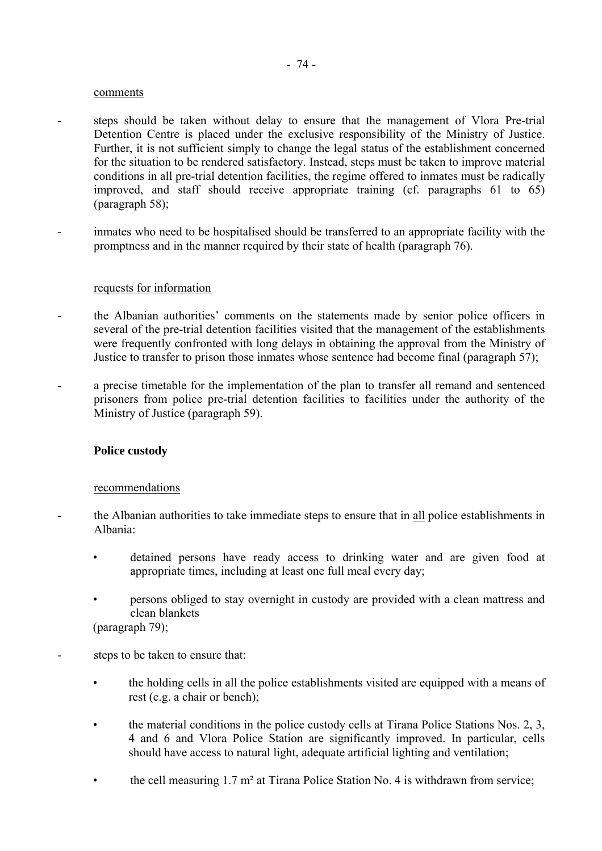- steps should be taken without delay to ensure that the management of Vlora Pre-trial Detention Centre is placed under the exclusive responsibility of the Ministry of Justice. Further, it is not sufficient simply to change the legal status of the establishment concerned for the situation to be rendered satisfactory. Instead, steps must be taken to improve material conditions in all pre-trial detention facilities, the regime offered to inmates must be radically improved, and staff should receive appropriate training (cf. paragraphs 61 to 65) (paragraph 58);
- inmates who need to be hospitalised should be transferred to an appropriate facility with the promptness and in the manner required by their state of health (paragraph 76).

#### requests for information

- the Albanian authorities' comments on the statements made by senior police officers in several of the pre-trial detention facilities visited that the management of the establishments were frequently confronted with long delays in obtaining the approval from the Ministry of Justice to transfer to prison those inmates whose sentence had become final (paragraph 57);
- a precise timetable for the implementation of the plan to transfer all remand and sentenced prisoners from police pre-trial detention facilities to facilities under the authority of the Ministry of Justice (paragraph 59).

#### **Police custody**

#### recommendations

- the Albanian authorities to take immediate steps to ensure that in all police establishments in Albania:
	- detained persons have ready access to drinking water and are given food at appropriate times, including at least one full meal every day;
	- persons obliged to stay overnight in custody are provided with a clean mattress and clean blankets

(paragraph 79);

- steps to be taken to ensure that:
	- the holding cells in all the police establishments visited are equipped with a means of rest (e.g. a chair or bench);
	- the material conditions in the police custody cells at Tirana Police Stations Nos. 2, 3, 4 and 6 and Vlora Police Station are significantly improved. In particular, cells should have access to natural light, adequate artificial lighting and ventilation;
	- the cell measuring  $1.7 \text{ m}^2$  at Tirana Police Station No. 4 is withdrawn from service;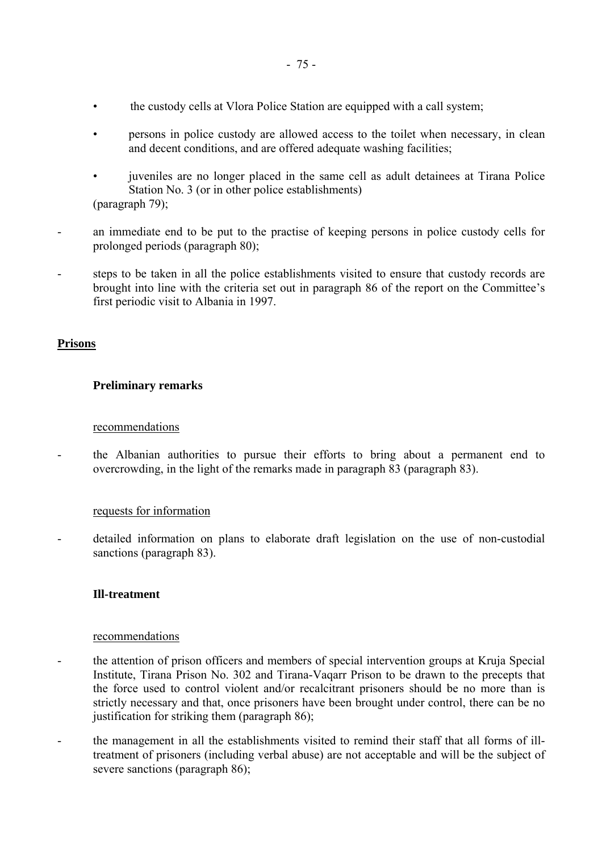- the custody cells at Vlora Police Station are equipped with a call system;
- persons in police custody are allowed access to the toilet when necessary, in clean and decent conditions, and are offered adequate washing facilities;
- juveniles are no longer placed in the same cell as adult detainees at Tirana Police Station No. 3 (or in other police establishments) (paragraph 79);
- an immediate end to be put to the practise of keeping persons in police custody cells for prolonged periods (paragraph 80);
- steps to be taken in all the police establishments visited to ensure that custody records are brought into line with the criteria set out in paragraph 86 of the report on the Committee's first periodic visit to Albania in 1997.

# **Prisons**

# **Preliminary remarks**

#### recommendations

- the Albanian authorities to pursue their efforts to bring about a permanent end to overcrowding, in the light of the remarks made in paragraph 83 (paragraph 83).

# requests for information

detailed information on plans to elaborate draft legislation on the use of non-custodial sanctions (paragraph 83).

# **Ill-treatment**

# recommendations

- the attention of prison officers and members of special intervention groups at Kruja Special Institute, Tirana Prison No. 302 and Tirana-Vaqarr Prison to be drawn to the precepts that the force used to control violent and/or recalcitrant prisoners should be no more than is strictly necessary and that, once prisoners have been brought under control, there can be no justification for striking them (paragraph 86);
- the management in all the establishments visited to remind their staff that all forms of illtreatment of prisoners (including verbal abuse) are not acceptable and will be the subject of severe sanctions (paragraph 86);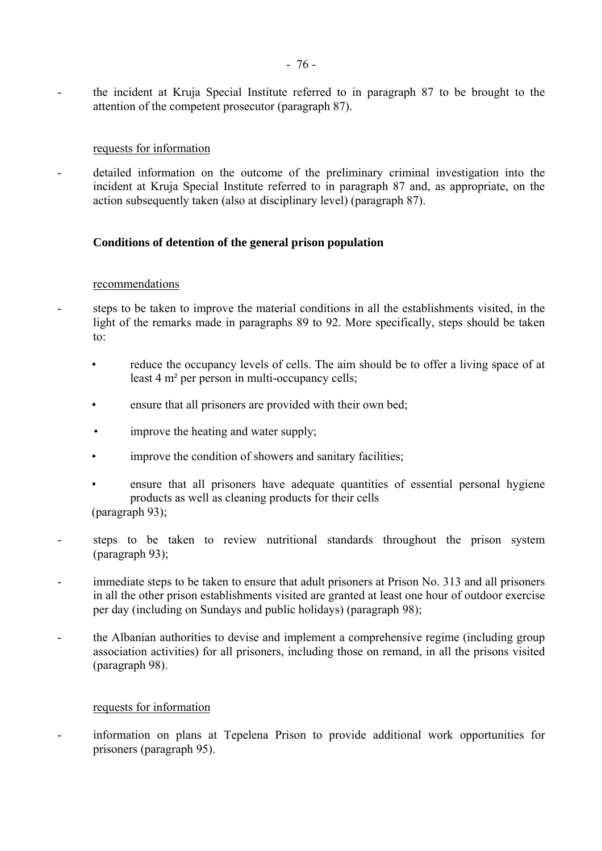- the incident at Kruja Special Institute referred to in paragraph 87 to be brought to the attention of the competent prosecutor (paragraph 87).

### requests for information

- detailed information on the outcome of the preliminary criminal investigation into the incident at Kruja Special Institute referred to in paragraph 87 and, as appropriate, on the action subsequently taken (also at disciplinary level) (paragraph 87).

# **Conditions of detention of the general prison population**

#### recommendations

- steps to be taken to improve the material conditions in all the establishments visited, in the light of the remarks made in paragraphs 89 to 92. More specifically, steps should be taken to:
	- reduce the occupancy levels of cells. The aim should be to offer a living space of at least 4 m² per person in multi-occupancy cells;
	- ensure that all prisoners are provided with their own bed;
	- improve the heating and water supply;
	- improve the condition of showers and sanitary facilities;
	- ensure that all prisoners have adequate quantities of essential personal hygiene products as well as cleaning products for their cells (paragraph 93);
- steps to be taken to review nutritional standards throughout the prison system (paragraph 93);
- immediate steps to be taken to ensure that adult prisoners at Prison No. 313 and all prisoners in all the other prison establishments visited are granted at least one hour of outdoor exercise per day (including on Sundays and public holidays) (paragraph 98);
- the Albanian authorities to devise and implement a comprehensive regime (including group association activities) for all prisoners, including those on remand, in all the prisons visited (paragraph 98).

# requests for information

- information on plans at Tepelena Prison to provide additional work opportunities for prisoners (paragraph 95).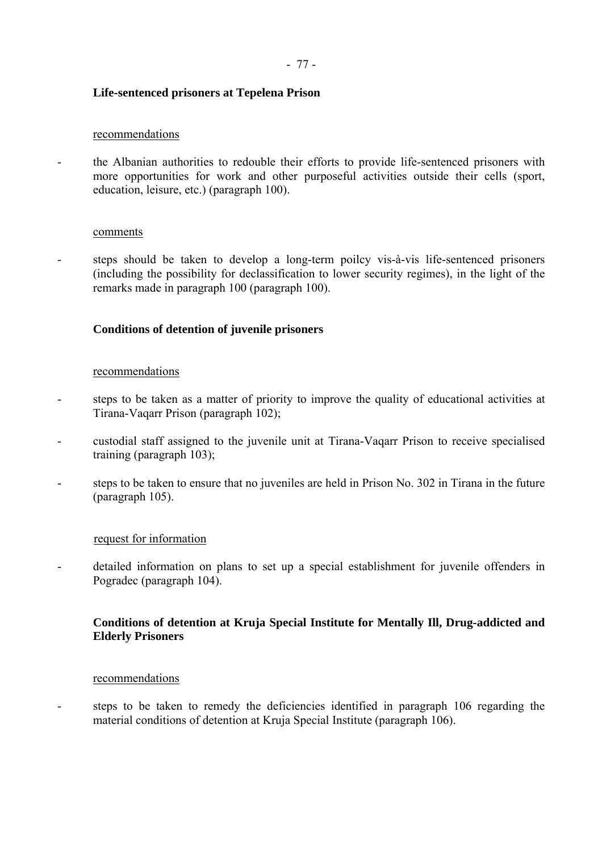# **Life-sentenced prisoners at Tepelena Prison**

### recommendations

- the Albanian authorities to redouble their efforts to provide life-sentenced prisoners with more opportunities for work and other purposeful activities outside their cells (sport, education, leisure, etc.) (paragraph 100).

#### comments

- steps should be taken to develop a long-term poilcy vis-à-vis life-sentenced prisoners (including the possibility for declassification to lower security regimes), in the light of the remarks made in paragraph 100 (paragraph 100).

# **Conditions of detention of juvenile prisoners**

#### recommendations

- steps to be taken as a matter of priority to improve the quality of educational activities at Tirana-Vaqarr Prison (paragraph 102);
- custodial staff assigned to the juvenile unit at Tirana-Vaqarr Prison to receive specialised training (paragraph 103);
- steps to be taken to ensure that no juveniles are held in Prison No. 302 in Tirana in the future (paragraph 105).

# request for information

- detailed information on plans to set up a special establishment for juvenile offenders in Pogradec (paragraph 104).

# **Conditions of detention at Kruja Special Institute for Mentally Ill, Drug-addicted and Elderly Prisoners**

#### recommendations

steps to be taken to remedy the deficiencies identified in paragraph 106 regarding the material conditions of detention at Kruja Special Institute (paragraph 106).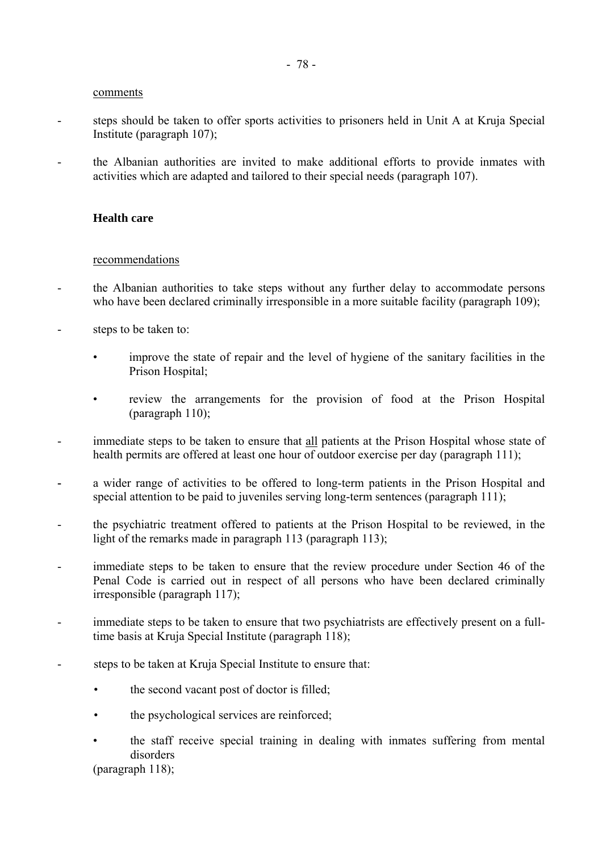- steps should be taken to offer sports activities to prisoners held in Unit A at Kruja Special Institute (paragraph 107);
- the Albanian authorities are invited to make additional efforts to provide inmates with activities which are adapted and tailored to their special needs (paragraph 107).

#### **Health care**

#### recommendations

- the Albanian authorities to take steps without any further delay to accommodate persons who have been declared criminally irresponsible in a more suitable facility (paragraph 109);
- steps to be taken to:
	- improve the state of repair and the level of hygiene of the sanitary facilities in the Prison Hospital<sup>-</sup>
	- review the arrangements for the provision of food at the Prison Hospital (paragraph 110);
- immediate steps to be taken to ensure that all patients at the Prison Hospital whose state of health permits are offered at least one hour of outdoor exercise per day (paragraph 111);
- a wider range of activities to be offered to long-term patients in the Prison Hospital and special attention to be paid to juveniles serving long-term sentences (paragraph 111);
- the psychiatric treatment offered to patients at the Prison Hospital to be reviewed, in the light of the remarks made in paragraph 113 (paragraph 113);
- immediate steps to be taken to ensure that the review procedure under Section 46 of the Penal Code is carried out in respect of all persons who have been declared criminally irresponsible (paragraph 117);
- immediate steps to be taken to ensure that two psychiatrists are effectively present on a fulltime basis at Kruja Special Institute (paragraph 118);
- steps to be taken at Kruja Special Institute to ensure that:
	- the second vacant post of doctor is filled;
	- the psychological services are reinforced;
	- the staff receive special training in dealing with inmates suffering from mental disorders

(paragraph 118);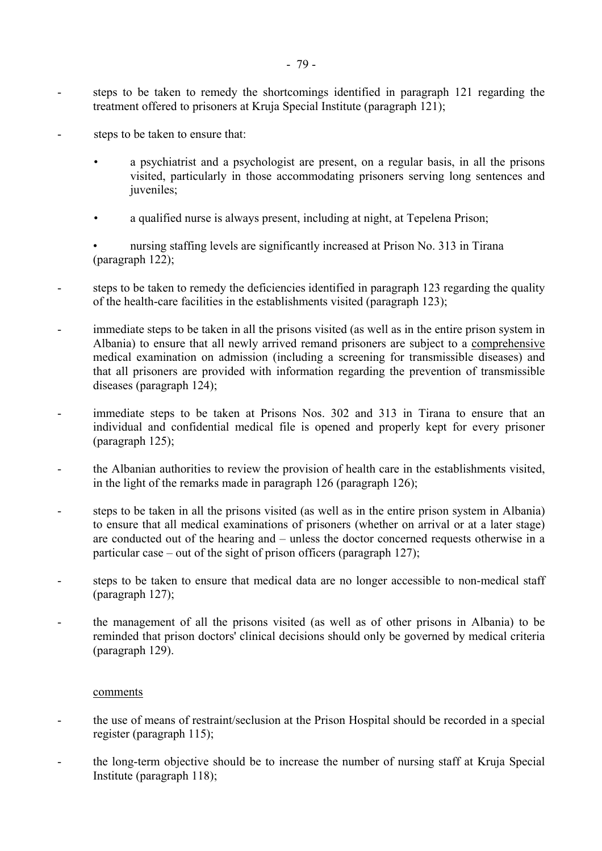- steps to be taken to remedy the shortcomings identified in paragraph 121 regarding the treatment offered to prisoners at Kruja Special Institute (paragraph 121);
- steps to be taken to ensure that:
	- a psychiatrist and a psychologist are present, on a regular basis, in all the prisons visited, particularly in those accommodating prisoners serving long sentences and juveniles;
	- a qualified nurse is always present, including at night, at Tepelena Prison;
	- nursing staffing levels are significantly increased at Prison No. 313 in Tirana (paragraph 122);
- steps to be taken to remedy the deficiencies identified in paragraph 123 regarding the quality of the health-care facilities in the establishments visited (paragraph 123);
- immediate steps to be taken in all the prisons visited (as well as in the entire prison system in Albania) to ensure that all newly arrived remand prisoners are subject to a comprehensive medical examination on admission (including a screening for transmissible diseases) and that all prisoners are provided with information regarding the prevention of transmissible diseases (paragraph 124);
- immediate steps to be taken at Prisons Nos. 302 and 313 in Tirana to ensure that an individual and confidential medical file is opened and properly kept for every prisoner (paragraph 125);
- the Albanian authorities to review the provision of health care in the establishments visited, in the light of the remarks made in paragraph 126 (paragraph 126);
- steps to be taken in all the prisons visited (as well as in the entire prison system in Albania) to ensure that all medical examinations of prisoners (whether on arrival or at a later stage) are conducted out of the hearing and  $-$  unless the doctor concerned requests otherwise in a particular case – out of the sight of prison officers (paragraph 127);
- steps to be taken to ensure that medical data are no longer accessible to non-medical staff (paragraph 127);
- the management of all the prisons visited (as well as of other prisons in Albania) to be reminded that prison doctors' clinical decisions should only be governed by medical criteria (paragraph 129).

- the use of means of restraint/seclusion at the Prison Hospital should be recorded in a special register (paragraph 115);
- the long-term objective should be to increase the number of nursing staff at Kruja Special Institute (paragraph 118);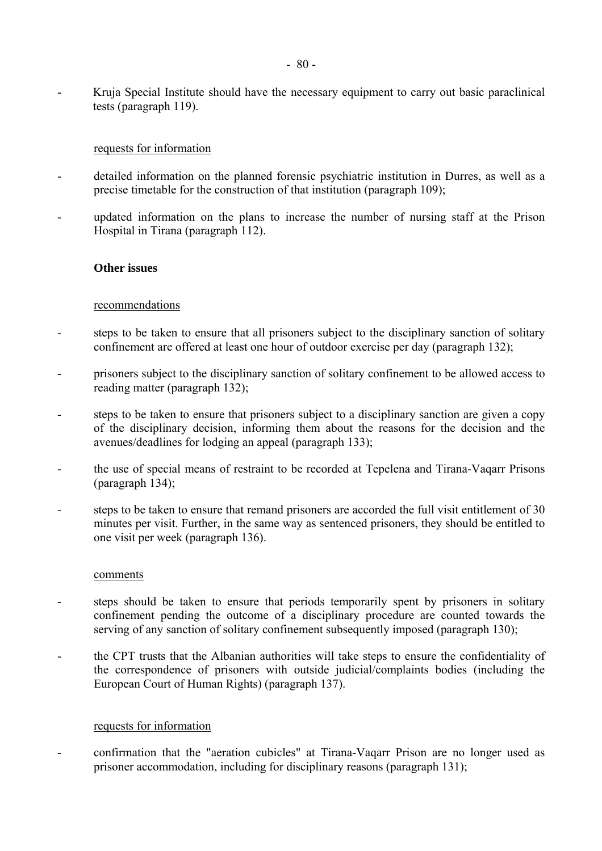- Kruja Special Institute should have the necessary equipment to carry out basic paraclinical tests (paragraph 119).

# requests for information

- detailed information on the planned forensic psychiatric institution in Durres, as well as a precise timetable for the construction of that institution (paragraph 109);
- updated information on the plans to increase the number of nursing staff at the Prison Hospital in Tirana (paragraph 112).

# **Other issues**

#### recommendations

- steps to be taken to ensure that all prisoners subject to the disciplinary sanction of solitary confinement are offered at least one hour of outdoor exercise per day (paragraph 132);
- prisoners subject to the disciplinary sanction of solitary confinement to be allowed access to reading matter (paragraph 132);
- steps to be taken to ensure that prisoners subject to a disciplinary sanction are given a copy of the disciplinary decision, informing them about the reasons for the decision and the avenues/deadlines for lodging an appeal (paragraph 133);
- the use of special means of restraint to be recorded at Tepelena and Tirana-Vaqarr Prisons (paragraph 134);
- steps to be taken to ensure that remand prisoners are accorded the full visit entitlement of 30 minutes per visit. Further, in the same way as sentenced prisoners, they should be entitled to one visit per week (paragraph 136).

#### comments

- steps should be taken to ensure that periods temporarily spent by prisoners in solitary confinement pending the outcome of a disciplinary procedure are counted towards the serving of any sanction of solitary confinement subsequently imposed (paragraph 130);
- the CPT trusts that the Albanian authorities will take steps to ensure the confidentiality of the correspondence of prisoners with outside judicial/complaints bodies (including the European Court of Human Rights) (paragraph 137).

# requests for information

- confirmation that the "aeration cubicles" at Tirana-Vaqarr Prison are no longer used as prisoner accommodation, including for disciplinary reasons (paragraph 131);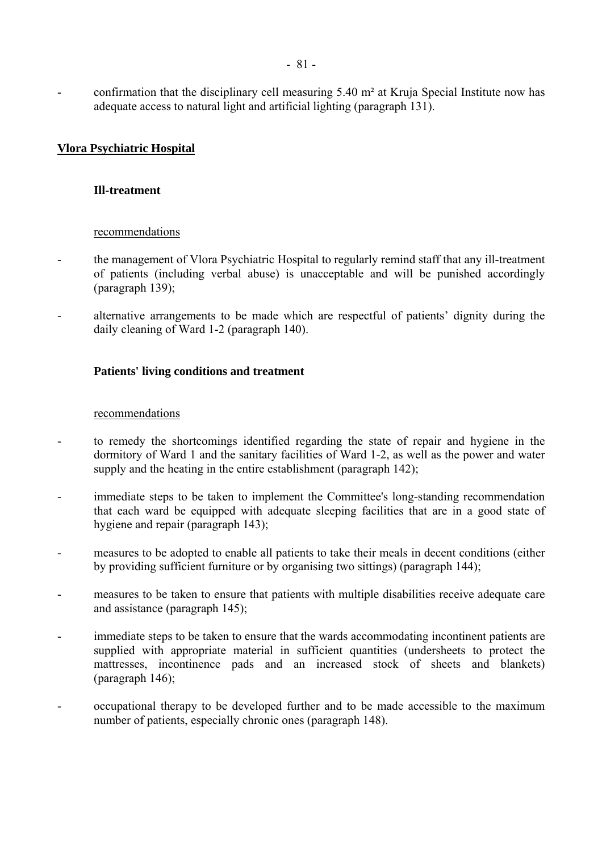- confirmation that the disciplinary cell measuring 5.40 m<sup>2</sup> at Kruja Special Institute now has adequate access to natural light and artificial lighting (paragraph 131).

# **Vlora Psychiatric Hospital**

### **Ill-treatment**

#### recommendations

- the management of Vlora Psychiatric Hospital to regularly remind staff that any ill-treatment of patients (including verbal abuse) is unacceptable and will be punished accordingly (paragraph 139);
- alternative arrangements to be made which are respectful of patients' dignity during the daily cleaning of Ward 1-2 (paragraph 140).

# **Patients' living conditions and treatment**

#### recommendations

- to remedy the shortcomings identified regarding the state of repair and hygiene in the dormitory of Ward 1 and the sanitary facilities of Ward 1-2, as well as the power and water supply and the heating in the entire establishment (paragraph 142);
- immediate steps to be taken to implement the Committee's long-standing recommendation that each ward be equipped with adequate sleeping facilities that are in a good state of hygiene and repair (paragraph 143);
- measures to be adopted to enable all patients to take their meals in decent conditions (either by providing sufficient furniture or by organising two sittings) (paragraph 144);
- measures to be taken to ensure that patients with multiple disabilities receive adequate care and assistance (paragraph 145);
- immediate steps to be taken to ensure that the wards accommodating incontinent patients are supplied with appropriate material in sufficient quantities (undersheets to protect the mattresses, incontinence pads and an increased stock of sheets and blankets) (paragraph 146);
- occupational therapy to be developed further and to be made accessible to the maximum number of patients, especially chronic ones (paragraph 148).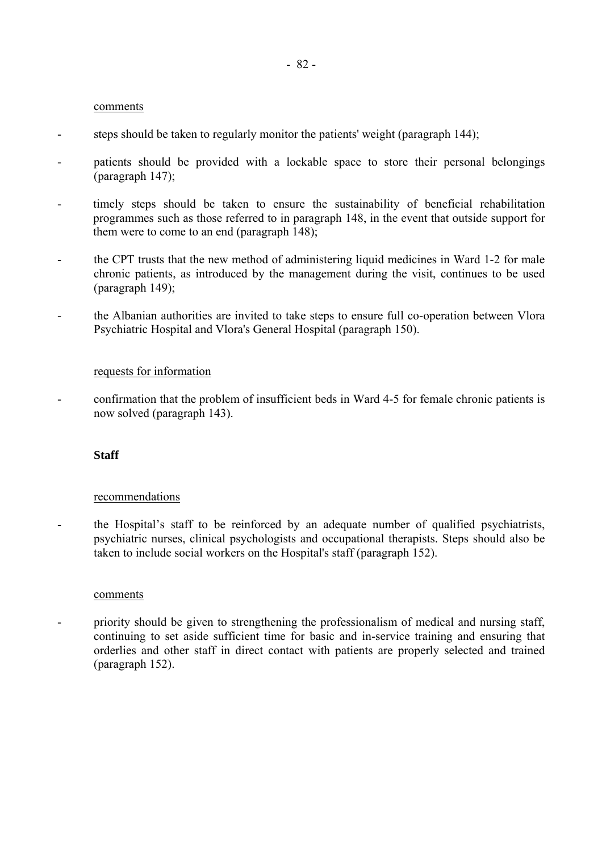- steps should be taken to regularly monitor the patients' weight (paragraph 144);
- patients should be provided with a lockable space to store their personal belongings (paragraph 147);
- timely steps should be taken to ensure the sustainability of beneficial rehabilitation programmes such as those referred to in paragraph 148, in the event that outside support for them were to come to an end (paragraph 148);
- the CPT trusts that the new method of administering liquid medicines in Ward 1-2 for male chronic patients, as introduced by the management during the visit, continues to be used (paragraph 149);
- the Albanian authorities are invited to take steps to ensure full co-operation between Vlora Psychiatric Hospital and Vlora's General Hospital (paragraph 150).

# requests for information

- confirmation that the problem of insufficient beds in Ward 4-5 for female chronic patients is now solved (paragraph 143).

# **Staff**

# recommendations

the Hospital's staff to be reinforced by an adequate number of qualified psychiatrists, psychiatric nurses, clinical psychologists and occupational therapists. Steps should also be taken to include social workers on the Hospital's staff (paragraph 152).

#### comments

- priority should be given to strengthening the professionalism of medical and nursing staff, continuing to set aside sufficient time for basic and in-service training and ensuring that orderlies and other staff in direct contact with patients are properly selected and trained (paragraph 152).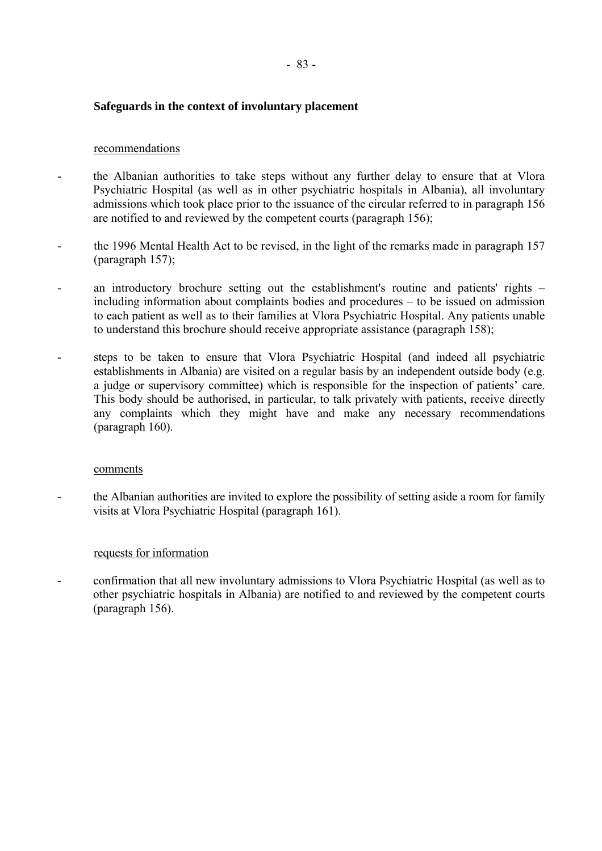# **Safeguards in the context of involuntary placement**

#### recommendations

- the Albanian authorities to take steps without any further delay to ensure that at Vlora Psychiatric Hospital (as well as in other psychiatric hospitals in Albania), all involuntary admissions which took place prior to the issuance of the circular referred to in paragraph 156 are notified to and reviewed by the competent courts (paragraph 156);
- the 1996 Mental Health Act to be revised, in the light of the remarks made in paragraph 157 (paragraph 157);
- an introductory brochure setting out the establishment's routine and patients' rights including information about complaints bodies and procedures  $-$  to be issued on admission to each patient as well as to their families at Vlora Psychiatric Hospital. Any patients unable to understand this brochure should receive appropriate assistance (paragraph 158);
- steps to be taken to ensure that Vlora Psychiatric Hospital (and indeed all psychiatric establishments in Albania) are visited on a regular basis by an independent outside body (e.g. a judge or supervisory committee) which is responsible for the inspection of patients' care. This body should be authorised, in particular, to talk privately with patients, receive directly any complaints which they might have and make any necessary recommendations (paragraph 160).

#### comments

- the Albanian authorities are invited to explore the possibility of setting aside a room for family visits at Vlora Psychiatric Hospital (paragraph 161).

# requests for information

- confirmation that all new involuntary admissions to Vlora Psychiatric Hospital (as well as to other psychiatric hospitals in Albania) are notified to and reviewed by the competent courts (paragraph 156).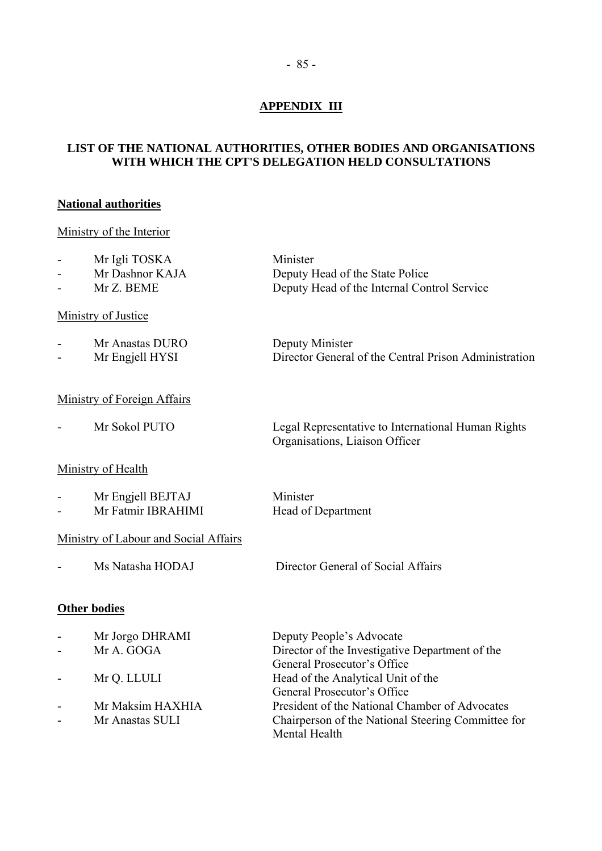# **APPENDIX III**

# **LIST OF THE NATIONAL AUTHORITIES, OTHER BODIES AND ORGANISATIONS WITH WHICH THE CPT'S DELEGATION HELD CONSULTATIONS**

# **National authorities**

# Ministry of the Interior

| $\sim$ 100 $\mu$ | Mr Igli TOSKA   | Minister                                    |
|------------------|-----------------|---------------------------------------------|
| $\sim$ 10 $\,$   | Mr Dashnor KAJA | Deputy Head of the State Police             |
| $\sim$ 10 $\,$   | Mr Z. BEME      | Deputy Head of the Internal Control Service |

# Ministry of Justice

| $\overline{\phantom{0}}$ | Mr Anastas DURO | Deputy Minister                                       |
|--------------------------|-----------------|-------------------------------------------------------|
| $\sim$                   | Mr Engjell HYSI | Director General of the Central Prison Administration |

# Ministry of Foreign Affairs

- Mr Sokol PUTO Legal Representative to International Human Rights

# Ministry of Health

| Mr Engjell BEJTAJ  | Minister           |
|--------------------|--------------------|
| Mr Fatmir IBRAHIMI | Head of Department |

# Ministry of Labour and Social Affairs

- Ms Natasha HODAJ Director General of Social Affairs

Organisations, Liaison Officer

# **Other bodies**

| $\blacksquare$ | Mr Jorgo DHRAMI  | Deputy People's Advocate                                            |
|----------------|------------------|---------------------------------------------------------------------|
| $\sim$         | Mr A. GOGA       | Director of the Investigative Department of the                     |
|                |                  | General Prosecutor's Office                                         |
|                | Mr Q. LLULI      | Head of the Analytical Unit of the                                  |
|                |                  | General Prosecutor's Office                                         |
|                | Mr Maksim HAXHIA | President of the National Chamber of Advocates                      |
|                | Mr Anastas SULI  | Chairperson of the National Steering Committee for<br>Mental Health |
|                |                  |                                                                     |